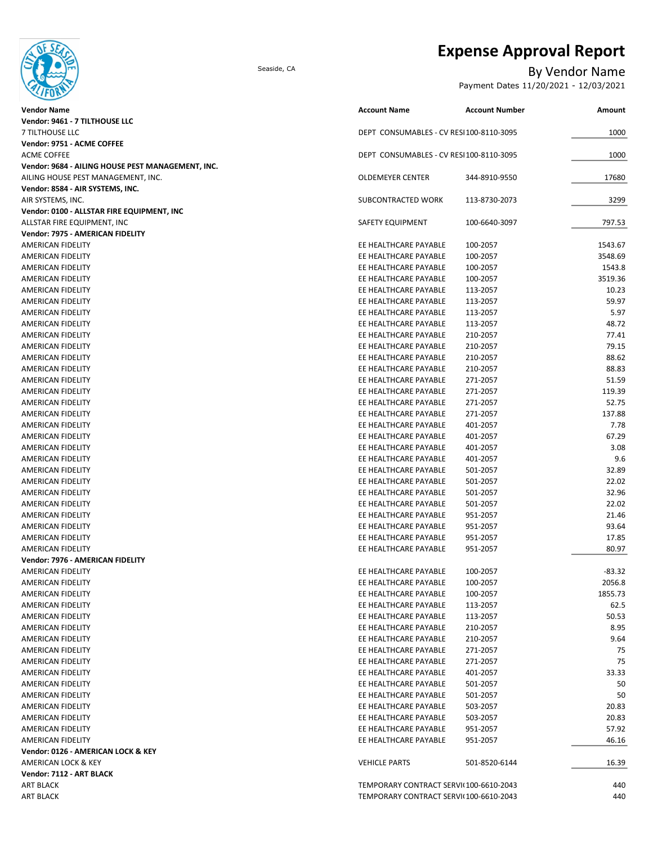

# Expense Approval Report

### Seaside, CA By Vendor Name

Payment Dates 11/20/2021 - 12/03/2021

| <b>Vendor Name</b>                                | <b>Account Name</b>                      | <b>Account Number</b> | Amount   |
|---------------------------------------------------|------------------------------------------|-----------------------|----------|
| Vendor: 9461 - 7 TILTHOUSE LLC                    |                                          |                       |          |
| 7 TILTHOUSE LLC                                   | DEPT CONSUMABLES - CV RESI 100-8110-3095 |                       | 1000     |
| Vendor: 9751 - ACME COFFEE                        |                                          |                       |          |
| ACME COFFEE                                       | DEPT CONSUMABLES - CV RESI 100-8110-3095 |                       | 1000     |
| Vendor: 9684 - AILING HOUSE PEST MANAGEMENT, INC. |                                          |                       |          |
| AILING HOUSE PEST MANAGEMENT, INC.                | OLDEMEYER CENTER                         | 344-8910-9550         | 17680    |
| Vendor: 8584 - AIR SYSTEMS, INC.                  |                                          |                       |          |
| AIR SYSTEMS, INC.                                 | SUBCONTRACTED WORK                       | 113-8730-2073         | 3299     |
| Vendor: 0100 - ALLSTAR FIRE EQUIPMENT, INC        |                                          |                       |          |
| ALLSTAR FIRE EQUIPMENT, INC                       | <b>SAFETY EQUIPMENT</b>                  | 100-6640-3097         | 797.53   |
| Vendor: 7975 - AMERICAN FIDELITY                  |                                          |                       |          |
| AMERICAN FIDELITY                                 | EE HEALTHCARE PAYABLE                    | 100-2057              | 1543.67  |
| AMERICAN FIDELITY                                 | EE HEALTHCARE PAYABLE                    | 100-2057              | 3548.69  |
| AMERICAN FIDELITY                                 | EE HEALTHCARE PAYABLE                    | 100-2057              | 1543.8   |
| AMERICAN FIDELITY                                 | EE HEALTHCARE PAYABLE                    | 100-2057              | 3519.36  |
| AMERICAN FIDELITY                                 | EE HEALTHCARE PAYABLE                    | 113-2057              | 10.23    |
| AMERICAN FIDELITY                                 | EE HEALTHCARE PAYABLE                    | 113-2057              | 59.97    |
| AMERICAN FIDELITY                                 | EE HEALTHCARE PAYABLE                    | 113-2057              | 5.97     |
| AMERICAN FIDELITY                                 | EE HEALTHCARE PAYABLE                    | 113-2057              | 48.72    |
| AMERICAN FIDELITY                                 | EE HEALTHCARE PAYABLE                    | 210-2057              | 77.41    |
| AMERICAN FIDELITY                                 | EE HEALTHCARE PAYABLE                    | 210-2057              | 79.15    |
| AMERICAN FIDELITY                                 | EE HEALTHCARE PAYABLE                    | 210-2057              | 88.62    |
| AMERICAN FIDELITY                                 | EE HEALTHCARE PAYABLE                    | 210-2057              | 88.83    |
| AMERICAN FIDELITY                                 | EE HEALTHCARE PAYABLE                    | 271-2057              | 51.59    |
| AMERICAN FIDELITY                                 | EE HEALTHCARE PAYABLE                    | 271-2057              | 119.39   |
| AMERICAN FIDELITY                                 | EE HEALTHCARE PAYABLE                    | 271-2057              | 52.75    |
| AMERICAN FIDELITY                                 | EE HEALTHCARE PAYABLE                    | 271-2057              | 137.88   |
| AMERICAN FIDELITY                                 | EE HEALTHCARE PAYABLE                    | 401-2057              | 7.78     |
| AMERICAN FIDELITY                                 | EE HEALTHCARE PAYABLE                    | 401-2057              | 67.29    |
| AMERICAN FIDELITY                                 | EE HEALTHCARE PAYABLE                    | 401-2057              | 3.08     |
| AMERICAN FIDELITY                                 | EE HEALTHCARE PAYABLE                    | 401-2057              | 9.6      |
| AMERICAN FIDELITY                                 | EE HEALTHCARE PAYABLE                    | 501-2057              | 32.89    |
| AMERICAN FIDELITY                                 | EE HEALTHCARE PAYABLE                    | 501-2057              | 22.02    |
| AMERICAN FIDELITY                                 | EE HEALTHCARE PAYABLE                    | 501-2057              | 32.96    |
| AMERICAN FIDELITY                                 | EE HEALTHCARE PAYABLE                    | 501-2057              | 22.02    |
| AMERICAN FIDELITY                                 | EE HEALTHCARE PAYABLE                    | 951-2057              | 21.46    |
| AMERICAN FIDELITY                                 | EE HEALTHCARE PAYABLE                    | 951-2057              | 93.64    |
| AMERICAN FIDELITY                                 | EE HEALTHCARE PAYABLE                    | 951-2057              | 17.85    |
| AMERICAN FIDELITY                                 | EE HEALTHCARE PAYABLE                    | 951-2057              | 80.97    |
| Vendor: 7976 - AMERICAN FIDELITY                  |                                          |                       |          |
| <b>AMERICAN FIDELITY</b>                          | EE HEALTHCARE PAYABLE                    | 100-2057              | $-83.32$ |
| AMERICAN FIDELITY                                 | EE HEALTHCARE PAYABLE                    | 100-2057              | 2056.8   |
| AMERICAN FIDELITY                                 | EE HEALTHCARE PAYABLE                    | 100-2057              | 1855.73  |
| <b>AMERICAN FIDELITY</b>                          | EE HEALTHCARE PAYABLE                    | 113-2057              | 62.5     |
| AMERICAN FIDELITY                                 | EE HEALTHCARE PAYABLE                    | 113-2057              | 50.53    |
| AMERICAN FIDELITY                                 | EE HEALTHCARE PAYABLE                    | 210-2057              | 8.95     |
| AMERICAN FIDELITY                                 | EE HEALTHCARE PAYABLE                    | 210-2057              | 9.64     |
| AMERICAN FIDELITY                                 | EE HEALTHCARE PAYABLE                    | 271-2057              | 75       |
| AMERICAN FIDELITY                                 | EE HEALTHCARE PAYABLE                    | 271-2057              | 75       |
| AMERICAN FIDELITY                                 | EE HEALTHCARE PAYABLE                    | 401-2057              | 33.33    |
| AMERICAN FIDELITY                                 | EE HEALTHCARE PAYABLE                    | 501-2057              | 50       |
| AMERICAN FIDELITY                                 | EE HEALTHCARE PAYABLE                    | 501-2057              | 50       |
| AMERICAN FIDELITY                                 | EE HEALTHCARE PAYABLE                    | 503-2057              | 20.83    |
| AMERICAN FIDELITY                                 | EE HEALTHCARE PAYABLE                    | 503-2057              | 20.83    |
| AMERICAN FIDELITY                                 | EE HEALTHCARE PAYABLE                    | 951-2057              | 57.92    |
| AMERICAN FIDELITY                                 | EE HEALTHCARE PAYABLE                    | 951-2057              | 46.16    |
| Vendor: 0126 - AMERICAN LOCK & KEY                |                                          |                       |          |
| AMERICAN LOCK & KEY                               | <b>VEHICLE PARTS</b>                     | 501-8520-6144         | 16.39    |
| Vendor: 7112 - ART BLACK                          |                                          |                       |          |
| <b>ART BLACK</b>                                  | TEMPORARY CONTRACT SERVI(100-6610-2043   |                       | 440      |
| <b>ART BLACK</b>                                  | TEMPORARY CONTRACT SERVII 100-6610-2043  |                       | 440      |
|                                                   |                                          |                       |          |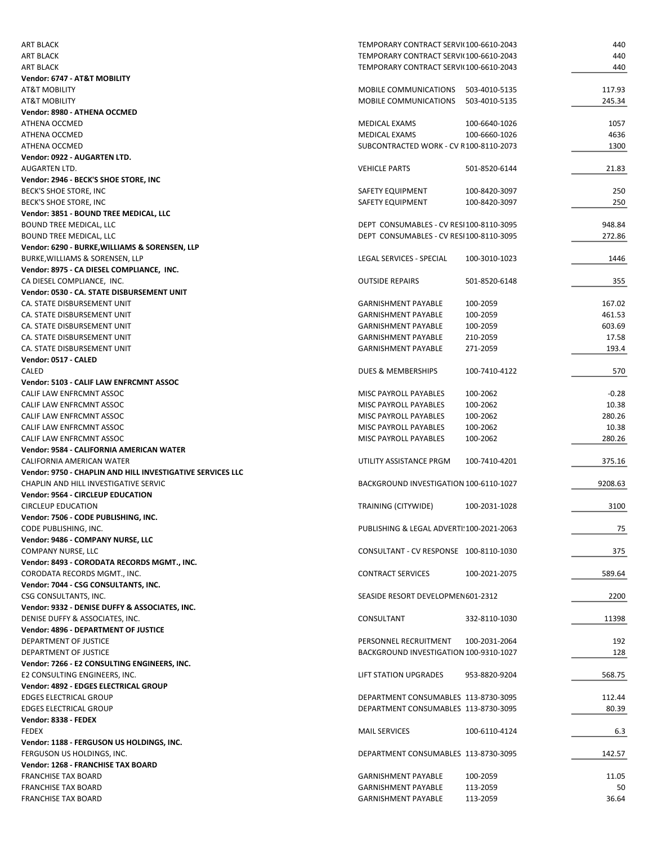| <b>ART BLACK</b>                                           | TEMPORARY CONTRACT SERVI(100-6610-2043    |               | 440     |
|------------------------------------------------------------|-------------------------------------------|---------------|---------|
| <b>ART BLACK</b>                                           | TEMPORARY CONTRACT SERVI(100-6610-2043    |               | 440     |
| <b>ART BLACK</b>                                           | TEMPORARY CONTRACT SERVI(100-6610-2043    |               | 440     |
| Vendor: 6747 - AT&T MOBILITY                               |                                           |               |         |
| <b>AT&amp;T MOBILITY</b>                                   | MOBILE COMMUNICATIONS                     | 503-4010-5135 | 117.93  |
| <b>AT&amp;T MOBILITY</b>                                   | <b>MOBILE COMMUNICATIONS</b>              | 503-4010-5135 | 245.34  |
| Vendor: 8980 - ATHENA OCCMED                               |                                           |               |         |
| ATHENA OCCMED                                              | MEDICAL EXAMS                             | 100-6640-1026 | 1057    |
| ATHENA OCCMED                                              | MEDICAL EXAMS                             | 100-6660-1026 | 4636    |
| <b>ATHENA OCCMED</b>                                       | SUBCONTRACTED WORK - CV R100-8110-2073    |               | 1300    |
| Vendor: 0922 - AUGARTEN LTD.                               |                                           |               |         |
| <b>AUGARTEN LTD.</b>                                       | <b>VEHICLE PARTS</b>                      | 501-8520-6144 | 21.83   |
| Vendor: 2946 - BECK'S SHOE STORE, INC                      |                                           |               |         |
| BECK'S SHOE STORE, INC                                     | SAFETY EQUIPMENT                          | 100-8420-3097 | 250     |
| BECK'S SHOE STORE, INC                                     | SAFETY EQUIPMENT                          | 100-8420-3097 | 250     |
| Vendor: 3851 - BOUND TREE MEDICAL, LLC                     |                                           |               |         |
| BOUND TREE MEDICAL, LLC                                    | DEPT CONSUMABLES - CV RESI100-8110-3095   |               | 948.84  |
| <b>BOUND TREE MEDICAL, LLC</b>                             | DEPT CONSUMABLES - CV RESI100-8110-3095   |               | 272.86  |
| Vendor: 6290 - BURKE, WILLIAMS & SORENSEN, LLP             |                                           |               |         |
| BURKE, WILLIAMS & SORENSEN, LLP                            | LEGAL SERVICES - SPECIAL                  | 100-3010-1023 | 1446    |
| Vendor: 8975 - CA DIESEL COMPLIANCE, INC.                  |                                           |               |         |
| CA DIESEL COMPLIANCE, INC.                                 | <b>OUTSIDE REPAIRS</b>                    | 501-8520-6148 | 355     |
| Vendor: 0530 - CA. STATE DISBURSEMENT UNIT                 |                                           |               |         |
| CA. STATE DISBURSEMENT UNIT                                | <b>GARNISHMENT PAYABLE</b>                | 100-2059      | 167.02  |
| CA. STATE DISBURSEMENT UNIT                                | <b>GARNISHMENT PAYABLE</b>                | 100-2059      | 461.53  |
| CA. STATE DISBURSEMENT UNIT                                | <b>GARNISHMENT PAYABLE</b>                | 100-2059      | 603.69  |
| CA. STATE DISBURSEMENT UNIT                                | <b>GARNISHMENT PAYABLE</b>                | 210-2059      | 17.58   |
| CA. STATE DISBURSEMENT UNIT                                | <b>GARNISHMENT PAYABLE</b>                | 271-2059      | 193.4   |
| Vendor: 0517 - CALED                                       |                                           |               |         |
| CALED                                                      | <b>DUES &amp; MEMBERSHIPS</b>             | 100-7410-4122 | 570     |
| Vendor: 5103 - CALIF LAW ENFRCMNT ASSOC                    |                                           |               |         |
| CALIF LAW ENFRCMNT ASSOC                                   | MISC PAYROLL PAYABLES                     | 100-2062      | $-0.28$ |
| CALIF LAW ENFRCMNT ASSOC                                   | MISC PAYROLL PAYABLES                     | 100-2062      | 10.38   |
| CALIF LAW ENFRCMNT ASSOC                                   | MISC PAYROLL PAYABLES                     | 100-2062      | 280.26  |
| CALIF LAW ENFRCMNT ASSOC                                   | MISC PAYROLL PAYABLES                     | 100-2062      | 10.38   |
| CALIF LAW ENFRCMNT ASSOC                                   | MISC PAYROLL PAYABLES                     | 100-2062      | 280.26  |
| Vendor: 9584 - CALIFORNIA AMERICAN WATER                   |                                           |               |         |
| CALIFORNIA AMERICAN WATER                                  | UTILITY ASSISTANCE PRGM                   | 100-7410-4201 | 375.16  |
| Vendor: 9750 - CHAPLIN AND HILL INVESTIGATIVE SERVICES LLC |                                           |               |         |
| CHAPLIN AND HILL INVESTIGATIVE SERVIC                      | BACKGROUND INVESTIGATION 100-6110-1027    |               | 9208.63 |
| <b>Vendor: 9564 - CIRCLEUP EDUCATION</b>                   |                                           |               |         |
| <b>CIRCLEUP EDUCATION</b>                                  | TRAINING (CITYWIDE)                       | 100-2031-1028 | 3100    |
| Vendor: 7506 - CODE PUBLISHING, INC.                       |                                           |               |         |
| CODE PUBLISHING, INC.                                      | PUBLISHING & LEGAL ADVERTI! 100-2021-2063 |               | 75      |
| Vendor: 9486 - COMPANY NURSE, LLC                          |                                           |               |         |
| <b>COMPANY NURSE, LLC</b>                                  | CONSULTANT - CV RESPONSE 100-8110-1030    |               | 375     |
| Vendor: 8493 - CORODATA RECORDS MGMT., INC.                |                                           |               |         |
| CORODATA RECORDS MGMT., INC.                               | <b>CONTRACT SERVICES</b>                  | 100-2021-2075 | 589.64  |
| Vendor: 7044 - CSG CONSULTANTS, INC.                       |                                           |               |         |
|                                                            | SEASIDE RESORT DEVELOPMEN 601-2312        |               |         |
| CSG CONSULTANTS, INC.                                      |                                           |               | 2200    |
| Vendor: 9332 - DENISE DUFFY & ASSOCIATES, INC.             |                                           |               |         |
| DENISE DUFFY & ASSOCIATES, INC.                            | CONSULTANT                                | 332-8110-1030 | 11398   |
| <b>Vendor: 4896 - DEPARTMENT OF JUSTICE</b>                |                                           |               |         |
| DEPARTMENT OF JUSTICE                                      | PERSONNEL RECRUITMENT                     | 100-2031-2064 | 192     |
| DEPARTMENT OF JUSTICE                                      | BACKGROUND INVESTIGATION 100-9310-1027    |               | 128     |
| Vendor: 7266 - E2 CONSULTING ENGINEERS, INC.               |                                           |               |         |
| E2 CONSULTING ENGINEERS, INC.                              | LIFT STATION UPGRADES                     | 953-8820-9204 | 568.75  |
| Vendor: 4892 - EDGES ELECTRICAL GROUP                      |                                           |               |         |
| <b>EDGES ELECTRICAL GROUP</b>                              | DEPARTMENT CONSUMABLES 113-8730-3095      |               | 112.44  |
| <b>EDGES ELECTRICAL GROUP</b>                              | DEPARTMENT CONSUMABLES 113-8730-3095      |               | 80.39   |
| Vendor: 8338 - FEDEX                                       |                                           |               |         |
| <b>FEDEX</b>                                               | <b>MAIL SERVICES</b>                      | 100-6110-4124 | 6.3     |
| Vendor: 1188 - FERGUSON US HOLDINGS, INC.                  |                                           |               |         |
| FERGUSON US HOLDINGS, INC.                                 | DEPARTMENT CONSUMABLES 113-8730-3095      |               | 142.57  |
| Vendor: 1268 - FRANCHISE TAX BOARD                         |                                           |               |         |
| <b>FRANCHISE TAX BOARD</b>                                 | <b>GARNISHMENT PAYABLE</b>                | 100-2059      | 11.05   |
| <b>FRANCHISE TAX BOARD</b>                                 | <b>GARNISHMENT PAYABLE</b>                | 113-2059      | 50      |
| <b>FRANCHISE TAX BOARD</b>                                 | <b>GARNISHMENT PAYABLE</b>                | 113-2059      | 36.64   |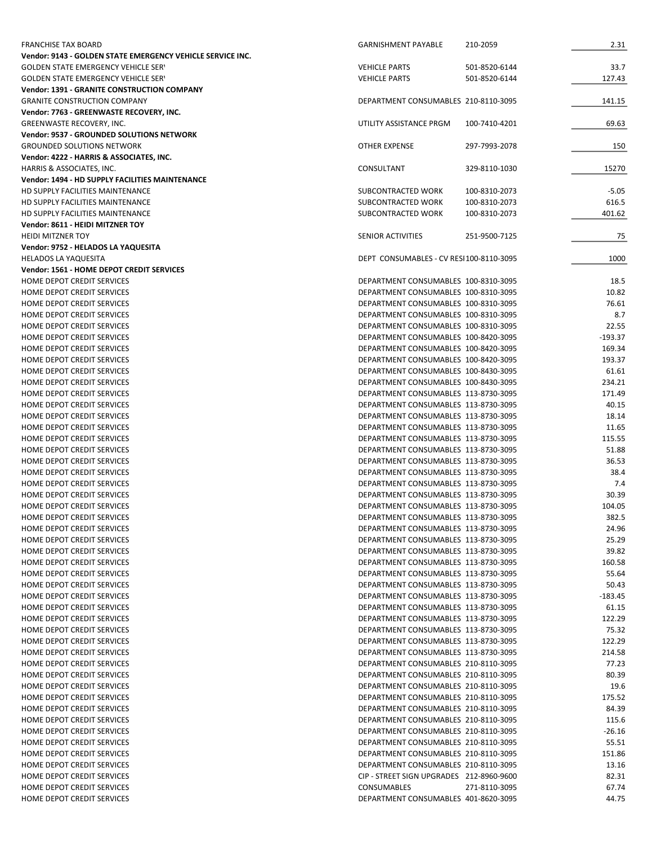| <b>GOLDEN STATE EMERGENCY VEHICLE SERY</b><br><b>VEHICLE PARTS</b><br>501-8520-6144<br>33.7<br><b>GOLDEN STATE EMERGENCY VEHICLE SERY</b><br><b>VEHICLE PARTS</b><br>501-8520-6144<br>127.43<br><b>Vendor: 1391 - GRANITE CONSTRUCTION COMPANY</b><br><b>GRANITE CONSTRUCTION COMPANY</b><br>DEPARTMENT CONSUMABLES 210-8110-3095<br>141.15<br>Vendor: 7763 - GREENWASTE RECOVERY, INC.<br>GREENWASTE RECOVERY, INC.<br>UTILITY ASSISTANCE PRGM<br>69.63<br>100-7410-4201<br>Vendor: 9537 - GROUNDED SOLUTIONS NETWORK<br><b>GROUNDED SOLUTIONS NETWORK</b><br><b>OTHER EXPENSE</b><br>150<br>297-7993-2078<br>Vendor: 4222 - HARRIS & ASSOCIATES, INC.<br>HARRIS & ASSOCIATES, INC.<br>CONSULTANT<br>329-8110-1030<br>15270<br>Vendor: 1494 - HD SUPPLY FACILITIES MAINTENANCE<br>HD SUPPLY FACILITIES MAINTENANCE<br>$-5.05$<br>SUBCONTRACTED WORK<br>100-8310-2073<br>HD SUPPLY FACILITIES MAINTENANCE<br>SUBCONTRACTED WORK<br>100-8310-2073<br>616.5<br>HD SUPPLY FACILITIES MAINTENANCE<br>SUBCONTRACTED WORK<br>100-8310-2073<br>401.62<br>Vendor: 8611 - HEIDI MITZNER TOY<br><b>HEIDI MITZNER TOY</b><br>SENIOR ACTIVITIES<br>251-9500-7125<br>75<br>Vendor: 9752 - HELADOS LA YAQUESITA<br>1000<br><b>HELADOS LA YAQUESITA</b><br>DEPT CONSUMABLES - CV RESI100-8110-3095<br>Vendor: 1561 - HOME DEPOT CREDIT SERVICES<br>HOME DEPOT CREDIT SERVICES<br>18.5<br>DEPARTMENT CONSUMABLES 100-8310-3095<br>10.82<br>HOME DEPOT CREDIT SERVICES<br>DEPARTMENT CONSUMABLES 100-8310-3095<br>76.61<br>HOME DEPOT CREDIT SERVICES<br>DEPARTMENT CONSUMABLES 100-8310-3095<br>8.7<br>HOME DEPOT CREDIT SERVICES<br>DEPARTMENT CONSUMABLES 100-8310-3095<br>22.55<br>HOME DEPOT CREDIT SERVICES<br>DEPARTMENT CONSUMABLES 100-8310-3095<br>$-193.37$<br>HOME DEPOT CREDIT SERVICES<br>DEPARTMENT CONSUMABLES 100-8420-3095<br>HOME DEPOT CREDIT SERVICES<br>DEPARTMENT CONSUMABLES 100-8420-3095<br>169.34<br>HOME DEPOT CREDIT SERVICES<br>DEPARTMENT CONSUMABLES 100-8420-3095<br>193.37<br>HOME DEPOT CREDIT SERVICES<br>DEPARTMENT CONSUMABLES 100-8430-3095<br>61.61<br>HOME DEPOT CREDIT SERVICES<br>DEPARTMENT CONSUMABLES 100-8430-3095<br>234.21<br>HOME DEPOT CREDIT SERVICES<br>DEPARTMENT CONSUMABLES 113-8730-3095<br>171.49<br>HOME DEPOT CREDIT SERVICES<br>DEPARTMENT CONSUMABLES 113-8730-3095<br>40.15<br>HOME DEPOT CREDIT SERVICES<br>DEPARTMENT CONSUMABLES 113-8730-3095<br>18.14<br>HOME DEPOT CREDIT SERVICES<br>DEPARTMENT CONSUMABLES 113-8730-3095<br>11.65<br>HOME DEPOT CREDIT SERVICES<br>DEPARTMENT CONSUMABLES 113-8730-3095<br>115.55<br>51.88<br>HOME DEPOT CREDIT SERVICES<br>DEPARTMENT CONSUMABLES 113-8730-3095<br>HOME DEPOT CREDIT SERVICES<br>DEPARTMENT CONSUMABLES 113-8730-3095<br>36.53<br>DEPARTMENT CONSUMABLES 113-8730-3095<br>38.4<br>HOME DEPOT CREDIT SERVICES<br>HOME DEPOT CREDIT SERVICES<br>DEPARTMENT CONSUMABLES 113-8730-3095<br>7.4<br>DEPARTMENT CONSUMABLES 113-8730-3095<br>30.39<br>HOME DEPOT CREDIT SERVICES<br>HOME DEPOT CREDIT SERVICES<br>DEPARTMENT CONSUMABLES 113-8730-3095<br>104.05<br>382.5<br>HOME DEPOT CREDIT SERVICES<br>DEPARTMENT CONSUMABLES 113-8730-3095<br>HOME DEPOT CREDIT SERVICES<br>DEPARTMENT CONSUMABLES 113-8730-3095<br>24.96<br>25.29<br>HOME DEPOT CREDIT SERVICES<br>DEPARTMENT CONSUMABLES 113-8730-3095<br>39.82<br>HOME DEPOT CREDIT SERVICES<br>DEPARTMENT CONSUMABLES 113-8730-3095<br>HOME DEPOT CREDIT SERVICES<br>DEPARTMENT CONSUMABLES 113-8730-3095<br>160.58<br>HOME DEPOT CREDIT SERVICES<br>DEPARTMENT CONSUMABLES 113-8730-3095<br>55.64<br>HOME DEPOT CREDIT SERVICES<br>DEPARTMENT CONSUMABLES 113-8730-3095<br>50.43<br>HOME DEPOT CREDIT SERVICES<br>DEPARTMENT CONSUMABLES 113-8730-3095<br>$-183.45$<br>HOME DEPOT CREDIT SERVICES<br>DEPARTMENT CONSUMABLES 113-8730-3095<br>61.15<br>HOME DEPOT CREDIT SERVICES<br>DEPARTMENT CONSUMABLES 113-8730-3095<br>122.29<br>HOME DEPOT CREDIT SERVICES<br>DEPARTMENT CONSUMABLES 113-8730-3095<br>75.32<br>HOME DEPOT CREDIT SERVICES<br>DEPARTMENT CONSUMABLES 113-8730-3095<br>122.29<br>DEPARTMENT CONSUMABLES 113-8730-3095<br>214.58<br>HOME DEPOT CREDIT SERVICES<br>HOME DEPOT CREDIT SERVICES<br>DEPARTMENT CONSUMABLES 210-8110-3095<br>77.23<br>HOME DEPOT CREDIT SERVICES<br>DEPARTMENT CONSUMABLES 210-8110-3095<br>80.39<br>HOME DEPOT CREDIT SERVICES<br>DEPARTMENT CONSUMABLES 210-8110-3095<br>19.6<br>HOME DEPOT CREDIT SERVICES<br>DEPARTMENT CONSUMABLES 210-8110-3095<br>175.52<br>HOME DEPOT CREDIT SERVICES<br>DEPARTMENT CONSUMABLES 210-8110-3095<br>84.39<br>HOME DEPOT CREDIT SERVICES<br>DEPARTMENT CONSUMABLES 210-8110-3095<br>115.6<br>DEPARTMENT CONSUMABLES 210-8110-3095<br>$-26.16$<br>HOME DEPOT CREDIT SERVICES<br>HOME DEPOT CREDIT SERVICES<br>DEPARTMENT CONSUMABLES 210-8110-3095<br>55.51<br>HOME DEPOT CREDIT SERVICES<br>DEPARTMENT CONSUMABLES 210-8110-3095<br>151.86<br>HOME DEPOT CREDIT SERVICES<br>DEPARTMENT CONSUMABLES 210-8110-3095<br>13.16<br>HOME DEPOT CREDIT SERVICES<br>CIP - STREET SIGN UPGRADES 212-8960-9600<br>82.31<br>HOME DEPOT CREDIT SERVICES<br><b>CONSUMABLES</b><br>67.74<br>271-8110-3095<br>HOME DEPOT CREDIT SERVICES<br>DEPARTMENT CONSUMABLES 401-8620-3095<br>44.75 | <b>FRANCHISE TAX BOARD</b>                                 | <b>GARNISHMENT PAYABLE</b> | 210-2059 | 2.31 |
|----------------------------------------------------------------------------------------------------------------------------------------------------------------------------------------------------------------------------------------------------------------------------------------------------------------------------------------------------------------------------------------------------------------------------------------------------------------------------------------------------------------------------------------------------------------------------------------------------------------------------------------------------------------------------------------------------------------------------------------------------------------------------------------------------------------------------------------------------------------------------------------------------------------------------------------------------------------------------------------------------------------------------------------------------------------------------------------------------------------------------------------------------------------------------------------------------------------------------------------------------------------------------------------------------------------------------------------------------------------------------------------------------------------------------------------------------------------------------------------------------------------------------------------------------------------------------------------------------------------------------------------------------------------------------------------------------------------------------------------------------------------------------------------------------------------------------------------------------------------------------------------------------------------------------------------------------------------------------------------------------------------------------------------------------------------------------------------------------------------------------------------------------------------------------------------------------------------------------------------------------------------------------------------------------------------------------------------------------------------------------------------------------------------------------------------------------------------------------------------------------------------------------------------------------------------------------------------------------------------------------------------------------------------------------------------------------------------------------------------------------------------------------------------------------------------------------------------------------------------------------------------------------------------------------------------------------------------------------------------------------------------------------------------------------------------------------------------------------------------------------------------------------------------------------------------------------------------------------------------------------------------------------------------------------------------------------------------------------------------------------------------------------------------------------------------------------------------------------------------------------------------------------------------------------------------------------------------------------------------------------------------------------------------------------------------------------------------------------------------------------------------------------------------------------------------------------------------------------------------------------------------------------------------------------------------------------------------------------------------------------------------------------------------------------------------------------------------------------------------------------------------------------------------------------------------------------------------------------------------------------------------------------------------------------------------------------------------------------------------------------------------------------------------------------------------------------------------------------------------------------------------------------------------------------------------------------------------------------------------------------------------------------------------------------------------------------------------------------------------------------------------------------------------------------------------------------------------------------------------------------------------------------------------------------------------------------------------------------------------------------------------------------------------------------------------------------------------------------------------------------------------------------------------------------------------------------------------------|------------------------------------------------------------|----------------------------|----------|------|
|                                                                                                                                                                                                                                                                                                                                                                                                                                                                                                                                                                                                                                                                                                                                                                                                                                                                                                                                                                                                                                                                                                                                                                                                                                                                                                                                                                                                                                                                                                                                                                                                                                                                                                                                                                                                                                                                                                                                                                                                                                                                                                                                                                                                                                                                                                                                                                                                                                                                                                                                                                                                                                                                                                                                                                                                                                                                                                                                                                                                                                                                                                                                                                                                                                                                                                                                                                                                                                                                                                                                                                                                                                                                                                                                                                                                                                                                                                                                                                                                                                                                                                                                                                                                                                                                                                                                                                                                                                                                                                                                                                                                                                                                                                                                                                                                                                                                                                                                                                                                                                                                                                                                                                                                                      | Vendor: 9143 - GOLDEN STATE EMERGENCY VEHICLE SERVICE INC. |                            |          |      |
|                                                                                                                                                                                                                                                                                                                                                                                                                                                                                                                                                                                                                                                                                                                                                                                                                                                                                                                                                                                                                                                                                                                                                                                                                                                                                                                                                                                                                                                                                                                                                                                                                                                                                                                                                                                                                                                                                                                                                                                                                                                                                                                                                                                                                                                                                                                                                                                                                                                                                                                                                                                                                                                                                                                                                                                                                                                                                                                                                                                                                                                                                                                                                                                                                                                                                                                                                                                                                                                                                                                                                                                                                                                                                                                                                                                                                                                                                                                                                                                                                                                                                                                                                                                                                                                                                                                                                                                                                                                                                                                                                                                                                                                                                                                                                                                                                                                                                                                                                                                                                                                                                                                                                                                                                      |                                                            |                            |          |      |
|                                                                                                                                                                                                                                                                                                                                                                                                                                                                                                                                                                                                                                                                                                                                                                                                                                                                                                                                                                                                                                                                                                                                                                                                                                                                                                                                                                                                                                                                                                                                                                                                                                                                                                                                                                                                                                                                                                                                                                                                                                                                                                                                                                                                                                                                                                                                                                                                                                                                                                                                                                                                                                                                                                                                                                                                                                                                                                                                                                                                                                                                                                                                                                                                                                                                                                                                                                                                                                                                                                                                                                                                                                                                                                                                                                                                                                                                                                                                                                                                                                                                                                                                                                                                                                                                                                                                                                                                                                                                                                                                                                                                                                                                                                                                                                                                                                                                                                                                                                                                                                                                                                                                                                                                                      |                                                            |                            |          |      |
|                                                                                                                                                                                                                                                                                                                                                                                                                                                                                                                                                                                                                                                                                                                                                                                                                                                                                                                                                                                                                                                                                                                                                                                                                                                                                                                                                                                                                                                                                                                                                                                                                                                                                                                                                                                                                                                                                                                                                                                                                                                                                                                                                                                                                                                                                                                                                                                                                                                                                                                                                                                                                                                                                                                                                                                                                                                                                                                                                                                                                                                                                                                                                                                                                                                                                                                                                                                                                                                                                                                                                                                                                                                                                                                                                                                                                                                                                                                                                                                                                                                                                                                                                                                                                                                                                                                                                                                                                                                                                                                                                                                                                                                                                                                                                                                                                                                                                                                                                                                                                                                                                                                                                                                                                      |                                                            |                            |          |      |
|                                                                                                                                                                                                                                                                                                                                                                                                                                                                                                                                                                                                                                                                                                                                                                                                                                                                                                                                                                                                                                                                                                                                                                                                                                                                                                                                                                                                                                                                                                                                                                                                                                                                                                                                                                                                                                                                                                                                                                                                                                                                                                                                                                                                                                                                                                                                                                                                                                                                                                                                                                                                                                                                                                                                                                                                                                                                                                                                                                                                                                                                                                                                                                                                                                                                                                                                                                                                                                                                                                                                                                                                                                                                                                                                                                                                                                                                                                                                                                                                                                                                                                                                                                                                                                                                                                                                                                                                                                                                                                                                                                                                                                                                                                                                                                                                                                                                                                                                                                                                                                                                                                                                                                                                                      |                                                            |                            |          |      |
|                                                                                                                                                                                                                                                                                                                                                                                                                                                                                                                                                                                                                                                                                                                                                                                                                                                                                                                                                                                                                                                                                                                                                                                                                                                                                                                                                                                                                                                                                                                                                                                                                                                                                                                                                                                                                                                                                                                                                                                                                                                                                                                                                                                                                                                                                                                                                                                                                                                                                                                                                                                                                                                                                                                                                                                                                                                                                                                                                                                                                                                                                                                                                                                                                                                                                                                                                                                                                                                                                                                                                                                                                                                                                                                                                                                                                                                                                                                                                                                                                                                                                                                                                                                                                                                                                                                                                                                                                                                                                                                                                                                                                                                                                                                                                                                                                                                                                                                                                                                                                                                                                                                                                                                                                      |                                                            |                            |          |      |
|                                                                                                                                                                                                                                                                                                                                                                                                                                                                                                                                                                                                                                                                                                                                                                                                                                                                                                                                                                                                                                                                                                                                                                                                                                                                                                                                                                                                                                                                                                                                                                                                                                                                                                                                                                                                                                                                                                                                                                                                                                                                                                                                                                                                                                                                                                                                                                                                                                                                                                                                                                                                                                                                                                                                                                                                                                                                                                                                                                                                                                                                                                                                                                                                                                                                                                                                                                                                                                                                                                                                                                                                                                                                                                                                                                                                                                                                                                                                                                                                                                                                                                                                                                                                                                                                                                                                                                                                                                                                                                                                                                                                                                                                                                                                                                                                                                                                                                                                                                                                                                                                                                                                                                                                                      |                                                            |                            |          |      |
|                                                                                                                                                                                                                                                                                                                                                                                                                                                                                                                                                                                                                                                                                                                                                                                                                                                                                                                                                                                                                                                                                                                                                                                                                                                                                                                                                                                                                                                                                                                                                                                                                                                                                                                                                                                                                                                                                                                                                                                                                                                                                                                                                                                                                                                                                                                                                                                                                                                                                                                                                                                                                                                                                                                                                                                                                                                                                                                                                                                                                                                                                                                                                                                                                                                                                                                                                                                                                                                                                                                                                                                                                                                                                                                                                                                                                                                                                                                                                                                                                                                                                                                                                                                                                                                                                                                                                                                                                                                                                                                                                                                                                                                                                                                                                                                                                                                                                                                                                                                                                                                                                                                                                                                                                      |                                                            |                            |          |      |
|                                                                                                                                                                                                                                                                                                                                                                                                                                                                                                                                                                                                                                                                                                                                                                                                                                                                                                                                                                                                                                                                                                                                                                                                                                                                                                                                                                                                                                                                                                                                                                                                                                                                                                                                                                                                                                                                                                                                                                                                                                                                                                                                                                                                                                                                                                                                                                                                                                                                                                                                                                                                                                                                                                                                                                                                                                                                                                                                                                                                                                                                                                                                                                                                                                                                                                                                                                                                                                                                                                                                                                                                                                                                                                                                                                                                                                                                                                                                                                                                                                                                                                                                                                                                                                                                                                                                                                                                                                                                                                                                                                                                                                                                                                                                                                                                                                                                                                                                                                                                                                                                                                                                                                                                                      |                                                            |                            |          |      |
|                                                                                                                                                                                                                                                                                                                                                                                                                                                                                                                                                                                                                                                                                                                                                                                                                                                                                                                                                                                                                                                                                                                                                                                                                                                                                                                                                                                                                                                                                                                                                                                                                                                                                                                                                                                                                                                                                                                                                                                                                                                                                                                                                                                                                                                                                                                                                                                                                                                                                                                                                                                                                                                                                                                                                                                                                                                                                                                                                                                                                                                                                                                                                                                                                                                                                                                                                                                                                                                                                                                                                                                                                                                                                                                                                                                                                                                                                                                                                                                                                                                                                                                                                                                                                                                                                                                                                                                                                                                                                                                                                                                                                                                                                                                                                                                                                                                                                                                                                                                                                                                                                                                                                                                                                      |                                                            |                            |          |      |
|                                                                                                                                                                                                                                                                                                                                                                                                                                                                                                                                                                                                                                                                                                                                                                                                                                                                                                                                                                                                                                                                                                                                                                                                                                                                                                                                                                                                                                                                                                                                                                                                                                                                                                                                                                                                                                                                                                                                                                                                                                                                                                                                                                                                                                                                                                                                                                                                                                                                                                                                                                                                                                                                                                                                                                                                                                                                                                                                                                                                                                                                                                                                                                                                                                                                                                                                                                                                                                                                                                                                                                                                                                                                                                                                                                                                                                                                                                                                                                                                                                                                                                                                                                                                                                                                                                                                                                                                                                                                                                                                                                                                                                                                                                                                                                                                                                                                                                                                                                                                                                                                                                                                                                                                                      |                                                            |                            |          |      |
|                                                                                                                                                                                                                                                                                                                                                                                                                                                                                                                                                                                                                                                                                                                                                                                                                                                                                                                                                                                                                                                                                                                                                                                                                                                                                                                                                                                                                                                                                                                                                                                                                                                                                                                                                                                                                                                                                                                                                                                                                                                                                                                                                                                                                                                                                                                                                                                                                                                                                                                                                                                                                                                                                                                                                                                                                                                                                                                                                                                                                                                                                                                                                                                                                                                                                                                                                                                                                                                                                                                                                                                                                                                                                                                                                                                                                                                                                                                                                                                                                                                                                                                                                                                                                                                                                                                                                                                                                                                                                                                                                                                                                                                                                                                                                                                                                                                                                                                                                                                                                                                                                                                                                                                                                      |                                                            |                            |          |      |
|                                                                                                                                                                                                                                                                                                                                                                                                                                                                                                                                                                                                                                                                                                                                                                                                                                                                                                                                                                                                                                                                                                                                                                                                                                                                                                                                                                                                                                                                                                                                                                                                                                                                                                                                                                                                                                                                                                                                                                                                                                                                                                                                                                                                                                                                                                                                                                                                                                                                                                                                                                                                                                                                                                                                                                                                                                                                                                                                                                                                                                                                                                                                                                                                                                                                                                                                                                                                                                                                                                                                                                                                                                                                                                                                                                                                                                                                                                                                                                                                                                                                                                                                                                                                                                                                                                                                                                                                                                                                                                                                                                                                                                                                                                                                                                                                                                                                                                                                                                                                                                                                                                                                                                                                                      |                                                            |                            |          |      |
|                                                                                                                                                                                                                                                                                                                                                                                                                                                                                                                                                                                                                                                                                                                                                                                                                                                                                                                                                                                                                                                                                                                                                                                                                                                                                                                                                                                                                                                                                                                                                                                                                                                                                                                                                                                                                                                                                                                                                                                                                                                                                                                                                                                                                                                                                                                                                                                                                                                                                                                                                                                                                                                                                                                                                                                                                                                                                                                                                                                                                                                                                                                                                                                                                                                                                                                                                                                                                                                                                                                                                                                                                                                                                                                                                                                                                                                                                                                                                                                                                                                                                                                                                                                                                                                                                                                                                                                                                                                                                                                                                                                                                                                                                                                                                                                                                                                                                                                                                                                                                                                                                                                                                                                                                      |                                                            |                            |          |      |
|                                                                                                                                                                                                                                                                                                                                                                                                                                                                                                                                                                                                                                                                                                                                                                                                                                                                                                                                                                                                                                                                                                                                                                                                                                                                                                                                                                                                                                                                                                                                                                                                                                                                                                                                                                                                                                                                                                                                                                                                                                                                                                                                                                                                                                                                                                                                                                                                                                                                                                                                                                                                                                                                                                                                                                                                                                                                                                                                                                                                                                                                                                                                                                                                                                                                                                                                                                                                                                                                                                                                                                                                                                                                                                                                                                                                                                                                                                                                                                                                                                                                                                                                                                                                                                                                                                                                                                                                                                                                                                                                                                                                                                                                                                                                                                                                                                                                                                                                                                                                                                                                                                                                                                                                                      |                                                            |                            |          |      |
|                                                                                                                                                                                                                                                                                                                                                                                                                                                                                                                                                                                                                                                                                                                                                                                                                                                                                                                                                                                                                                                                                                                                                                                                                                                                                                                                                                                                                                                                                                                                                                                                                                                                                                                                                                                                                                                                                                                                                                                                                                                                                                                                                                                                                                                                                                                                                                                                                                                                                                                                                                                                                                                                                                                                                                                                                                                                                                                                                                                                                                                                                                                                                                                                                                                                                                                                                                                                                                                                                                                                                                                                                                                                                                                                                                                                                                                                                                                                                                                                                                                                                                                                                                                                                                                                                                                                                                                                                                                                                                                                                                                                                                                                                                                                                                                                                                                                                                                                                                                                                                                                                                                                                                                                                      |                                                            |                            |          |      |
|                                                                                                                                                                                                                                                                                                                                                                                                                                                                                                                                                                                                                                                                                                                                                                                                                                                                                                                                                                                                                                                                                                                                                                                                                                                                                                                                                                                                                                                                                                                                                                                                                                                                                                                                                                                                                                                                                                                                                                                                                                                                                                                                                                                                                                                                                                                                                                                                                                                                                                                                                                                                                                                                                                                                                                                                                                                                                                                                                                                                                                                                                                                                                                                                                                                                                                                                                                                                                                                                                                                                                                                                                                                                                                                                                                                                                                                                                                                                                                                                                                                                                                                                                                                                                                                                                                                                                                                                                                                                                                                                                                                                                                                                                                                                                                                                                                                                                                                                                                                                                                                                                                                                                                                                                      |                                                            |                            |          |      |
|                                                                                                                                                                                                                                                                                                                                                                                                                                                                                                                                                                                                                                                                                                                                                                                                                                                                                                                                                                                                                                                                                                                                                                                                                                                                                                                                                                                                                                                                                                                                                                                                                                                                                                                                                                                                                                                                                                                                                                                                                                                                                                                                                                                                                                                                                                                                                                                                                                                                                                                                                                                                                                                                                                                                                                                                                                                                                                                                                                                                                                                                                                                                                                                                                                                                                                                                                                                                                                                                                                                                                                                                                                                                                                                                                                                                                                                                                                                                                                                                                                                                                                                                                                                                                                                                                                                                                                                                                                                                                                                                                                                                                                                                                                                                                                                                                                                                                                                                                                                                                                                                                                                                                                                                                      |                                                            |                            |          |      |
|                                                                                                                                                                                                                                                                                                                                                                                                                                                                                                                                                                                                                                                                                                                                                                                                                                                                                                                                                                                                                                                                                                                                                                                                                                                                                                                                                                                                                                                                                                                                                                                                                                                                                                                                                                                                                                                                                                                                                                                                                                                                                                                                                                                                                                                                                                                                                                                                                                                                                                                                                                                                                                                                                                                                                                                                                                                                                                                                                                                                                                                                                                                                                                                                                                                                                                                                                                                                                                                                                                                                                                                                                                                                                                                                                                                                                                                                                                                                                                                                                                                                                                                                                                                                                                                                                                                                                                                                                                                                                                                                                                                                                                                                                                                                                                                                                                                                                                                                                                                                                                                                                                                                                                                                                      |                                                            |                            |          |      |
|                                                                                                                                                                                                                                                                                                                                                                                                                                                                                                                                                                                                                                                                                                                                                                                                                                                                                                                                                                                                                                                                                                                                                                                                                                                                                                                                                                                                                                                                                                                                                                                                                                                                                                                                                                                                                                                                                                                                                                                                                                                                                                                                                                                                                                                                                                                                                                                                                                                                                                                                                                                                                                                                                                                                                                                                                                                                                                                                                                                                                                                                                                                                                                                                                                                                                                                                                                                                                                                                                                                                                                                                                                                                                                                                                                                                                                                                                                                                                                                                                                                                                                                                                                                                                                                                                                                                                                                                                                                                                                                                                                                                                                                                                                                                                                                                                                                                                                                                                                                                                                                                                                                                                                                                                      |                                                            |                            |          |      |
|                                                                                                                                                                                                                                                                                                                                                                                                                                                                                                                                                                                                                                                                                                                                                                                                                                                                                                                                                                                                                                                                                                                                                                                                                                                                                                                                                                                                                                                                                                                                                                                                                                                                                                                                                                                                                                                                                                                                                                                                                                                                                                                                                                                                                                                                                                                                                                                                                                                                                                                                                                                                                                                                                                                                                                                                                                                                                                                                                                                                                                                                                                                                                                                                                                                                                                                                                                                                                                                                                                                                                                                                                                                                                                                                                                                                                                                                                                                                                                                                                                                                                                                                                                                                                                                                                                                                                                                                                                                                                                                                                                                                                                                                                                                                                                                                                                                                                                                                                                                                                                                                                                                                                                                                                      |                                                            |                            |          |      |
|                                                                                                                                                                                                                                                                                                                                                                                                                                                                                                                                                                                                                                                                                                                                                                                                                                                                                                                                                                                                                                                                                                                                                                                                                                                                                                                                                                                                                                                                                                                                                                                                                                                                                                                                                                                                                                                                                                                                                                                                                                                                                                                                                                                                                                                                                                                                                                                                                                                                                                                                                                                                                                                                                                                                                                                                                                                                                                                                                                                                                                                                                                                                                                                                                                                                                                                                                                                                                                                                                                                                                                                                                                                                                                                                                                                                                                                                                                                                                                                                                                                                                                                                                                                                                                                                                                                                                                                                                                                                                                                                                                                                                                                                                                                                                                                                                                                                                                                                                                                                                                                                                                                                                                                                                      |                                                            |                            |          |      |
|                                                                                                                                                                                                                                                                                                                                                                                                                                                                                                                                                                                                                                                                                                                                                                                                                                                                                                                                                                                                                                                                                                                                                                                                                                                                                                                                                                                                                                                                                                                                                                                                                                                                                                                                                                                                                                                                                                                                                                                                                                                                                                                                                                                                                                                                                                                                                                                                                                                                                                                                                                                                                                                                                                                                                                                                                                                                                                                                                                                                                                                                                                                                                                                                                                                                                                                                                                                                                                                                                                                                                                                                                                                                                                                                                                                                                                                                                                                                                                                                                                                                                                                                                                                                                                                                                                                                                                                                                                                                                                                                                                                                                                                                                                                                                                                                                                                                                                                                                                                                                                                                                                                                                                                                                      |                                                            |                            |          |      |
|                                                                                                                                                                                                                                                                                                                                                                                                                                                                                                                                                                                                                                                                                                                                                                                                                                                                                                                                                                                                                                                                                                                                                                                                                                                                                                                                                                                                                                                                                                                                                                                                                                                                                                                                                                                                                                                                                                                                                                                                                                                                                                                                                                                                                                                                                                                                                                                                                                                                                                                                                                                                                                                                                                                                                                                                                                                                                                                                                                                                                                                                                                                                                                                                                                                                                                                                                                                                                                                                                                                                                                                                                                                                                                                                                                                                                                                                                                                                                                                                                                                                                                                                                                                                                                                                                                                                                                                                                                                                                                                                                                                                                                                                                                                                                                                                                                                                                                                                                                                                                                                                                                                                                                                                                      |                                                            |                            |          |      |
|                                                                                                                                                                                                                                                                                                                                                                                                                                                                                                                                                                                                                                                                                                                                                                                                                                                                                                                                                                                                                                                                                                                                                                                                                                                                                                                                                                                                                                                                                                                                                                                                                                                                                                                                                                                                                                                                                                                                                                                                                                                                                                                                                                                                                                                                                                                                                                                                                                                                                                                                                                                                                                                                                                                                                                                                                                                                                                                                                                                                                                                                                                                                                                                                                                                                                                                                                                                                                                                                                                                                                                                                                                                                                                                                                                                                                                                                                                                                                                                                                                                                                                                                                                                                                                                                                                                                                                                                                                                                                                                                                                                                                                                                                                                                                                                                                                                                                                                                                                                                                                                                                                                                                                                                                      |                                                            |                            |          |      |
|                                                                                                                                                                                                                                                                                                                                                                                                                                                                                                                                                                                                                                                                                                                                                                                                                                                                                                                                                                                                                                                                                                                                                                                                                                                                                                                                                                                                                                                                                                                                                                                                                                                                                                                                                                                                                                                                                                                                                                                                                                                                                                                                                                                                                                                                                                                                                                                                                                                                                                                                                                                                                                                                                                                                                                                                                                                                                                                                                                                                                                                                                                                                                                                                                                                                                                                                                                                                                                                                                                                                                                                                                                                                                                                                                                                                                                                                                                                                                                                                                                                                                                                                                                                                                                                                                                                                                                                                                                                                                                                                                                                                                                                                                                                                                                                                                                                                                                                                                                                                                                                                                                                                                                                                                      |                                                            |                            |          |      |
|                                                                                                                                                                                                                                                                                                                                                                                                                                                                                                                                                                                                                                                                                                                                                                                                                                                                                                                                                                                                                                                                                                                                                                                                                                                                                                                                                                                                                                                                                                                                                                                                                                                                                                                                                                                                                                                                                                                                                                                                                                                                                                                                                                                                                                                                                                                                                                                                                                                                                                                                                                                                                                                                                                                                                                                                                                                                                                                                                                                                                                                                                                                                                                                                                                                                                                                                                                                                                                                                                                                                                                                                                                                                                                                                                                                                                                                                                                                                                                                                                                                                                                                                                                                                                                                                                                                                                                                                                                                                                                                                                                                                                                                                                                                                                                                                                                                                                                                                                                                                                                                                                                                                                                                                                      |                                                            |                            |          |      |
|                                                                                                                                                                                                                                                                                                                                                                                                                                                                                                                                                                                                                                                                                                                                                                                                                                                                                                                                                                                                                                                                                                                                                                                                                                                                                                                                                                                                                                                                                                                                                                                                                                                                                                                                                                                                                                                                                                                                                                                                                                                                                                                                                                                                                                                                                                                                                                                                                                                                                                                                                                                                                                                                                                                                                                                                                                                                                                                                                                                                                                                                                                                                                                                                                                                                                                                                                                                                                                                                                                                                                                                                                                                                                                                                                                                                                                                                                                                                                                                                                                                                                                                                                                                                                                                                                                                                                                                                                                                                                                                                                                                                                                                                                                                                                                                                                                                                                                                                                                                                                                                                                                                                                                                                                      |                                                            |                            |          |      |
|                                                                                                                                                                                                                                                                                                                                                                                                                                                                                                                                                                                                                                                                                                                                                                                                                                                                                                                                                                                                                                                                                                                                                                                                                                                                                                                                                                                                                                                                                                                                                                                                                                                                                                                                                                                                                                                                                                                                                                                                                                                                                                                                                                                                                                                                                                                                                                                                                                                                                                                                                                                                                                                                                                                                                                                                                                                                                                                                                                                                                                                                                                                                                                                                                                                                                                                                                                                                                                                                                                                                                                                                                                                                                                                                                                                                                                                                                                                                                                                                                                                                                                                                                                                                                                                                                                                                                                                                                                                                                                                                                                                                                                                                                                                                                                                                                                                                                                                                                                                                                                                                                                                                                                                                                      |                                                            |                            |          |      |
|                                                                                                                                                                                                                                                                                                                                                                                                                                                                                                                                                                                                                                                                                                                                                                                                                                                                                                                                                                                                                                                                                                                                                                                                                                                                                                                                                                                                                                                                                                                                                                                                                                                                                                                                                                                                                                                                                                                                                                                                                                                                                                                                                                                                                                                                                                                                                                                                                                                                                                                                                                                                                                                                                                                                                                                                                                                                                                                                                                                                                                                                                                                                                                                                                                                                                                                                                                                                                                                                                                                                                                                                                                                                                                                                                                                                                                                                                                                                                                                                                                                                                                                                                                                                                                                                                                                                                                                                                                                                                                                                                                                                                                                                                                                                                                                                                                                                                                                                                                                                                                                                                                                                                                                                                      |                                                            |                            |          |      |
|                                                                                                                                                                                                                                                                                                                                                                                                                                                                                                                                                                                                                                                                                                                                                                                                                                                                                                                                                                                                                                                                                                                                                                                                                                                                                                                                                                                                                                                                                                                                                                                                                                                                                                                                                                                                                                                                                                                                                                                                                                                                                                                                                                                                                                                                                                                                                                                                                                                                                                                                                                                                                                                                                                                                                                                                                                                                                                                                                                                                                                                                                                                                                                                                                                                                                                                                                                                                                                                                                                                                                                                                                                                                                                                                                                                                                                                                                                                                                                                                                                                                                                                                                                                                                                                                                                                                                                                                                                                                                                                                                                                                                                                                                                                                                                                                                                                                                                                                                                                                                                                                                                                                                                                                                      |                                                            |                            |          |      |
|                                                                                                                                                                                                                                                                                                                                                                                                                                                                                                                                                                                                                                                                                                                                                                                                                                                                                                                                                                                                                                                                                                                                                                                                                                                                                                                                                                                                                                                                                                                                                                                                                                                                                                                                                                                                                                                                                                                                                                                                                                                                                                                                                                                                                                                                                                                                                                                                                                                                                                                                                                                                                                                                                                                                                                                                                                                                                                                                                                                                                                                                                                                                                                                                                                                                                                                                                                                                                                                                                                                                                                                                                                                                                                                                                                                                                                                                                                                                                                                                                                                                                                                                                                                                                                                                                                                                                                                                                                                                                                                                                                                                                                                                                                                                                                                                                                                                                                                                                                                                                                                                                                                                                                                                                      |                                                            |                            |          |      |
|                                                                                                                                                                                                                                                                                                                                                                                                                                                                                                                                                                                                                                                                                                                                                                                                                                                                                                                                                                                                                                                                                                                                                                                                                                                                                                                                                                                                                                                                                                                                                                                                                                                                                                                                                                                                                                                                                                                                                                                                                                                                                                                                                                                                                                                                                                                                                                                                                                                                                                                                                                                                                                                                                                                                                                                                                                                                                                                                                                                                                                                                                                                                                                                                                                                                                                                                                                                                                                                                                                                                                                                                                                                                                                                                                                                                                                                                                                                                                                                                                                                                                                                                                                                                                                                                                                                                                                                                                                                                                                                                                                                                                                                                                                                                                                                                                                                                                                                                                                                                                                                                                                                                                                                                                      |                                                            |                            |          |      |
|                                                                                                                                                                                                                                                                                                                                                                                                                                                                                                                                                                                                                                                                                                                                                                                                                                                                                                                                                                                                                                                                                                                                                                                                                                                                                                                                                                                                                                                                                                                                                                                                                                                                                                                                                                                                                                                                                                                                                                                                                                                                                                                                                                                                                                                                                                                                                                                                                                                                                                                                                                                                                                                                                                                                                                                                                                                                                                                                                                                                                                                                                                                                                                                                                                                                                                                                                                                                                                                                                                                                                                                                                                                                                                                                                                                                                                                                                                                                                                                                                                                                                                                                                                                                                                                                                                                                                                                                                                                                                                                                                                                                                                                                                                                                                                                                                                                                                                                                                                                                                                                                                                                                                                                                                      |                                                            |                            |          |      |
|                                                                                                                                                                                                                                                                                                                                                                                                                                                                                                                                                                                                                                                                                                                                                                                                                                                                                                                                                                                                                                                                                                                                                                                                                                                                                                                                                                                                                                                                                                                                                                                                                                                                                                                                                                                                                                                                                                                                                                                                                                                                                                                                                                                                                                                                                                                                                                                                                                                                                                                                                                                                                                                                                                                                                                                                                                                                                                                                                                                                                                                                                                                                                                                                                                                                                                                                                                                                                                                                                                                                                                                                                                                                                                                                                                                                                                                                                                                                                                                                                                                                                                                                                                                                                                                                                                                                                                                                                                                                                                                                                                                                                                                                                                                                                                                                                                                                                                                                                                                                                                                                                                                                                                                                                      |                                                            |                            |          |      |
|                                                                                                                                                                                                                                                                                                                                                                                                                                                                                                                                                                                                                                                                                                                                                                                                                                                                                                                                                                                                                                                                                                                                                                                                                                                                                                                                                                                                                                                                                                                                                                                                                                                                                                                                                                                                                                                                                                                                                                                                                                                                                                                                                                                                                                                                                                                                                                                                                                                                                                                                                                                                                                                                                                                                                                                                                                                                                                                                                                                                                                                                                                                                                                                                                                                                                                                                                                                                                                                                                                                                                                                                                                                                                                                                                                                                                                                                                                                                                                                                                                                                                                                                                                                                                                                                                                                                                                                                                                                                                                                                                                                                                                                                                                                                                                                                                                                                                                                                                                                                                                                                                                                                                                                                                      |                                                            |                            |          |      |
|                                                                                                                                                                                                                                                                                                                                                                                                                                                                                                                                                                                                                                                                                                                                                                                                                                                                                                                                                                                                                                                                                                                                                                                                                                                                                                                                                                                                                                                                                                                                                                                                                                                                                                                                                                                                                                                                                                                                                                                                                                                                                                                                                                                                                                                                                                                                                                                                                                                                                                                                                                                                                                                                                                                                                                                                                                                                                                                                                                                                                                                                                                                                                                                                                                                                                                                                                                                                                                                                                                                                                                                                                                                                                                                                                                                                                                                                                                                                                                                                                                                                                                                                                                                                                                                                                                                                                                                                                                                                                                                                                                                                                                                                                                                                                                                                                                                                                                                                                                                                                                                                                                                                                                                                                      |                                                            |                            |          |      |
|                                                                                                                                                                                                                                                                                                                                                                                                                                                                                                                                                                                                                                                                                                                                                                                                                                                                                                                                                                                                                                                                                                                                                                                                                                                                                                                                                                                                                                                                                                                                                                                                                                                                                                                                                                                                                                                                                                                                                                                                                                                                                                                                                                                                                                                                                                                                                                                                                                                                                                                                                                                                                                                                                                                                                                                                                                                                                                                                                                                                                                                                                                                                                                                                                                                                                                                                                                                                                                                                                                                                                                                                                                                                                                                                                                                                                                                                                                                                                                                                                                                                                                                                                                                                                                                                                                                                                                                                                                                                                                                                                                                                                                                                                                                                                                                                                                                                                                                                                                                                                                                                                                                                                                                                                      |                                                            |                            |          |      |
|                                                                                                                                                                                                                                                                                                                                                                                                                                                                                                                                                                                                                                                                                                                                                                                                                                                                                                                                                                                                                                                                                                                                                                                                                                                                                                                                                                                                                                                                                                                                                                                                                                                                                                                                                                                                                                                                                                                                                                                                                                                                                                                                                                                                                                                                                                                                                                                                                                                                                                                                                                                                                                                                                                                                                                                                                                                                                                                                                                                                                                                                                                                                                                                                                                                                                                                                                                                                                                                                                                                                                                                                                                                                                                                                                                                                                                                                                                                                                                                                                                                                                                                                                                                                                                                                                                                                                                                                                                                                                                                                                                                                                                                                                                                                                                                                                                                                                                                                                                                                                                                                                                                                                                                                                      |                                                            |                            |          |      |
|                                                                                                                                                                                                                                                                                                                                                                                                                                                                                                                                                                                                                                                                                                                                                                                                                                                                                                                                                                                                                                                                                                                                                                                                                                                                                                                                                                                                                                                                                                                                                                                                                                                                                                                                                                                                                                                                                                                                                                                                                                                                                                                                                                                                                                                                                                                                                                                                                                                                                                                                                                                                                                                                                                                                                                                                                                                                                                                                                                                                                                                                                                                                                                                                                                                                                                                                                                                                                                                                                                                                                                                                                                                                                                                                                                                                                                                                                                                                                                                                                                                                                                                                                                                                                                                                                                                                                                                                                                                                                                                                                                                                                                                                                                                                                                                                                                                                                                                                                                                                                                                                                                                                                                                                                      |                                                            |                            |          |      |
|                                                                                                                                                                                                                                                                                                                                                                                                                                                                                                                                                                                                                                                                                                                                                                                                                                                                                                                                                                                                                                                                                                                                                                                                                                                                                                                                                                                                                                                                                                                                                                                                                                                                                                                                                                                                                                                                                                                                                                                                                                                                                                                                                                                                                                                                                                                                                                                                                                                                                                                                                                                                                                                                                                                                                                                                                                                                                                                                                                                                                                                                                                                                                                                                                                                                                                                                                                                                                                                                                                                                                                                                                                                                                                                                                                                                                                                                                                                                                                                                                                                                                                                                                                                                                                                                                                                                                                                                                                                                                                                                                                                                                                                                                                                                                                                                                                                                                                                                                                                                                                                                                                                                                                                                                      |                                                            |                            |          |      |
|                                                                                                                                                                                                                                                                                                                                                                                                                                                                                                                                                                                                                                                                                                                                                                                                                                                                                                                                                                                                                                                                                                                                                                                                                                                                                                                                                                                                                                                                                                                                                                                                                                                                                                                                                                                                                                                                                                                                                                                                                                                                                                                                                                                                                                                                                                                                                                                                                                                                                                                                                                                                                                                                                                                                                                                                                                                                                                                                                                                                                                                                                                                                                                                                                                                                                                                                                                                                                                                                                                                                                                                                                                                                                                                                                                                                                                                                                                                                                                                                                                                                                                                                                                                                                                                                                                                                                                                                                                                                                                                                                                                                                                                                                                                                                                                                                                                                                                                                                                                                                                                                                                                                                                                                                      |                                                            |                            |          |      |
|                                                                                                                                                                                                                                                                                                                                                                                                                                                                                                                                                                                                                                                                                                                                                                                                                                                                                                                                                                                                                                                                                                                                                                                                                                                                                                                                                                                                                                                                                                                                                                                                                                                                                                                                                                                                                                                                                                                                                                                                                                                                                                                                                                                                                                                                                                                                                                                                                                                                                                                                                                                                                                                                                                                                                                                                                                                                                                                                                                                                                                                                                                                                                                                                                                                                                                                                                                                                                                                                                                                                                                                                                                                                                                                                                                                                                                                                                                                                                                                                                                                                                                                                                                                                                                                                                                                                                                                                                                                                                                                                                                                                                                                                                                                                                                                                                                                                                                                                                                                                                                                                                                                                                                                                                      |                                                            |                            |          |      |
|                                                                                                                                                                                                                                                                                                                                                                                                                                                                                                                                                                                                                                                                                                                                                                                                                                                                                                                                                                                                                                                                                                                                                                                                                                                                                                                                                                                                                                                                                                                                                                                                                                                                                                                                                                                                                                                                                                                                                                                                                                                                                                                                                                                                                                                                                                                                                                                                                                                                                                                                                                                                                                                                                                                                                                                                                                                                                                                                                                                                                                                                                                                                                                                                                                                                                                                                                                                                                                                                                                                                                                                                                                                                                                                                                                                                                                                                                                                                                                                                                                                                                                                                                                                                                                                                                                                                                                                                                                                                                                                                                                                                                                                                                                                                                                                                                                                                                                                                                                                                                                                                                                                                                                                                                      |                                                            |                            |          |      |
|                                                                                                                                                                                                                                                                                                                                                                                                                                                                                                                                                                                                                                                                                                                                                                                                                                                                                                                                                                                                                                                                                                                                                                                                                                                                                                                                                                                                                                                                                                                                                                                                                                                                                                                                                                                                                                                                                                                                                                                                                                                                                                                                                                                                                                                                                                                                                                                                                                                                                                                                                                                                                                                                                                                                                                                                                                                                                                                                                                                                                                                                                                                                                                                                                                                                                                                                                                                                                                                                                                                                                                                                                                                                                                                                                                                                                                                                                                                                                                                                                                                                                                                                                                                                                                                                                                                                                                                                                                                                                                                                                                                                                                                                                                                                                                                                                                                                                                                                                                                                                                                                                                                                                                                                                      |                                                            |                            |          |      |
|                                                                                                                                                                                                                                                                                                                                                                                                                                                                                                                                                                                                                                                                                                                                                                                                                                                                                                                                                                                                                                                                                                                                                                                                                                                                                                                                                                                                                                                                                                                                                                                                                                                                                                                                                                                                                                                                                                                                                                                                                                                                                                                                                                                                                                                                                                                                                                                                                                                                                                                                                                                                                                                                                                                                                                                                                                                                                                                                                                                                                                                                                                                                                                                                                                                                                                                                                                                                                                                                                                                                                                                                                                                                                                                                                                                                                                                                                                                                                                                                                                                                                                                                                                                                                                                                                                                                                                                                                                                                                                                                                                                                                                                                                                                                                                                                                                                                                                                                                                                                                                                                                                                                                                                                                      |                                                            |                            |          |      |
|                                                                                                                                                                                                                                                                                                                                                                                                                                                                                                                                                                                                                                                                                                                                                                                                                                                                                                                                                                                                                                                                                                                                                                                                                                                                                                                                                                                                                                                                                                                                                                                                                                                                                                                                                                                                                                                                                                                                                                                                                                                                                                                                                                                                                                                                                                                                                                                                                                                                                                                                                                                                                                                                                                                                                                                                                                                                                                                                                                                                                                                                                                                                                                                                                                                                                                                                                                                                                                                                                                                                                                                                                                                                                                                                                                                                                                                                                                                                                                                                                                                                                                                                                                                                                                                                                                                                                                                                                                                                                                                                                                                                                                                                                                                                                                                                                                                                                                                                                                                                                                                                                                                                                                                                                      |                                                            |                            |          |      |
|                                                                                                                                                                                                                                                                                                                                                                                                                                                                                                                                                                                                                                                                                                                                                                                                                                                                                                                                                                                                                                                                                                                                                                                                                                                                                                                                                                                                                                                                                                                                                                                                                                                                                                                                                                                                                                                                                                                                                                                                                                                                                                                                                                                                                                                                                                                                                                                                                                                                                                                                                                                                                                                                                                                                                                                                                                                                                                                                                                                                                                                                                                                                                                                                                                                                                                                                                                                                                                                                                                                                                                                                                                                                                                                                                                                                                                                                                                                                                                                                                                                                                                                                                                                                                                                                                                                                                                                                                                                                                                                                                                                                                                                                                                                                                                                                                                                                                                                                                                                                                                                                                                                                                                                                                      |                                                            |                            |          |      |
|                                                                                                                                                                                                                                                                                                                                                                                                                                                                                                                                                                                                                                                                                                                                                                                                                                                                                                                                                                                                                                                                                                                                                                                                                                                                                                                                                                                                                                                                                                                                                                                                                                                                                                                                                                                                                                                                                                                                                                                                                                                                                                                                                                                                                                                                                                                                                                                                                                                                                                                                                                                                                                                                                                                                                                                                                                                                                                                                                                                                                                                                                                                                                                                                                                                                                                                                                                                                                                                                                                                                                                                                                                                                                                                                                                                                                                                                                                                                                                                                                                                                                                                                                                                                                                                                                                                                                                                                                                                                                                                                                                                                                                                                                                                                                                                                                                                                                                                                                                                                                                                                                                                                                                                                                      |                                                            |                            |          |      |
|                                                                                                                                                                                                                                                                                                                                                                                                                                                                                                                                                                                                                                                                                                                                                                                                                                                                                                                                                                                                                                                                                                                                                                                                                                                                                                                                                                                                                                                                                                                                                                                                                                                                                                                                                                                                                                                                                                                                                                                                                                                                                                                                                                                                                                                                                                                                                                                                                                                                                                                                                                                                                                                                                                                                                                                                                                                                                                                                                                                                                                                                                                                                                                                                                                                                                                                                                                                                                                                                                                                                                                                                                                                                                                                                                                                                                                                                                                                                                                                                                                                                                                                                                                                                                                                                                                                                                                                                                                                                                                                                                                                                                                                                                                                                                                                                                                                                                                                                                                                                                                                                                                                                                                                                                      |                                                            |                            |          |      |
|                                                                                                                                                                                                                                                                                                                                                                                                                                                                                                                                                                                                                                                                                                                                                                                                                                                                                                                                                                                                                                                                                                                                                                                                                                                                                                                                                                                                                                                                                                                                                                                                                                                                                                                                                                                                                                                                                                                                                                                                                                                                                                                                                                                                                                                                                                                                                                                                                                                                                                                                                                                                                                                                                                                                                                                                                                                                                                                                                                                                                                                                                                                                                                                                                                                                                                                                                                                                                                                                                                                                                                                                                                                                                                                                                                                                                                                                                                                                                                                                                                                                                                                                                                                                                                                                                                                                                                                                                                                                                                                                                                                                                                                                                                                                                                                                                                                                                                                                                                                                                                                                                                                                                                                                                      |                                                            |                            |          |      |
|                                                                                                                                                                                                                                                                                                                                                                                                                                                                                                                                                                                                                                                                                                                                                                                                                                                                                                                                                                                                                                                                                                                                                                                                                                                                                                                                                                                                                                                                                                                                                                                                                                                                                                                                                                                                                                                                                                                                                                                                                                                                                                                                                                                                                                                                                                                                                                                                                                                                                                                                                                                                                                                                                                                                                                                                                                                                                                                                                                                                                                                                                                                                                                                                                                                                                                                                                                                                                                                                                                                                                                                                                                                                                                                                                                                                                                                                                                                                                                                                                                                                                                                                                                                                                                                                                                                                                                                                                                                                                                                                                                                                                                                                                                                                                                                                                                                                                                                                                                                                                                                                                                                                                                                                                      |                                                            |                            |          |      |
|                                                                                                                                                                                                                                                                                                                                                                                                                                                                                                                                                                                                                                                                                                                                                                                                                                                                                                                                                                                                                                                                                                                                                                                                                                                                                                                                                                                                                                                                                                                                                                                                                                                                                                                                                                                                                                                                                                                                                                                                                                                                                                                                                                                                                                                                                                                                                                                                                                                                                                                                                                                                                                                                                                                                                                                                                                                                                                                                                                                                                                                                                                                                                                                                                                                                                                                                                                                                                                                                                                                                                                                                                                                                                                                                                                                                                                                                                                                                                                                                                                                                                                                                                                                                                                                                                                                                                                                                                                                                                                                                                                                                                                                                                                                                                                                                                                                                                                                                                                                                                                                                                                                                                                                                                      |                                                            |                            |          |      |
|                                                                                                                                                                                                                                                                                                                                                                                                                                                                                                                                                                                                                                                                                                                                                                                                                                                                                                                                                                                                                                                                                                                                                                                                                                                                                                                                                                                                                                                                                                                                                                                                                                                                                                                                                                                                                                                                                                                                                                                                                                                                                                                                                                                                                                                                                                                                                                                                                                                                                                                                                                                                                                                                                                                                                                                                                                                                                                                                                                                                                                                                                                                                                                                                                                                                                                                                                                                                                                                                                                                                                                                                                                                                                                                                                                                                                                                                                                                                                                                                                                                                                                                                                                                                                                                                                                                                                                                                                                                                                                                                                                                                                                                                                                                                                                                                                                                                                                                                                                                                                                                                                                                                                                                                                      |                                                            |                            |          |      |
|                                                                                                                                                                                                                                                                                                                                                                                                                                                                                                                                                                                                                                                                                                                                                                                                                                                                                                                                                                                                                                                                                                                                                                                                                                                                                                                                                                                                                                                                                                                                                                                                                                                                                                                                                                                                                                                                                                                                                                                                                                                                                                                                                                                                                                                                                                                                                                                                                                                                                                                                                                                                                                                                                                                                                                                                                                                                                                                                                                                                                                                                                                                                                                                                                                                                                                                                                                                                                                                                                                                                                                                                                                                                                                                                                                                                                                                                                                                                                                                                                                                                                                                                                                                                                                                                                                                                                                                                                                                                                                                                                                                                                                                                                                                                                                                                                                                                                                                                                                                                                                                                                                                                                                                                                      |                                                            |                            |          |      |
|                                                                                                                                                                                                                                                                                                                                                                                                                                                                                                                                                                                                                                                                                                                                                                                                                                                                                                                                                                                                                                                                                                                                                                                                                                                                                                                                                                                                                                                                                                                                                                                                                                                                                                                                                                                                                                                                                                                                                                                                                                                                                                                                                                                                                                                                                                                                                                                                                                                                                                                                                                                                                                                                                                                                                                                                                                                                                                                                                                                                                                                                                                                                                                                                                                                                                                                                                                                                                                                                                                                                                                                                                                                                                                                                                                                                                                                                                                                                                                                                                                                                                                                                                                                                                                                                                                                                                                                                                                                                                                                                                                                                                                                                                                                                                                                                                                                                                                                                                                                                                                                                                                                                                                                                                      |                                                            |                            |          |      |
|                                                                                                                                                                                                                                                                                                                                                                                                                                                                                                                                                                                                                                                                                                                                                                                                                                                                                                                                                                                                                                                                                                                                                                                                                                                                                                                                                                                                                                                                                                                                                                                                                                                                                                                                                                                                                                                                                                                                                                                                                                                                                                                                                                                                                                                                                                                                                                                                                                                                                                                                                                                                                                                                                                                                                                                                                                                                                                                                                                                                                                                                                                                                                                                                                                                                                                                                                                                                                                                                                                                                                                                                                                                                                                                                                                                                                                                                                                                                                                                                                                                                                                                                                                                                                                                                                                                                                                                                                                                                                                                                                                                                                                                                                                                                                                                                                                                                                                                                                                                                                                                                                                                                                                                                                      |                                                            |                            |          |      |
|                                                                                                                                                                                                                                                                                                                                                                                                                                                                                                                                                                                                                                                                                                                                                                                                                                                                                                                                                                                                                                                                                                                                                                                                                                                                                                                                                                                                                                                                                                                                                                                                                                                                                                                                                                                                                                                                                                                                                                                                                                                                                                                                                                                                                                                                                                                                                                                                                                                                                                                                                                                                                                                                                                                                                                                                                                                                                                                                                                                                                                                                                                                                                                                                                                                                                                                                                                                                                                                                                                                                                                                                                                                                                                                                                                                                                                                                                                                                                                                                                                                                                                                                                                                                                                                                                                                                                                                                                                                                                                                                                                                                                                                                                                                                                                                                                                                                                                                                                                                                                                                                                                                                                                                                                      |                                                            |                            |          |      |
|                                                                                                                                                                                                                                                                                                                                                                                                                                                                                                                                                                                                                                                                                                                                                                                                                                                                                                                                                                                                                                                                                                                                                                                                                                                                                                                                                                                                                                                                                                                                                                                                                                                                                                                                                                                                                                                                                                                                                                                                                                                                                                                                                                                                                                                                                                                                                                                                                                                                                                                                                                                                                                                                                                                                                                                                                                                                                                                                                                                                                                                                                                                                                                                                                                                                                                                                                                                                                                                                                                                                                                                                                                                                                                                                                                                                                                                                                                                                                                                                                                                                                                                                                                                                                                                                                                                                                                                                                                                                                                                                                                                                                                                                                                                                                                                                                                                                                                                                                                                                                                                                                                                                                                                                                      |                                                            |                            |          |      |
|                                                                                                                                                                                                                                                                                                                                                                                                                                                                                                                                                                                                                                                                                                                                                                                                                                                                                                                                                                                                                                                                                                                                                                                                                                                                                                                                                                                                                                                                                                                                                                                                                                                                                                                                                                                                                                                                                                                                                                                                                                                                                                                                                                                                                                                                                                                                                                                                                                                                                                                                                                                                                                                                                                                                                                                                                                                                                                                                                                                                                                                                                                                                                                                                                                                                                                                                                                                                                                                                                                                                                                                                                                                                                                                                                                                                                                                                                                                                                                                                                                                                                                                                                                                                                                                                                                                                                                                                                                                                                                                                                                                                                                                                                                                                                                                                                                                                                                                                                                                                                                                                                                                                                                                                                      |                                                            |                            |          |      |
|                                                                                                                                                                                                                                                                                                                                                                                                                                                                                                                                                                                                                                                                                                                                                                                                                                                                                                                                                                                                                                                                                                                                                                                                                                                                                                                                                                                                                                                                                                                                                                                                                                                                                                                                                                                                                                                                                                                                                                                                                                                                                                                                                                                                                                                                                                                                                                                                                                                                                                                                                                                                                                                                                                                                                                                                                                                                                                                                                                                                                                                                                                                                                                                                                                                                                                                                                                                                                                                                                                                                                                                                                                                                                                                                                                                                                                                                                                                                                                                                                                                                                                                                                                                                                                                                                                                                                                                                                                                                                                                                                                                                                                                                                                                                                                                                                                                                                                                                                                                                                                                                                                                                                                                                                      |                                                            |                            |          |      |
|                                                                                                                                                                                                                                                                                                                                                                                                                                                                                                                                                                                                                                                                                                                                                                                                                                                                                                                                                                                                                                                                                                                                                                                                                                                                                                                                                                                                                                                                                                                                                                                                                                                                                                                                                                                                                                                                                                                                                                                                                                                                                                                                                                                                                                                                                                                                                                                                                                                                                                                                                                                                                                                                                                                                                                                                                                                                                                                                                                                                                                                                                                                                                                                                                                                                                                                                                                                                                                                                                                                                                                                                                                                                                                                                                                                                                                                                                                                                                                                                                                                                                                                                                                                                                                                                                                                                                                                                                                                                                                                                                                                                                                                                                                                                                                                                                                                                                                                                                                                                                                                                                                                                                                                                                      |                                                            |                            |          |      |
|                                                                                                                                                                                                                                                                                                                                                                                                                                                                                                                                                                                                                                                                                                                                                                                                                                                                                                                                                                                                                                                                                                                                                                                                                                                                                                                                                                                                                                                                                                                                                                                                                                                                                                                                                                                                                                                                                                                                                                                                                                                                                                                                                                                                                                                                                                                                                                                                                                                                                                                                                                                                                                                                                                                                                                                                                                                                                                                                                                                                                                                                                                                                                                                                                                                                                                                                                                                                                                                                                                                                                                                                                                                                                                                                                                                                                                                                                                                                                                                                                                                                                                                                                                                                                                                                                                                                                                                                                                                                                                                                                                                                                                                                                                                                                                                                                                                                                                                                                                                                                                                                                                                                                                                                                      |                                                            |                            |          |      |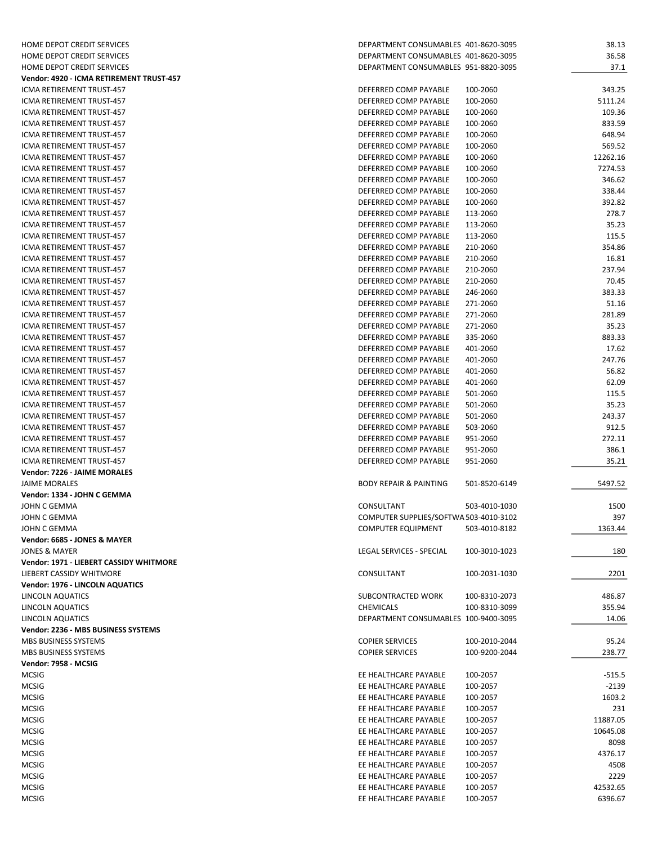| HOME DEPOT CREDIT SERVICES               | DEPARTMENT CONSUMABLES 401-8620-3095               | 38.13    |
|------------------------------------------|----------------------------------------------------|----------|
| HOME DEPOT CREDIT SERVICES               | DEPARTMENT CONSUMABLES 401-8620-3095               | 36.58    |
| HOME DEPOT CREDIT SERVICES               | DEPARTMENT CONSUMABLES 951-8820-3095               | 37.1     |
| Vendor: 4920 - ICMA RETIREMENT TRUST-457 |                                                    |          |
| ICMA RETIREMENT TRUST-457                | DEFERRED COMP PAYABLE<br>100-2060                  | 343.25   |
| ICMA RETIREMENT TRUST-457                | DEFERRED COMP PAYABLE<br>100-2060                  | 5111.24  |
| <b>ICMA RETIREMENT TRUST-457</b>         | DEFERRED COMP PAYABLE<br>100-2060                  | 109.36   |
| ICMA RETIREMENT TRUST-457                | DEFERRED COMP PAYABLE<br>100-2060                  | 833.59   |
| ICMA RETIREMENT TRUST-457                | DEFERRED COMP PAYABLE<br>100-2060                  | 648.94   |
| ICMA RETIREMENT TRUST-457                | 100-2060<br>DEFERRED COMP PAYABLE                  | 569.52   |
| ICMA RETIREMENT TRUST-457                | DEFERRED COMP PAYABLE<br>100-2060                  | 12262.16 |
| ICMA RETIREMENT TRUST-457                | DEFERRED COMP PAYABLE<br>100-2060                  | 7274.53  |
| ICMA RETIREMENT TRUST-457                | DEFERRED COMP PAYABLE<br>100-2060                  | 346.62   |
| ICMA RETIREMENT TRUST-457                | DEFERRED COMP PAYABLE<br>100-2060                  | 338.44   |
| ICMA RETIREMENT TRUST-457                | DEFERRED COMP PAYABLE<br>100-2060                  | 392.82   |
| ICMA RETIREMENT TRUST-457                | DEFERRED COMP PAYABLE<br>113-2060                  | 278.7    |
| ICMA RETIREMENT TRUST-457                | DEFERRED COMP PAYABLE<br>113-2060                  | 35.23    |
| ICMA RETIREMENT TRUST-457                | 113-2060<br>DEFERRED COMP PAYABLE                  | 115.5    |
| <b>ICMA RETIREMENT TRUST-457</b>         | DEFERRED COMP PAYABLE<br>210-2060                  | 354.86   |
| ICMA RETIREMENT TRUST-457                | DEFERRED COMP PAYABLE<br>210-2060                  | 16.81    |
| ICMA RETIREMENT TRUST-457                | DEFERRED COMP PAYABLE<br>210-2060                  | 237.94   |
| ICMA RETIREMENT TRUST-457                | DEFERRED COMP PAYABLE<br>210-2060                  | 70.45    |
| <b>ICMA RETIREMENT TRUST-457</b>         | DEFERRED COMP PAYABLE<br>246-2060                  | 383.33   |
| ICMA RETIREMENT TRUST-457                | DEFERRED COMP PAYABLE<br>271-2060                  | 51.16    |
| ICMA RETIREMENT TRUST-457                | DEFERRED COMP PAYABLE<br>271-2060                  | 281.89   |
| <b>ICMA RETIREMENT TRUST-457</b>         | DEFERRED COMP PAYABLE<br>271-2060                  | 35.23    |
| ICMA RETIREMENT TRUST-457                | DEFERRED COMP PAYABLE<br>335-2060                  | 883.33   |
| <b>ICMA RETIREMENT TRUST-457</b>         | DEFERRED COMP PAYABLE<br>401-2060                  | 17.62    |
| ICMA RETIREMENT TRUST-457                | DEFERRED COMP PAYABLE<br>401-2060                  | 247.76   |
| ICMA RETIREMENT TRUST-457                | DEFERRED COMP PAYABLE<br>401-2060                  | 56.82    |
| ICMA RETIREMENT TRUST-457                | DEFERRED COMP PAYABLE<br>401-2060                  | 62.09    |
| ICMA RETIREMENT TRUST-457                | DEFERRED COMP PAYABLE                              |          |
|                                          | 501-2060                                           | 115.5    |
| ICMA RETIREMENT TRUST-457                | DEFERRED COMP PAYABLE<br>501-2060                  | 35.23    |
| ICMA RETIREMENT TRUST-457                | DEFERRED COMP PAYABLE<br>501-2060                  | 243.37   |
| ICMA RETIREMENT TRUST-457                | 503-2060<br>DEFERRED COMP PAYABLE                  | 912.5    |
| ICMA RETIREMENT TRUST-457                | DEFERRED COMP PAYABLE<br>951-2060                  | 272.11   |
| ICMA RETIREMENT TRUST-457                | DEFERRED COMP PAYABLE<br>951-2060                  | 386.1    |
| ICMA RETIREMENT TRUST-457                | DEFERRED COMP PAYABLE<br>951-2060                  | 35.21    |
| Vendor: 7226 - JAIME MORALES             |                                                    |          |
| <b>JAIME MORALES</b>                     | <b>BODY REPAIR &amp; PAINTING</b><br>501-8520-6149 | 5497.52  |
| Vendor: 1334 - JOHN C GEMMA              |                                                    |          |
| JOHN C GEMMA                             | CONSULTANT<br>503-4010-1030                        | 1500     |
| JOHN C GEMMA                             | COMPUTER SUPPLIES/SOFTWA 503-4010-3102             | 397      |
| JOHN C GEMMA                             | <b>COMPUTER EQUIPMENT</b><br>503-4010-8182         | 1363.44  |
| Vendor: 6685 - JONES & MAYER             |                                                    |          |
| JONES & MAYER                            | LEGAL SERVICES - SPECIAL<br>100-3010-1023          | 180      |
| Vendor: 1971 - LIEBERT CASSIDY WHITMORE  |                                                    |          |
| LIEBERT CASSIDY WHITMORE                 | CONSULTANT<br>100-2031-1030                        | 2201     |
| Vendor: 1976 - LINCOLN AQUATICS          |                                                    |          |
| LINCOLN AQUATICS                         | SUBCONTRACTED WORK<br>100-8310-2073                | 486.87   |
| LINCOLN AQUATICS                         | <b>CHEMICALS</b><br>100-8310-3099                  | 355.94   |
| LINCOLN AQUATICS                         | DEPARTMENT CONSUMABLES 100-9400-3095               | 14.06    |
| Vendor: 2236 - MBS BUSINESS SYSTEMS      |                                                    |          |
| <b>MBS BUSINESS SYSTEMS</b>              | <b>COPIER SERVICES</b><br>100-2010-2044            | 95.24    |
| <b>MBS BUSINESS SYSTEMS</b>              | <b>COPIER SERVICES</b><br>100-9200-2044            | 238.77   |
| Vendor: 7958 - MCSIG                     |                                                    |          |
| <b>MCSIG</b>                             | EE HEALTHCARE PAYABLE<br>100-2057                  | $-515.5$ |
| <b>MCSIG</b>                             | EE HEALTHCARE PAYABLE<br>100-2057                  | $-2139$  |
| <b>MCSIG</b>                             | EE HEALTHCARE PAYABLE<br>100-2057                  | 1603.2   |
| <b>MCSIG</b>                             | EE HEALTHCARE PAYABLE<br>100-2057                  | 231      |
| <b>MCSIG</b>                             | EE HEALTHCARE PAYABLE<br>100-2057                  | 11887.05 |
| <b>MCSIG</b>                             | EE HEALTHCARE PAYABLE<br>100-2057                  | 10645.08 |
|                                          |                                                    |          |
| <b>MCSIG</b>                             | EE HEALTHCARE PAYABLE<br>100-2057                  | 8098     |
| <b>MCSIG</b>                             | EE HEALTHCARE PAYABLE<br>100-2057                  | 4376.17  |
| <b>MCSIG</b>                             | EE HEALTHCARE PAYABLE<br>100-2057                  | 4508     |
| <b>MCSIG</b>                             | EE HEALTHCARE PAYABLE<br>100-2057                  | 2229     |
| <b>MCSIG</b>                             | EE HEALTHCARE PAYABLE<br>100-2057                  | 42532.65 |
| <b>MCSIG</b>                             | EE HEALTHCARE PAYABLE<br>100-2057                  | 6396.67  |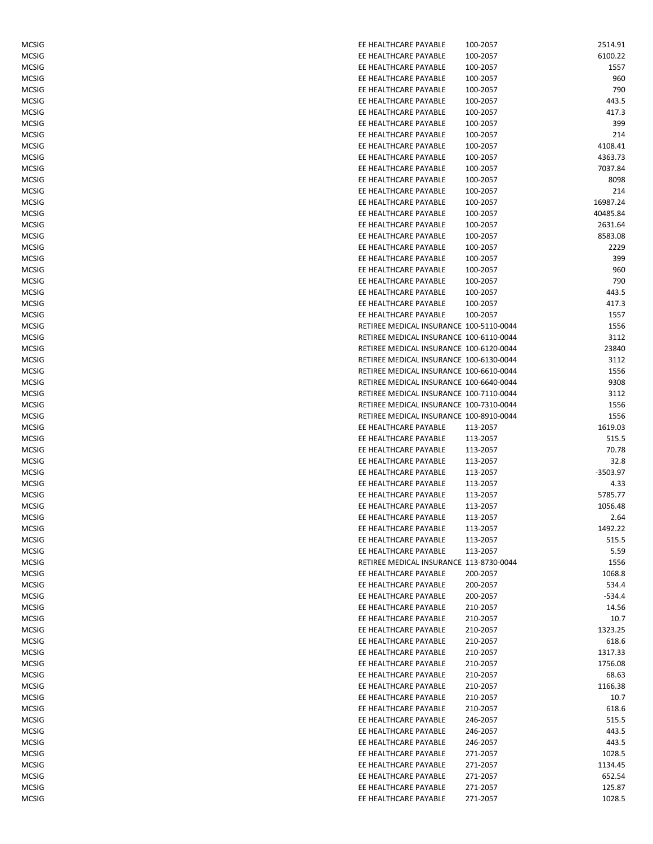| MCSIG        | EE HEALTHCARE PAYABLE                   | 100-2057 | 2514.91  |
|--------------|-----------------------------------------|----------|----------|
| <b>MCSIG</b> | EE HEALTHCARE PAYABLE                   | 100-2057 | 6100.22  |
| <b>MCSIG</b> | EE HEALTHCARE PAYABLE                   | 100-2057 | 1557     |
| <b>MCSIG</b> | EE HEALTHCARE PAYABLE                   | 100-2057 | 960      |
| <b>MCSIG</b> | EE HEALTHCARE PAYABLE                   | 100-2057 | 790      |
| <b>MCSIG</b> | EE HEALTHCARE PAYABLE                   | 100-2057 | 443.5    |
| <b>MCSIG</b> | EE HEALTHCARE PAYABLE                   | 100-2057 | 417.3    |
| <b>MCSIG</b> | EE HEALTHCARE PAYABLE                   | 100-2057 | 399      |
| MCSIG        | EE HEALTHCARE PAYABLE                   | 100-2057 | 214      |
| <b>MCSIG</b> | EE HEALTHCARE PAYABLE                   | 100-2057 | 4108.41  |
| <b>MCSIG</b> | EE HEALTHCARE PAYABLE                   | 100-2057 | 4363.73  |
| <b>MCSIG</b> | EE HEALTHCARE PAYABLE                   | 100-2057 | 7037.84  |
| MCSIG        | EE HEALTHCARE PAYABLE                   | 100-2057 | 8098     |
| MCSIG        | EE HEALTHCARE PAYABLE                   | 100-2057 | 214      |
| MCSIG        | EE HEALTHCARE PAYABLE                   | 100-2057 | 16987.24 |
| MCSIG        | EE HEALTHCARE PAYABLE                   | 100-2057 | 40485.84 |
| MCSIG        | EE HEALTHCARE PAYABLE                   | 100-2057 | 2631.64  |
| MCSIG        | EE HEALTHCARE PAYABLE                   | 100-2057 | 8583.08  |
| <b>MCSIG</b> | EE HEALTHCARE PAYABLE                   | 100-2057 | 2229     |
| <b>MCSIG</b> | EE HEALTHCARE PAYABLE                   | 100-2057 | 399      |
| MCSIG        | EE HEALTHCARE PAYABLE                   | 100-2057 | 960      |
| <b>MCSIG</b> | EE HEALTHCARE PAYABLE                   | 100-2057 | 790      |
| MCSIG        | EE HEALTHCARE PAYABLE                   | 100-2057 | 443.5    |
| MCSIG        | EE HEALTHCARE PAYABLE                   | 100-2057 | 417.3    |
| <b>MCSIG</b> | EE HEALTHCARE PAYABLE                   | 100-2057 | 1557     |
| <b>MCSIG</b> | RETIREE MEDICAL INSURANCE 100-5110-0044 |          | 1556     |
| <b>MCSIG</b> | RETIREE MEDICAL INSURANCE 100-6110-0044 |          | 3112     |
| <b>MCSIG</b> | RETIREE MEDICAL INSURANCE 100-6120-0044 |          | 23840    |
| <b>MCSIG</b> | RETIREE MEDICAL INSURANCE 100-6130-0044 |          | 3112     |
| <b>MCSIG</b> | RETIREE MEDICAL INSURANCE 100-6610-0044 |          | 1556     |
| <b>MCSIG</b> | RETIREE MEDICAL INSURANCE 100-6640-0044 |          | 9308     |
| <b>MCSIG</b> | RETIREE MEDICAL INSURANCE 100-7110-0044 |          |          |
|              | RETIREE MEDICAL INSURANCE 100-7310-0044 |          | 3112     |
| <b>MCSIG</b> |                                         |          | 1556     |
| MCSIG        | RETIREE MEDICAL INSURANCE 100-8910-0044 |          | 1556     |
| <b>MCSIG</b> | EE HEALTHCARE PAYABLE                   | 113-2057 | 1619.03  |
| <b>MCSIG</b> | EE HEALTHCARE PAYABLE                   | 113-2057 | 515.5    |
| <b>MCSIG</b> | EE HEALTHCARE PAYABLE                   | 113-2057 | 70.78    |
| MCSIG        | EE HEALTHCARE PAYABLE                   | 113-2057 | 32.8     |
| MCSIG        | EE HEALTHCARE PAYABLE                   | 113-2057 | -3503.97 |
| MCSIG        | EE HEALTHCARE PAYABLE                   | 113-2057 | 4.33     |
| MCSIG        | EE HEALTHCARE PAYABLE                   | 113-2057 | 5785.77  |
| MCSIG        | EE HEALTHCARE PAYABLE                   | 113-2057 | 1056.48  |
| <b>MCSIG</b> | EE HEALTHCARE PAYABLE                   | 113-2057 | 2.64     |
| MCSIG        | EE HEALTHCARE PAYABLE                   | 113-2057 | 1492.22  |
| MCSIG        | EE HEALTHCARE PAYABLE                   | 113-2057 | 515.5    |
| MCSIG        | EE HEALTHCARE PAYABLE                   | 113-2057 | 5.59     |
| MCSIG        | RETIREE MEDICAL INSURANCE 113-8730-0044 |          | 1556     |
| MCSIG        | EE HEALTHCARE PAYABLE                   | 200-2057 | 1068.8   |
| MCSIG        | EE HEALTHCARE PAYABLE                   | 200-2057 | 534.4    |
| <b>MCSIG</b> | EE HEALTHCARE PAYABLE                   | 200-2057 | $-534.4$ |
| <b>MCSIG</b> | EE HEALTHCARE PAYABLE                   | 210-2057 | 14.56    |
| <b>MCSIG</b> | EE HEALTHCARE PAYABLE                   | 210-2057 | 10.7     |
| MCSIG        | EE HEALTHCARE PAYABLE                   | 210-2057 | 1323.25  |
| MCSIG        | EE HEALTHCARE PAYABLE                   | 210-2057 | 618.6    |
| MCSIG        | EE HEALTHCARE PAYABLE                   | 210-2057 | 1317.33  |
| MCSIG        | EE HEALTHCARE PAYABLE                   | 210-2057 | 1756.08  |
| MCSIG        | EE HEALTHCARE PAYABLE                   | 210-2057 | 68.63    |
| MCSIG        | EE HEALTHCARE PAYABLE                   | 210-2057 | 1166.38  |
| MCSIG        | EE HEALTHCARE PAYABLE                   | 210-2057 | 10.7     |
| MCSIG        | EE HEALTHCARE PAYABLE                   | 210-2057 | 618.6    |
| MCSIG        | EE HEALTHCARE PAYABLE                   | 246-2057 | 515.5    |
| MCSIG        | EE HEALTHCARE PAYABLE                   | 246-2057 | 443.5    |
| MCSIG        | EE HEALTHCARE PAYABLE                   | 246-2057 | 443.5    |
| MCSIG        | EE HEALTHCARE PAYABLE                   | 271-2057 | 1028.5   |
| MCSIG        | EE HEALTHCARE PAYABLE                   | 271-2057 | 1134.45  |
| MCSIG        | EE HEALTHCARE PAYABLE                   | 271-2057 | 652.54   |
| MCSIG        | EE HEALTHCARE PAYABLE                   | 271-2057 | 125.87   |
| MCSIG        | EE HEALTHCARE PAYABLE                   | 271-2057 | 1028.5   |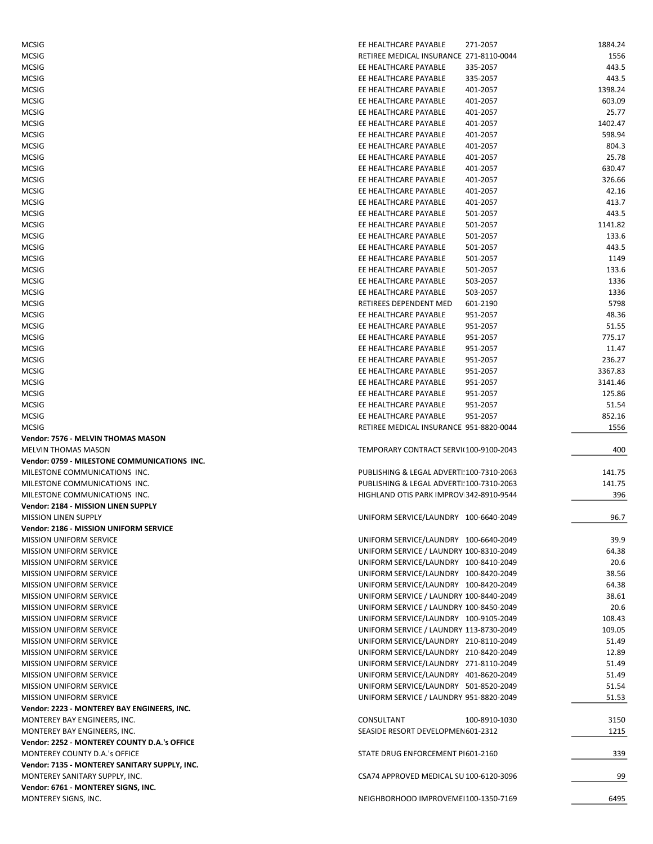| <b>MCSIG</b>                                                                 | EE HEALTHCARE PAYABLE                            | 271-2057             | 1884.24        |
|------------------------------------------------------------------------------|--------------------------------------------------|----------------------|----------------|
| <b>MCSIG</b>                                                                 | RETIREE MEDICAL INSURANCE 271-8110-0044          |                      | 1556           |
| <b>MCSIG</b>                                                                 | EE HEALTHCARE PAYABLE                            | 335-2057             | 443.5          |
| <b>MCSIG</b>                                                                 | EE HEALTHCARE PAYABLE                            | 335-2057             | 443.5          |
| <b>MCSIG</b>                                                                 | EE HEALTHCARE PAYABLE                            | 401-2057             | 1398.24        |
| <b>MCSIG</b>                                                                 | EE HEALTHCARE PAYABLE                            | 401-2057             | 603.09         |
| <b>MCSIG</b>                                                                 | EE HEALTHCARE PAYABLE                            | 401-2057             | 25.77          |
| <b>MCSIG</b>                                                                 | EE HEALTHCARE PAYABLE                            | 401-2057             | 1402.47        |
| <b>MCSIG</b>                                                                 | EE HEALTHCARE PAYABLE                            | 401-2057             | 598.94         |
| <b>MCSIG</b>                                                                 | EE HEALTHCARE PAYABLE                            | 401-2057             | 804.3          |
| <b>MCSIG</b>                                                                 | EE HEALTHCARE PAYABLE                            | 401-2057             | 25.78          |
| <b>MCSIG</b>                                                                 | EE HEALTHCARE PAYABLE                            | 401-2057             | 630.47         |
| <b>MCSIG</b>                                                                 | EE HEALTHCARE PAYABLE<br>EE HEALTHCARE PAYABLE   | 401-2057             | 326.66         |
| <b>MCSIG</b>                                                                 | EE HEALTHCARE PAYABLE                            | 401-2057<br>401-2057 | 42.16<br>413.7 |
| <b>MCSIG</b><br><b>MCSIG</b>                                                 | EE HEALTHCARE PAYABLE                            | 501-2057             | 443.5          |
| <b>MCSIG</b>                                                                 | EE HEALTHCARE PAYABLE                            | 501-2057             | 1141.82        |
| <b>MCSIG</b>                                                                 | EE HEALTHCARE PAYABLE                            | 501-2057             | 133.6          |
| <b>MCSIG</b>                                                                 | EE HEALTHCARE PAYABLE                            | 501-2057             | 443.5          |
| <b>MCSIG</b>                                                                 | EE HEALTHCARE PAYABLE                            | 501-2057             | 1149           |
| <b>MCSIG</b>                                                                 | EE HEALTHCARE PAYABLE                            | 501-2057             | 133.6          |
| <b>MCSIG</b>                                                                 | EE HEALTHCARE PAYABLE                            | 503-2057             | 1336           |
| <b>MCSIG</b>                                                                 | EE HEALTHCARE PAYABLE                            | 503-2057             | 1336           |
| <b>MCSIG</b>                                                                 | RETIREES DEPENDENT MED                           | 601-2190             | 5798           |
| <b>MCSIG</b>                                                                 | EE HEALTHCARE PAYABLE                            | 951-2057             | 48.36          |
| <b>MCSIG</b>                                                                 | EE HEALTHCARE PAYABLE                            | 951-2057             | 51.55          |
| <b>MCSIG</b>                                                                 | EE HEALTHCARE PAYABLE                            | 951-2057             | 775.17         |
| <b>MCSIG</b>                                                                 | EE HEALTHCARE PAYABLE                            | 951-2057             | 11.47          |
| <b>MCSIG</b>                                                                 | EE HEALTHCARE PAYABLE                            | 951-2057             | 236.27         |
| <b>MCSIG</b>                                                                 | EE HEALTHCARE PAYABLE                            | 951-2057             | 3367.83        |
| <b>MCSIG</b>                                                                 | EE HEALTHCARE PAYABLE                            | 951-2057             | 3141.46        |
| <b>MCSIG</b>                                                                 | EE HEALTHCARE PAYABLE                            | 951-2057             | 125.86         |
| <b>MCSIG</b>                                                                 | EE HEALTHCARE PAYABLE                            | 951-2057             | 51.54          |
|                                                                              |                                                  |                      |                |
| <b>MCSIG</b>                                                                 | EE HEALTHCARE PAYABLE                            | 951-2057             | 852.16         |
| <b>MCSIG</b>                                                                 | RETIREE MEDICAL INSURANCE 951-8820-0044          |                      | 1556           |
| Vendor: 7576 - MELVIN THOMAS MASON                                           |                                                  |                      |                |
| <b>MELVIN THOMAS MASON</b>                                                   | TEMPORARY CONTRACT SERVI(100-9100-2043           |                      | 400            |
| Vendor: 0759 - MILESTONE COMMUNICATIONS INC.                                 |                                                  |                      |                |
| MILESTONE COMMUNICATIONS INC.                                                | PUBLISHING & LEGAL ADVERTI! 100-7310-2063        |                      | 141.75         |
| MILESTONE COMMUNICATIONS INC.                                                | PUBLISHING & LEGAL ADVERTI! 100-7310-2063        |                      | 141.75         |
| MILESTONE COMMUNICATIONS INC.                                                | HIGHLAND OTIS PARK IMPROV 342-8910-9544          |                      | 396            |
| Vendor: 2184 - MISSION LINEN SUPPLY                                          |                                                  |                      |                |
| <b>MISSION LINEN SUPPLY</b>                                                  | UNIFORM SERVICE/LAUNDRY 100-6640-2049            |                      | 96.7           |
| Vendor: 2186 - MISSION UNIFORM SERVICE                                       |                                                  |                      |                |
| <b>MISSION UNIFORM SERVICE</b>                                               | UNIFORM SERVICE/LAUNDRY 100-6640-2049            |                      | 39.9           |
| <b>MISSION UNIFORM SERVICE</b>                                               | UNIFORM SERVICE / LAUNDRY 100-8310-2049          |                      | 64.38          |
| <b>MISSION UNIFORM SERVICE</b>                                               | UNIFORM SERVICE/LAUNDRY 100-8410-2049            |                      | 20.6           |
| <b>MISSION UNIFORM SERVICE</b>                                               | UNIFORM SERVICE/LAUNDRY 100-8420-2049            |                      | 38.56          |
| <b>MISSION UNIFORM SERVICE</b>                                               | UNIFORM SERVICE/LAUNDRY 100-8420-2049            |                      | 64.38          |
| <b>MISSION UNIFORM SERVICE</b>                                               | UNIFORM SERVICE / LAUNDRY 100-8440-2049          |                      | 38.61          |
| <b>MISSION UNIFORM SERVICE</b>                                               | UNIFORM SERVICE / LAUNDRY 100-8450-2049          |                      | 20.6           |
| <b>MISSION UNIFORM SERVICE</b>                                               | UNIFORM SERVICE/LAUNDRY 100-9105-2049            |                      | 108.43         |
| <b>MISSION UNIFORM SERVICE</b>                                               | UNIFORM SERVICE / LAUNDRY 113-8730-2049          |                      | 109.05         |
| <b>MISSION UNIFORM SERVICE</b>                                               | UNIFORM SERVICE/LAUNDRY 210-8110-2049            |                      | 51.49          |
| <b>MISSION UNIFORM SERVICE</b>                                               | UNIFORM SERVICE/LAUNDRY 210-8420-2049            |                      | 12.89          |
| <b>MISSION UNIFORM SERVICE</b>                                               | UNIFORM SERVICE/LAUNDRY 271-8110-2049            |                      | 51.49          |
| <b>MISSION UNIFORM SERVICE</b>                                               | UNIFORM SERVICE/LAUNDRY 401-8620-2049            |                      | 51.49          |
| MISSION UNIFORM SERVICE                                                      | UNIFORM SERVICE/LAUNDRY 501-8520-2049            |                      | 51.54          |
| <b>MISSION UNIFORM SERVICE</b>                                               | UNIFORM SERVICE / LAUNDRY 951-8820-2049          |                      | 51.53          |
| Vendor: 2223 - MONTEREY BAY ENGINEERS, INC.                                  |                                                  |                      |                |
| MONTEREY BAY ENGINEERS, INC.                                                 | CONSULTANT<br>SEASIDE RESORT DEVELOPMEN 601-2312 | 100-8910-1030        | 3150<br>1215   |
| MONTEREY BAY ENGINEERS, INC.<br>Vendor: 2252 - MONTEREY COUNTY D.A.'s OFFICE |                                                  |                      |                |
| MONTEREY COUNTY D.A.'s OFFICE                                                | STATE DRUG ENFORCEMENT PI601-2160                |                      | 339            |
| Vendor: 7135 - MONTEREY SANITARY SUPPLY, INC.                                |                                                  |                      |                |
| MONTEREY SANITARY SUPPLY, INC.                                               | CSA74 APPROVED MEDICAL SU 100-6120-3096          |                      | 99             |
| Vendor: 6761 - MONTEREY SIGNS, INC.                                          |                                                  |                      |                |
| MONTEREY SIGNS, INC.                                                         | NEIGHBORHOOD IMPROVEMEI100-1350-7169             |                      | 6495           |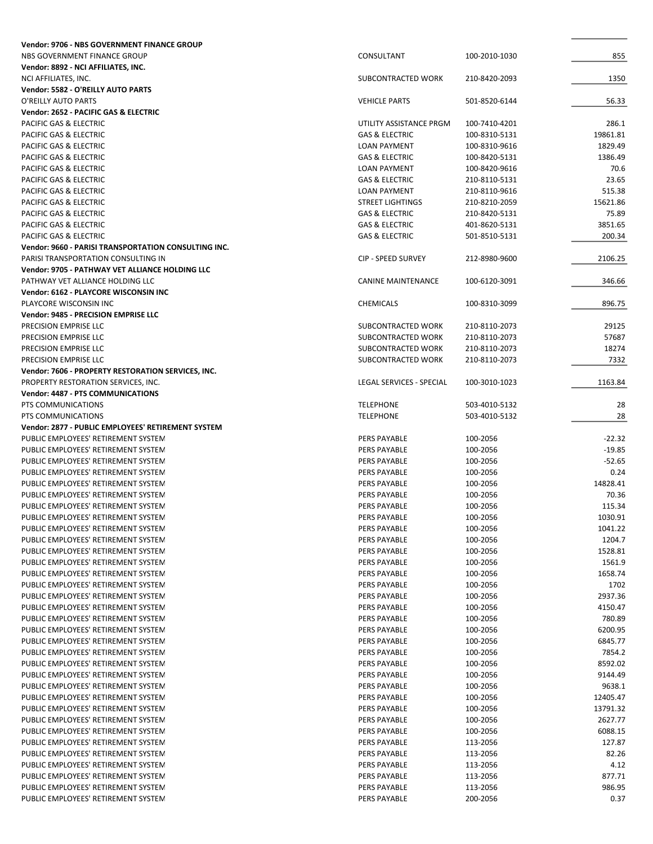| Vendor: 9706 - NBS GOVERNMENT FINANCE GROUP                 |                                          |               |               |
|-------------------------------------------------------------|------------------------------------------|---------------|---------------|
| NBS GOVERNMENT FINANCE GROUP                                | CONSULTANT                               | 100-2010-1030 | 855           |
| Vendor: 8892 - NCI AFFILIATES, INC.                         |                                          |               |               |
| NCI AFFILIATES, INC.                                        | SUBCONTRACTED WORK                       | 210-8420-2093 | 1350          |
| Vendor: 5582 - O'REILLY AUTO PARTS                          |                                          |               |               |
| O'REILLY AUTO PARTS                                         | <b>VEHICLE PARTS</b>                     | 501-8520-6144 | 56.33         |
| Vendor: 2652 - PACIFIC GAS & ELECTRIC                       |                                          |               |               |
| PACIFIC GAS & ELECTRIC                                      | UTILITY ASSISTANCE PRGM                  | 100-7410-4201 | 286.1         |
| PACIFIC GAS & ELECTRIC                                      | <b>GAS &amp; ELECTRIC</b>                | 100-8310-5131 | 19861.81      |
| PACIFIC GAS & ELECTRIC                                      | <b>LOAN PAYMENT</b>                      | 100-8310-9616 | 1829.49       |
| <b>PACIFIC GAS &amp; ELECTRIC</b>                           | <b>GAS &amp; ELECTRIC</b>                | 100-8420-5131 | 1386.49       |
| PACIFIC GAS & ELECTRIC                                      | <b>LOAN PAYMENT</b>                      | 100-8420-9616 | 70.6          |
| PACIFIC GAS & ELECTRIC                                      | <b>GAS &amp; ELECTRIC</b>                | 210-8110-5131 | 23.65         |
| PACIFIC GAS & ELECTRIC                                      | <b>LOAN PAYMENT</b>                      | 210-8110-9616 | 515.38        |
| PACIFIC GAS & ELECTRIC                                      | <b>STREET LIGHTINGS</b>                  | 210-8210-2059 | 15621.86      |
| PACIFIC GAS & ELECTRIC                                      | <b>GAS &amp; ELECTRIC</b>                | 210-8420-5131 | 75.89         |
| PACIFIC GAS & ELECTRIC                                      | <b>GAS &amp; ELECTRIC</b>                | 401-8620-5131 | 3851.65       |
| PACIFIC GAS & ELECTRIC                                      | <b>GAS &amp; ELECTRIC</b>                | 501-8510-5131 | 200.34        |
| <b>Vendor: 9660 - PARISI TRANSPORTATION CONSULTING INC.</b> |                                          |               |               |
| PARISI TRANSPORTATION CONSULTING IN                         | <b>CIP - SPEED SURVEY</b>                | 212-8980-9600 | 2106.25       |
| Vendor: 9705 - PATHWAY VET ALLIANCE HOLDING LLC             |                                          |               |               |
| PATHWAY VET ALLIANCE HOLDING LLC                            | <b>CANINE MAINTENANCE</b>                | 100-6120-3091 | 346.66        |
| Vendor: 6162 - PLAYCORE WISCONSIN INC                       |                                          |               |               |
| PLAYCORE WISCONSIN INC                                      | <b>CHEMICALS</b>                         | 100-8310-3099 | 896.75        |
| Vendor: 9485 - PRECISION EMPRISE LLC                        |                                          |               |               |
| PRECISION EMPRISE LLC                                       | SUBCONTRACTED WORK                       | 210-8110-2073 | 29125         |
| PRECISION EMPRISE LLC                                       | SUBCONTRACTED WORK                       | 210-8110-2073 | 57687         |
| PRECISION EMPRISE LLC<br>PRECISION EMPRISE LLC              | SUBCONTRACTED WORK<br>SUBCONTRACTED WORK | 210-8110-2073 | 18274<br>7332 |
| Vendor: 7606 - PROPERTY RESTORATION SERVICES, INC.          |                                          | 210-8110-2073 |               |
| PROPERTY RESTORATION SERVICES, INC.                         | LEGAL SERVICES - SPECIAL                 | 100-3010-1023 | 1163.84       |
| <b>Vendor: 4487 - PTS COMMUNICATIONS</b>                    |                                          |               |               |
| PTS COMMUNICATIONS                                          | <b>TELEPHONE</b>                         | 503-4010-5132 | 28            |
| PTS COMMUNICATIONS                                          | <b>TELEPHONE</b>                         | 503-4010-5132 | 28            |
| Vendor: 2877 - PUBLIC EMPLOYEES' RETIREMENT SYSTEM          |                                          |               |               |
| PUBLIC EMPLOYEES' RETIREMENT SYSTEM                         | PERS PAYABLE                             | 100-2056      | $-22.32$      |
| PUBLIC EMPLOYEES' RETIREMENT SYSTEM                         | PERS PAYABLE                             | 100-2056      | $-19.85$      |
| PUBLIC EMPLOYEES' RETIREMENT SYSTEM                         | PERS PAYABLE                             | 100-2056      | $-52.65$      |
| PUBLIC EMPLOYEES' RETIREMENT SYSTEM                         | PERS PAYABLE                             | 100-2056      | 0.24          |
| PUBLIC EMPLOYEES' RETIREMENT SYSTEM                         | PERS PAYABLE                             | 100-2056      | 14828.41      |
| PUBLIC EMPLOYEES' RETIREMENT SYSTEM                         | PERS PAYABLE                             | 100-2056      | 70.36         |
| PUBLIC EMPLOYEES' RETIREMENT SYSTEM                         | PERS PAYABLE                             | 100-2056      | 115.34        |
| PUBLIC EMPLOYEES' RETIREMENT SYSTEM                         | PERS PAYABLE                             | 100-2056      | 1030.91       |
| PUBLIC EMPLOYEES' RETIREMENT SYSTEM                         | PERS PAYABLE                             | 100-2056      | 1041.22       |
| PUBLIC EMPLOYEES' RETIREMENT SYSTEM                         | PERS PAYABLE                             | 100-2056      | 1204.7        |
| PUBLIC EMPLOYEES' RETIREMENT SYSTEM                         | PERS PAYABLE                             | 100-2056      | 1528.81       |
| PUBLIC EMPLOYEES' RETIREMENT SYSTEM                         | PERS PAYABLE                             | 100-2056      | 1561.9        |
| PUBLIC EMPLOYEES' RETIREMENT SYSTEM                         | PERS PAYABLE                             | 100-2056      | 1658.74       |
| PUBLIC EMPLOYEES' RETIREMENT SYSTEM                         | PERS PAYABLE                             | 100-2056      | 1702          |
| PUBLIC EMPLOYEES' RETIREMENT SYSTEM                         | PERS PAYABLE                             | 100-2056      | 2937.36       |
| PUBLIC EMPLOYEES' RETIREMENT SYSTEM                         | PERS PAYABLE                             | 100-2056      | 4150.47       |
| PUBLIC EMPLOYEES' RETIREMENT SYSTEM                         | PERS PAYABLE                             | 100-2056      | 780.89        |
| PUBLIC EMPLOYEES' RETIREMENT SYSTEM                         | PERS PAYABLE                             | 100-2056      | 6200.95       |
| PUBLIC EMPLOYEES' RETIREMENT SYSTEM                         | PERS PAYABLE                             | 100-2056      | 6845.77       |
| PUBLIC EMPLOYEES' RETIREMENT SYSTEM                         | PERS PAYABLE                             | 100-2056      | 7854.2        |
| PUBLIC EMPLOYEES' RETIREMENT SYSTEM                         | PERS PAYABLE                             | 100-2056      | 8592.02       |
| PUBLIC EMPLOYEES' RETIREMENT SYSTEM                         | PERS PAYABLE                             | 100-2056      | 9144.49       |
| PUBLIC EMPLOYEES' RETIREMENT SYSTEM                         | PERS PAYABLE                             | 100-2056      | 9638.1        |
| PUBLIC EMPLOYEES' RETIREMENT SYSTEM                         | PERS PAYABLE                             | 100-2056      | 12405.47      |
| PUBLIC EMPLOYEES' RETIREMENT SYSTEM                         | PERS PAYABLE                             | 100-2056      | 13791.32      |
| PUBLIC EMPLOYEES' RETIREMENT SYSTEM                         | PERS PAYABLE                             | 100-2056      | 2627.77       |
| PUBLIC EMPLOYEES' RETIREMENT SYSTEM                         | PERS PAYABLE                             | 100-2056      | 6088.15       |
| PUBLIC EMPLOYEES' RETIREMENT SYSTEM                         | PERS PAYABLE                             | 113-2056      | 127.87        |
| PUBLIC EMPLOYEES' RETIREMENT SYSTEM                         | PERS PAYABLE                             | 113-2056      | 82.26         |
| PUBLIC EMPLOYEES' RETIREMENT SYSTEM                         | PERS PAYABLE                             | 113-2056      | 4.12          |
| PUBLIC EMPLOYEES' RETIREMENT SYSTEM                         | PERS PAYABLE                             | 113-2056      | 877.71        |
| PUBLIC EMPLOYEES' RETIREMENT SYSTEM                         | PERS PAYABLE                             | 113-2056      | 986.95        |
| PUBLIC EMPLOYEES' RETIREMENT SYSTEM                         | PERS PAYABLE                             | 200-2056      | 0.37          |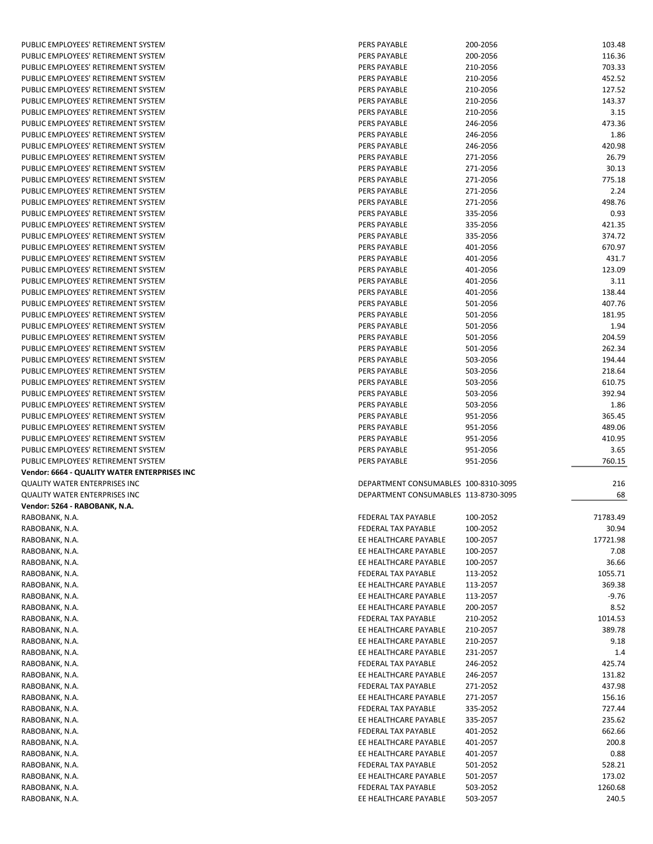| PUBLIC EMPLOYEES' RETIREMENT SYSTEM          | PERS PAYABLE                                 | 200-2056             | 103.48           |
|----------------------------------------------|----------------------------------------------|----------------------|------------------|
| PUBLIC EMPLOYEES' RETIREMENT SYSTEM          | PERS PAYABLE                                 | 200-2056             | 116.36           |
| PUBLIC EMPLOYEES' RETIREMENT SYSTEM          | PERS PAYABLE                                 | 210-2056             | 703.33           |
| PUBLIC EMPLOYEES' RETIREMENT SYSTEM          | PERS PAYABLE                                 | 210-2056             | 452.52           |
| PUBLIC EMPLOYEES' RETIREMENT SYSTEM          | PERS PAYABLE                                 | 210-2056             | 127.52           |
| PUBLIC EMPLOYEES' RETIREMENT SYSTEM          | PERS PAYABLE                                 | 210-2056             | 143.37           |
|                                              |                                              |                      |                  |
| PUBLIC EMPLOYEES' RETIREMENT SYSTEM          | PERS PAYABLE                                 | 210-2056             | 3.15             |
| PUBLIC EMPLOYEES' RETIREMENT SYSTEM          | PERS PAYABLE                                 | 246-2056             | 473.36           |
| PUBLIC EMPLOYEES' RETIREMENT SYSTEM          | PERS PAYABLE                                 | 246-2056             | 1.86             |
| PUBLIC EMPLOYEES' RETIREMENT SYSTEM          | PERS PAYABLE                                 | 246-2056             | 420.98           |
| PUBLIC EMPLOYEES' RETIREMENT SYSTEM          | PERS PAYABLE                                 | 271-2056             | 26.79            |
| PUBLIC EMPLOYEES' RETIREMENT SYSTEM          | PERS PAYABLE                                 | 271-2056             | 30.13            |
| PUBLIC EMPLOYEES' RETIREMENT SYSTEM          | PERS PAYABLE                                 | 271-2056             | 775.18           |
| PUBLIC EMPLOYEES' RETIREMENT SYSTEM          | PERS PAYABLE                                 | 271-2056             | 2.24             |
| PUBLIC EMPLOYEES' RETIREMENT SYSTEM          | PERS PAYABLE                                 | 271-2056             | 498.76           |
| PUBLIC EMPLOYEES' RETIREMENT SYSTEM          | PERS PAYABLE                                 | 335-2056             | 0.93             |
| PUBLIC EMPLOYEES' RETIREMENT SYSTEM          | PERS PAYABLE                                 | 335-2056             | 421.35           |
| PUBLIC EMPLOYEES' RETIREMENT SYSTEM          | PERS PAYABLE                                 | 335-2056             | 374.72           |
| PUBLIC EMPLOYEES' RETIREMENT SYSTEM          | PERS PAYABLE                                 | 401-2056             | 670.97           |
|                                              |                                              |                      |                  |
| PUBLIC EMPLOYEES' RETIREMENT SYSTEM          | PERS PAYABLE                                 | 401-2056             | 431.7            |
| PUBLIC EMPLOYEES' RETIREMENT SYSTEM          | PERS PAYABLE                                 | 401-2056             | 123.09           |
| PUBLIC EMPLOYEES' RETIREMENT SYSTEM          | PERS PAYABLE                                 | 401-2056             | 3.11             |
| PUBLIC EMPLOYEES' RETIREMENT SYSTEM          | PERS PAYABLE                                 | 401-2056             | 138.44           |
| PUBLIC EMPLOYEES' RETIREMENT SYSTEM          | PERS PAYABLE                                 | 501-2056             | 407.76           |
| PUBLIC EMPLOYEES' RETIREMENT SYSTEM          | <b>PERS PAYABLE</b>                          | 501-2056             | 181.95           |
| PUBLIC EMPLOYEES' RETIREMENT SYSTEM          | <b>PERS PAYABLE</b>                          | 501-2056             | 1.94             |
| PUBLIC EMPLOYEES' RETIREMENT SYSTEM          | PERS PAYABLE                                 | 501-2056             | 204.59           |
| PUBLIC EMPLOYEES' RETIREMENT SYSTEM          | PERS PAYABLE                                 | 501-2056             | 262.34           |
| PUBLIC EMPLOYEES' RETIREMENT SYSTEM          | PERS PAYABLE                                 | 503-2056             | 194.44           |
| PUBLIC EMPLOYEES' RETIREMENT SYSTEM          | PERS PAYABLE                                 | 503-2056             | 218.64           |
| PUBLIC EMPLOYEES' RETIREMENT SYSTEM          | PERS PAYABLE                                 | 503-2056             | 610.75           |
| PUBLIC EMPLOYEES' RETIREMENT SYSTEM          | PERS PAYABLE                                 | 503-2056             | 392.94           |
| PUBLIC EMPLOYEES' RETIREMENT SYSTEM          | PERS PAYABLE                                 | 503-2056             | 1.86             |
| PUBLIC EMPLOYEES' RETIREMENT SYSTEM          | PERS PAYABLE                                 | 951-2056             | 365.45           |
| PUBLIC EMPLOYEES' RETIREMENT SYSTEM          | PERS PAYABLE                                 | 951-2056             | 489.06           |
|                                              |                                              |                      |                  |
| PUBLIC EMPLOYEES' RETIREMENT SYSTEM          | PERS PAYABLE                                 | 951-2056             | 410.95           |
| PUBLIC EMPLOYEES' RETIREMENT SYSTEM          | PERS PAYABLE                                 | 951-2056             | 3.65             |
| PUBLIC EMPLOYEES' RETIREMENT SYSTEM          | PERS PAYABLE                                 | 951-2056             | 760.15           |
| Vendor: 6664 - QUALITY WATER ENTERPRISES INC |                                              |                      |                  |
| QUALITY WATER ENTERPRISES INC                | DEPARTMENT CONSUMABLES 100-8310-3095         |                      | 216              |
| QUALITY WATER ENTERPRISES INC                | DEPARTMENT CONSUMABLES 113-8730-3095         |                      | 68               |
| Vendor: 5264 - RABOBANK, N.A.                |                                              |                      |                  |
| RABOBANK, N.A.                               | FEDERAL TAX PAYABLE                          | 100-2052             | 71783.49         |
| RABOBANK, N.A.                               | FEDERAL TAX PAYABLE                          | 100-2052             | 30.94            |
| RABOBANK, N.A.                               | EE HEALTHCARE PAYABLE                        | 100-2057             | 17721.98         |
| RABOBANK, N.A.                               | EE HEALTHCARE PAYABLE                        | 100-2057             | 7.08             |
| RABOBANK, N.A.                               | EE HEALTHCARE PAYABLE                        | 100-2057             | 36.66            |
| RABOBANK, N.A.                               | FEDERAL TAX PAYABLE                          | 113-2052             | 1055.71          |
| RABOBANK, N.A.                               | EE HEALTHCARE PAYABLE                        | 113-2057             | 369.38           |
| RABOBANK, N.A.                               | EE HEALTHCARE PAYABLE                        | 113-2057             | $-9.76$          |
| RABOBANK, N.A.                               | EE HEALTHCARE PAYABLE                        | 200-2057             | 8.52             |
|                                              |                                              |                      |                  |
| RABOBANK, N.A.                               | FEDERAL TAX PAYABLE                          | 210-2052             | 1014.53          |
| RABOBANK, N.A.                               | EE HEALTHCARE PAYABLE                        | 210-2057             | 389.78           |
| RABOBANK, N.A.                               | EE HEALTHCARE PAYABLE                        | 210-2057             | 9.18             |
| RABOBANK, N.A.                               | EE HEALTHCARE PAYABLE                        | 231-2057             | 1.4              |
| RABOBANK, N.A.                               | FEDERAL TAX PAYABLE                          | 246-2052             | 425.74           |
| RABOBANK, N.A.                               | EE HEALTHCARE PAYABLE                        | 246-2057             | 131.82           |
| RABOBANK, N.A.                               | FEDERAL TAX PAYABLE                          | 271-2052             | 437.98           |
| RABOBANK, N.A.                               | EE HEALTHCARE PAYABLE                        | 271-2057             | 156.16           |
| RABOBANK, N.A.                               | FEDERAL TAX PAYABLE                          | 335-2052             | 727.44           |
| RABOBANK, N.A.                               | EE HEALTHCARE PAYABLE                        | 335-2057             | 235.62           |
| RABOBANK, N.A.                               | FEDERAL TAX PAYABLE                          | 401-2052             | 662.66           |
| RABOBANK, N.A.                               | EE HEALTHCARE PAYABLE                        | 401-2057             | 200.8            |
| RABOBANK, N.A.                               | EE HEALTHCARE PAYABLE                        | 401-2057             | 0.88             |
| RABOBANK, N.A.                               | FEDERAL TAX PAYABLE                          | 501-2052             | 528.21           |
| RABOBANK, N.A.                               | EE HEALTHCARE PAYABLE                        | 501-2057             | 173.02           |
|                                              |                                              |                      |                  |
|                                              |                                              |                      |                  |
| RABOBANK, N.A.<br>RABOBANK, N.A.             | FEDERAL TAX PAYABLE<br>EE HEALTHCARE PAYABLE | 503-2052<br>503-2057 | 1260.68<br>240.5 |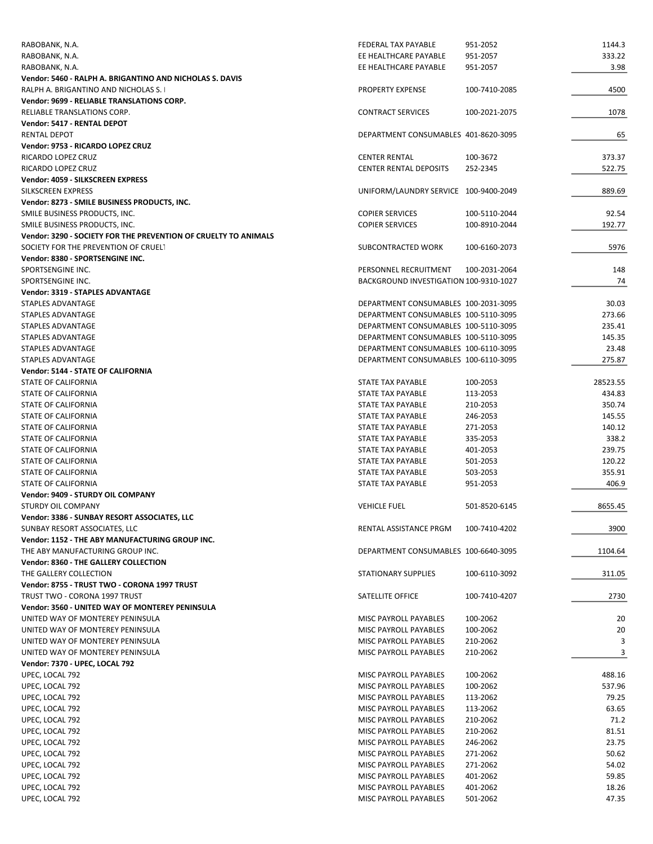| RABOBANK, N.A.                                                  | <b>FEDERAL TAX PAYABLE</b>             | 951-2052      | 1144.3   |
|-----------------------------------------------------------------|----------------------------------------|---------------|----------|
| RABOBANK, N.A.                                                  | EE HEALTHCARE PAYABLE                  | 951-2057      | 333.22   |
| RABOBANK, N.A.                                                  | EE HEALTHCARE PAYABLE                  | 951-2057      | 3.98     |
| Vendor: 5460 - RALPH A. BRIGANTINO AND NICHOLAS S. DAVIS        |                                        |               |          |
| RALPH A. BRIGANTINO AND NICHOLAS S.                             | PROPERTY EXPENSE                       | 100-7410-2085 | 4500     |
| Vendor: 9699 - RELIABLE TRANSLATIONS CORP.                      |                                        |               |          |
| RELIABLE TRANSLATIONS CORP.                                     | <b>CONTRACT SERVICES</b>               | 100-2021-2075 | 1078     |
|                                                                 |                                        |               |          |
| Vendor: 5417 - RENTAL DEPOT                                     |                                        |               |          |
| <b>RENTAL DEPOT</b>                                             | DEPARTMENT CONSUMABLES 401-8620-3095   |               | 65       |
| Vendor: 9753 - RICARDO LOPEZ CRUZ                               |                                        |               |          |
| RICARDO LOPEZ CRUZ                                              | <b>CENTER RENTAL</b>                   | 100-3672      | 373.37   |
| RICARDO LOPEZ CRUZ                                              | <b>CENTER RENTAL DEPOSITS</b>          | 252-2345      | 522.75   |
| Vendor: 4059 - SILKSCREEN EXPRESS                               |                                        |               |          |
| SILKSCREEN EXPRESS                                              | UNIFORM/LAUNDRY SERVICE 100-9400-2049  |               | 889.69   |
| Vendor: 8273 - SMILE BUSINESS PRODUCTS, INC.                    |                                        |               |          |
| SMILE BUSINESS PRODUCTS, INC.                                   | <b>COPIER SERVICES</b>                 | 100-5110-2044 | 92.54    |
| SMILE BUSINESS PRODUCTS, INC.                                   | <b>COPIER SERVICES</b>                 | 100-8910-2044 | 192.77   |
| Vendor: 3290 - SOCIETY FOR THE PREVENTION OF CRUELTY TO ANIMALS |                                        |               |          |
| SOCIETY FOR THE PREVENTION OF CRUELT                            | SUBCONTRACTED WORK                     | 100-6160-2073 | 5976     |
| Vendor: 8380 - SPORTSENGINE INC.                                |                                        |               |          |
| SPORTSENGINE INC.                                               | PERSONNEL RECRUITMENT                  | 100-2031-2064 | 148      |
| SPORTSENGINE INC.                                               | BACKGROUND INVESTIGATION 100-9310-1027 |               | 74       |
| <b>Vendor: 3319 - STAPLES ADVANTAGE</b>                         |                                        |               |          |
|                                                                 |                                        |               |          |
| STAPLES ADVANTAGE                                               | DEPARTMENT CONSUMABLES 100-2031-3095   |               | 30.03    |
| STAPLES ADVANTAGE                                               | DEPARTMENT CONSUMABLES 100-5110-3095   |               | 273.66   |
| <b>STAPLES ADVANTAGE</b>                                        | DEPARTMENT CONSUMABLES 100-5110-3095   |               | 235.41   |
| STAPLES ADVANTAGE                                               | DEPARTMENT CONSUMABLES 100-5110-3095   |               | 145.35   |
| STAPLES ADVANTAGE                                               | DEPARTMENT CONSUMABLES 100-6110-3095   |               | 23.48    |
| STAPLES ADVANTAGE                                               | DEPARTMENT CONSUMABLES 100-6110-3095   |               | 275.87   |
| Vendor: 5144 - STATE OF CALIFORNIA                              |                                        |               |          |
| STATE OF CALIFORNIA                                             | STATE TAX PAYABLE                      | 100-2053      | 28523.55 |
| STATE OF CALIFORNIA                                             | STATE TAX PAYABLE                      | 113-2053      | 434.83   |
| STATE OF CALIFORNIA                                             | STATE TAX PAYABLE                      | 210-2053      | 350.74   |
| STATE OF CALIFORNIA                                             | STATE TAX PAYABLE                      | 246-2053      | 145.55   |
| STATE OF CALIFORNIA                                             | STATE TAX PAYABLE                      | 271-2053      | 140.12   |
|                                                                 |                                        |               |          |
| STATE OF CALIFORNIA                                             | STATE TAX PAYABLE                      | 335-2053      | 338.2    |
| STATE OF CALIFORNIA                                             | STATE TAX PAYABLE                      | 401-2053      | 239.75   |
| STATE OF CALIFORNIA                                             | STATE TAX PAYABLE                      | 501-2053      | 120.22   |
| <b>STATE OF CALIFORNIA</b>                                      | STATE TAX PAYABLE                      | 503-2053      | 355.91   |
| <b>STATE OF CALIFORNIA</b>                                      | STATE TAX PAYABLE                      | 951-2053      | 406.9    |
| Vendor: 9409 - STURDY OIL COMPANY                               |                                        |               |          |
| STURDY OIL COMPANY                                              | <b>VEHICLE FUEL</b>                    | 501-8520-6145 | 8655.45  |
| Vendor: 3386 - SUNBAY RESORT ASSOCIATES, LLC                    |                                        |               |          |
| SUNBAY RESORT ASSOCIATES, LLC                                   | RENTAL ASSISTANCE PRGM                 | 100-7410-4202 | 3900     |
| Vendor: 1152 - THE ABY MANUFACTURING GROUP INC.                 |                                        |               |          |
| THE ABY MANUFACTURING GROUP INC.                                | DEPARTMENT CONSUMABLES 100-6640-3095   |               | 1104.64  |
| Vendor: 8360 - THE GALLERY COLLECTION                           |                                        |               |          |
|                                                                 |                                        |               |          |
| THE GALLERY COLLECTION                                          | <b>STATIONARY SUPPLIES</b>             | 100-6110-3092 | 311.05   |
| Vendor: 8755 - TRUST TWO - CORONA 1997 TRUST                    |                                        |               |          |
| TRUST TWO - CORONA 1997 TRUST                                   | SATELLITE OFFICE                       | 100-7410-4207 | 2730     |
| Vendor: 3560 - UNITED WAY OF MONTEREY PENINSULA                 |                                        |               |          |
| UNITED WAY OF MONTEREY PENINSULA                                | MISC PAYROLL PAYABLES                  | 100-2062      | 20       |
| UNITED WAY OF MONTEREY PENINSULA                                | MISC PAYROLL PAYABLES                  | 100-2062      | 20       |
| UNITED WAY OF MONTEREY PENINSULA                                | MISC PAYROLL PAYABLES                  | 210-2062      | 3        |
| UNITED WAY OF MONTEREY PENINSULA                                | MISC PAYROLL PAYABLES                  | 210-2062      | 3        |
| Vendor: 7370 - UPEC, LOCAL 792                                  |                                        |               |          |
| UPEC, LOCAL 792                                                 | MISC PAYROLL PAYABLES                  | 100-2062      | 488.16   |
| UPEC, LOCAL 792                                                 | MISC PAYROLL PAYABLES                  | 100-2062      | 537.96   |
|                                                                 |                                        |               |          |
| UPEC, LOCAL 792                                                 | MISC PAYROLL PAYABLES                  | 113-2062      | 79.25    |
| UPEC, LOCAL 792                                                 | MISC PAYROLL PAYABLES                  | 113-2062      | 63.65    |
| UPEC, LOCAL 792                                                 | MISC PAYROLL PAYABLES                  | 210-2062      | 71.2     |
| UPEC, LOCAL 792                                                 | MISC PAYROLL PAYABLES                  | 210-2062      | 81.51    |
| UPEC, LOCAL 792                                                 | MISC PAYROLL PAYABLES                  | 246-2062      | 23.75    |
| UPEC, LOCAL 792                                                 | MISC PAYROLL PAYABLES                  | 271-2062      | 50.62    |
| UPEC, LOCAL 792                                                 | MISC PAYROLL PAYABLES                  | 271-2062      | 54.02    |
| UPEC, LOCAL 792                                                 | MISC PAYROLL PAYABLES                  | 401-2062      | 59.85    |
| UPEC, LOCAL 792                                                 | MISC PAYROLL PAYABLES                  | 401-2062      | 18.26    |
| UPEC, LOCAL 792                                                 | MISC PAYROLL PAYABLES                  | 501-2062      | 47.35    |
|                                                                 |                                        |               |          |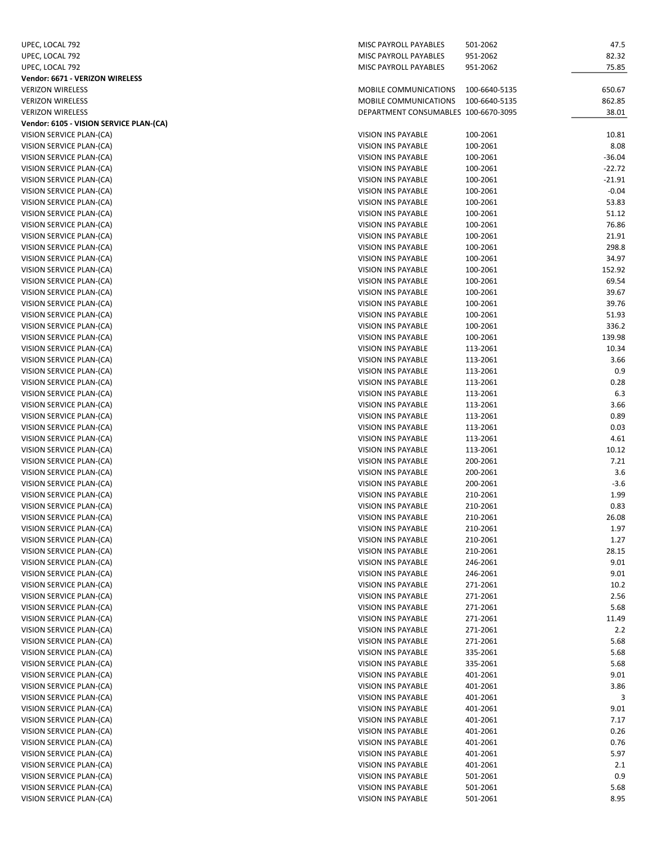| UPEC, LOCAL 792                         | MISC PAYROLL PAYABLES                | 501-2062      | 47.5     |
|-----------------------------------------|--------------------------------------|---------------|----------|
| UPEC, LOCAL 792                         | MISC PAYROLL PAYABLES                | 951-2062      | 82.32    |
| UPEC, LOCAL 792                         | MISC PAYROLL PAYABLES                | 951-2062      | 75.85    |
| Vendor: 6671 - VERIZON WIRELESS         |                                      |               |          |
| <b>VERIZON WIRELESS</b>                 | MOBILE COMMUNICATIONS                | 100-6640-5135 | 650.67   |
| <b>VERIZON WIRELESS</b>                 | MOBILE COMMUNICATIONS                | 100-6640-5135 | 862.85   |
| <b>VERIZON WIRELESS</b>                 | DEPARTMENT CONSUMABLES 100-6670-3095 |               | 38.01    |
| Vendor: 6105 - VISION SERVICE PLAN-(CA) |                                      |               |          |
| VISION SERVICE PLAN-(CA)                | VISION INS PAYABLE                   | 100-2061      | 10.81    |
| VISION SERVICE PLAN-(CA)                | VISION INS PAYABLE                   | 100-2061      | 8.08     |
| VISION SERVICE PLAN-(CA)                | VISION INS PAYABLE                   | 100-2061      | $-36.04$ |
| VISION SERVICE PLAN-(CA)                | VISION INS PAYABLE                   | 100-2061      | $-22.72$ |
| VISION SERVICE PLAN-(CA)                | VISION INS PAYABLE                   | 100-2061      | -21.91   |
| VISION SERVICE PLAN-(CA)                | VISION INS PAYABLE                   | 100-2061      | $-0.04$  |
| VISION SERVICE PLAN-(CA)                | VISION INS PAYABLE                   | 100-2061      | 53.83    |
| VISION SERVICE PLAN-(CA)                | VISION INS PAYABLE                   | 100-2061      | 51.12    |
| VISION SERVICE PLAN-(CA)                | VISION INS PAYABLE                   | 100-2061      | 76.86    |
| VISION SERVICE PLAN-(CA)                | VISION INS PAYABLE                   | 100-2061      | 21.91    |
| VISION SERVICE PLAN-(CA)                | VISION INS PAYABLE                   | 100-2061      | 298.8    |
| VISION SERVICE PLAN-(CA)                | VISION INS PAYABLE                   | 100-2061      | 34.97    |
| VISION SERVICE PLAN-(CA)                | VISION INS PAYABLE                   | 100-2061      | 152.92   |
| VISION SERVICE PLAN-(CA)                | <b>VISION INS PAYABLE</b>            | 100-2061      | 69.54    |
| VISION SERVICE PLAN-(CA)                | <b>VISION INS PAYABLE</b>            | 100-2061      | 39.67    |
| VISION SERVICE PLAN-(CA)                | VISION INS PAYABLE                   | 100-2061      | 39.76    |
| VISION SERVICE PLAN-(CA)                | VISION INS PAYABLE                   | 100-2061      | 51.93    |
| VISION SERVICE PLAN-(CA)                | VISION INS PAYABLE                   | 100-2061      | 336.2    |
| VISION SERVICE PLAN-(CA)                | VISION INS PAYABLE                   | 100-2061      | 139.98   |
| VISION SERVICE PLAN-(CA)                | <b>VISION INS PAYABLE</b>            | 113-2061      | 10.34    |
| VISION SERVICE PLAN-(CA)                | VISION INS PAYABLE                   | 113-2061      | 3.66     |
| VISION SERVICE PLAN-(CA)                | VISION INS PAYABLE                   | 113-2061      | 0.9      |
| VISION SERVICE PLAN-(CA)                | VISION INS PAYABLE                   | 113-2061      | 0.28     |
| VISION SERVICE PLAN-(CA)                | VISION INS PAYABLE                   | 113-2061      | 6.3      |
| VISION SERVICE PLAN-(CA)                | VISION INS PAYABLE                   | 113-2061      | 3.66     |
| VISION SERVICE PLAN-(CA)                | VISION INS PAYABLE                   | 113-2061      | 0.89     |
| VISION SERVICE PLAN-(CA)                | VISION INS PAYABLE                   | 113-2061      | 0.03     |
| VISION SERVICE PLAN-(CA)                | VISION INS PAYABLE                   | 113-2061      | 4.61     |
| VISION SERVICE PLAN-(CA)                | VISION INS PAYABLE                   | 113-2061      | 10.12    |
| VISION SERVICE PLAN-(CA)                | VISION INS PAYABLE                   | 200-2061      | 7.21     |
| VISION SERVICE PLAN-(CA)                | VISION INS PAYABLE                   | 200-2061      | 3.6      |
| VISION SERVICE PLAN-(CA)                | VISION INS PAYABLE                   | 200-2061      | $-3.6$   |
| VISION SERVICE PLAN-(CA)                | VISION INS PAYABLE                   | 210-2061      | 1.99     |
| VISION SERVICE PLAN-(CA)                | VISION INS PAYABLE                   | 210-2061      | 0.83     |
| VISION SERVICE PLAN-(CA)                | VISION INS PAYABLE                   | 210-2061      | 26.08    |
| VISION SERVICE PLAN-(CA)                | VISION INS PAYABLE                   | 210-2061      | 1.97     |
| VISION SERVICE PLAN-(CA)                | VISION INS PAYABLE                   | 210-2061      | 1.27     |
| VISION SERVICE PLAN-(CA)                | VISION INS PAYABLE                   | 210-2061      | 28.15    |
| VISION SERVICE PLAN-(CA)                | VISION INS PAYABLE                   | 246-2061      | 9.01     |
| VISION SERVICE PLAN-(CA)                | VISION INS PAYABLE                   | 246-2061      | 9.01     |
| VISION SERVICE PLAN-(CA)                | VISION INS PAYABLE                   | 271-2061      | 10.2     |
| VISION SERVICE PLAN-(CA)                | VISION INS PAYABLE                   | 271-2061      | 2.56     |
| VISION SERVICE PLAN-(CA)                | VISION INS PAYABLE                   | 271-2061      | 5.68     |
| VISION SERVICE PLAN-(CA)                | VISION INS PAYABLE                   | 271-2061      | 11.49    |
| VISION SERVICE PLAN-(CA)                | VISION INS PAYABLE                   | 271-2061      | 2.2      |
| VISION SERVICE PLAN-(CA)                | VISION INS PAYABLE                   | 271-2061      | 5.68     |
| VISION SERVICE PLAN-(CA)                | VISION INS PAYABLE                   | 335-2061      | 5.68     |
| VISION SERVICE PLAN-(CA)                | VISION INS PAYABLE                   | 335-2061      | 5.68     |
| VISION SERVICE PLAN-(CA)                | VISION INS PAYABLE                   | 401-2061      | 9.01     |
| VISION SERVICE PLAN-(CA)                | VISION INS PAYABLE                   | 401-2061      | 3.86     |
| VISION SERVICE PLAN-(CA)                | VISION INS PAYABLE                   | 401-2061      | 3        |
| VISION SERVICE PLAN-(CA)                | VISION INS PAYABLE                   | 401-2061      | 9.01     |
| VISION SERVICE PLAN-(CA)                | VISION INS PAYABLE                   | 401-2061      | 7.17     |
| VISION SERVICE PLAN-(CA)                | VISION INS PAYABLE                   | 401-2061      | 0.26     |
| VISION SERVICE PLAN-(CA)                | VISION INS PAYABLE                   | 401-2061      | 0.76     |
| VISION SERVICE PLAN-(CA)                | VISION INS PAYABLE                   | 401-2061      | 5.97     |
| VISION SERVICE PLAN-(CA)                | VISION INS PAYABLE                   | 401-2061      | 2.1      |
| VISION SERVICE PLAN-(CA)                | VISION INS PAYABLE                   | 501-2061      | 0.9      |
| VISION SERVICE PLAN-(CA)                | VISION INS PAYABLE                   | 501-2061      | 5.68     |
| VISION SERVICE PLAN-(CA)                | VISION INS PAYABLE                   | 501-2061      | 8.95     |
|                                         |                                      |               |          |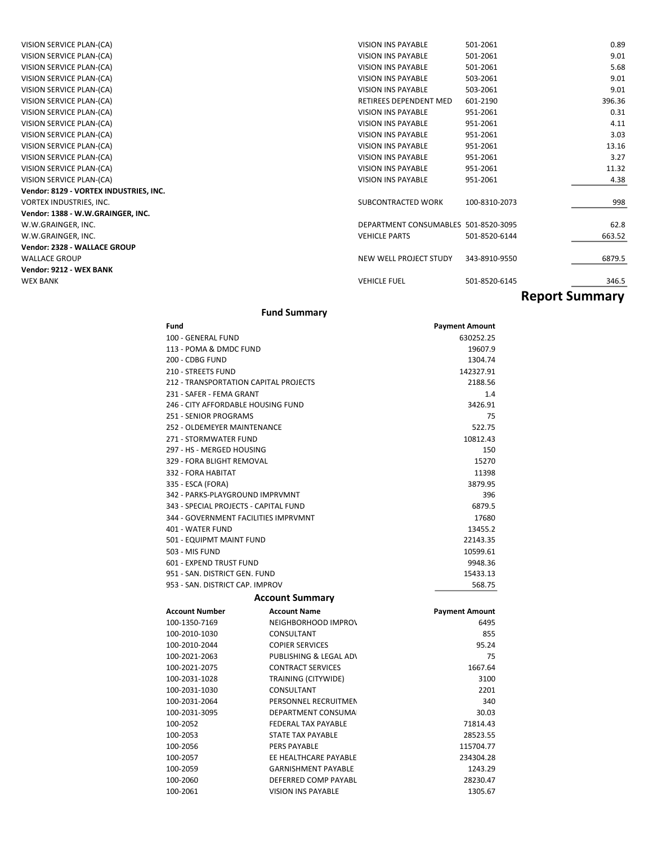| Vendor: 1388 - W.W.GRAINGER, INC.<br>W.W.GRAINGER, INC. | DEPARTMENT CONSUMABLES 501-8520-3095                |                      | 62.8           |
|---------------------------------------------------------|-----------------------------------------------------|----------------------|----------------|
| VORTEX INDUSTRIES, INC.                                 | SUBCONTRACTED WORK                                  | 100-8310-2073        | 998            |
| Vendor: 8129 - VORTEX INDUSTRIES, INC.                  |                                                     |                      |                |
| VISION SERVICE PLAN-(CA)                                | <b>VISION INS PAYABLE</b>                           | 951-2061             | 4.38           |
| VISION SERVICE PLAN-(CA)                                | <b>VISION INS PAYABLE</b>                           | 951-2061             | 11.32          |
| VISION SERVICE PLAN-(CA)                                | <b>VISION INS PAYABLE</b>                           | 951-2061             | 3.27           |
| VISION SERVICE PLAN-(CA)                                | <b>VISION INS PAYABLE</b>                           | 951-2061             | 13.16          |
| VISION SERVICE PLAN-(CA)                                | VISION INS PAYABLE                                  | 951-2061             | 3.03           |
| VISION SERVICE PLAN-(CA)<br>VISION SERVICE PLAN-(CA)    | <b>VISION INS PAYABLE</b>                           | 951-2061<br>951-2061 | 4.11           |
| VISION SERVICE PLAN-(CA)                                | RETIREES DEPENDENT MED<br><b>VISION INS PAYABLE</b> | 601-2190             | 396.36<br>0.31 |
| VISION SERVICE PLAN-(CA)                                | <b>VISION INS PAYABLE</b>                           | 503-2061             | 9.01           |
| VISION SERVICE PLAN-(CA)                                | <b>VISION INS PAYABLE</b>                           | 503-2061             | 9.01           |
| VISION SERVICE PLAN-(CA)                                | <b>VISION INS PAYABLE</b>                           | 501-2061             | 5.68           |
| VISION SERVICE PLAN-(CA)                                | <b>VISION INS PAYABLE</b>                           | 501-2061             | 9.01           |
| VISION SERVICE PLAN-(CA)                                | <b>VISION INS PAYABLE</b>                           | 501-2061             | 0.89           |
|                                                         |                                                     |                      |                |

#### Fund Summary

| Fund                                  |                            | <b>Payment Amount</b> |
|---------------------------------------|----------------------------|-----------------------|
| 100 - GENERAL FUND                    |                            | 630252.25             |
| 113 - POMA & DMDC FUND                |                            | 19607.9               |
| 200 - CDBG FUND                       |                            | 1304.74               |
| 210 - STREETS FUND                    |                            | 142327.91             |
| 212 - TRANSPORTATION CAPITAL PROJECTS |                            | 2188.56               |
| 231 - SAFER - FEMA GRANT              |                            | 1.4                   |
| 246 - CITY AFFORDABLE HOUSING FUND    |                            | 3426.91               |
| 251 - SENIOR PROGRAMS                 |                            | 75                    |
| 252 - OLDEMEYER MAINTENANCE           |                            | 522.75                |
| 271 - STORMWATER FUND                 |                            | 10812.43              |
| 297 - HS - MERGED HOUSING             |                            | 150                   |
| 329 - FORA BLIGHT REMOVAL             |                            | 15270                 |
| 332 - FORA HABITAT                    |                            | 11398                 |
| 335 - ESCA (FORA)                     |                            | 3879.95               |
| 342 - PARKS-PLAYGROUND IMPRVMNT       |                            | 396                   |
| 343 - SPECIAL PROJECTS - CAPITAL FUND |                            | 6879.5                |
| 344 - GOVERNMENT FACILITIES IMPRVMNT  |                            | 17680                 |
| 401 - WATER FUND                      |                            | 13455.2               |
| 501 - EQUIPMT MAINT FUND              |                            | 22143.35              |
| 503 - MIS FUND                        |                            | 10599.61              |
| <b>601 - EXPEND TRUST FUND</b>        |                            | 9948.36               |
| 951 - SAN, DISTRICT GEN, FUND         |                            | 15433.13              |
| 953 - SAN. DISTRICT CAP. IMPROV       |                            | 568.75                |
|                                       | <b>Account Summary</b>     |                       |
| <b>Account Number</b>                 | <b>Account Name</b>        | <b>Payment Amount</b> |
| 100-1350-7169                         | <b>NEIGHBORHOOD IMPROV</b> | 6495                  |
| 100-2010-1030                         | CONSULTANT                 | 855                   |
| 100-2010-2044                         | <b>COPIER SERVICES</b>     | 95.24                 |
| 100-2021-2063                         | PUBLISHING & LEGAL AD\     | 75                    |
| 100-2021-2075                         | <b>CONTRACT SERVICES</b>   | 1667.64               |
| 100-2031-1028                         | <b>TRAINING (CITYWIDE)</b> | 3100                  |
| 100-2031-1030                         | CONSULTANT                 | 2201                  |
| 100-2031-2064                         | PERSONNEL RECRUITMEN       | 340                   |
| 100-2031-3095                         | DEPARTMENT CONSUMA         | 30.03                 |
| 100-2052                              | <b>FEDERAL TAX PAYABLE</b> | 71814.43              |
| 100-2053                              | <b>STATE TAX PAYABLE</b>   | 28523.55              |
| 100-2056                              | <b>PERS PAYABLE</b>        | 115704.77             |
| 100-2057                              | EE HEALTHCARE PAYABLE      | 234304.28             |
| 100-2059                              | <b>GARNISHMENT PAYABLE</b> | 1243.29               |
| 100-2060                              | DEFERRED COMP PAYABL       | 28230.47              |
| 100-2061                              | <b>VISION INS PAYABLE</b>  | 1305.67               |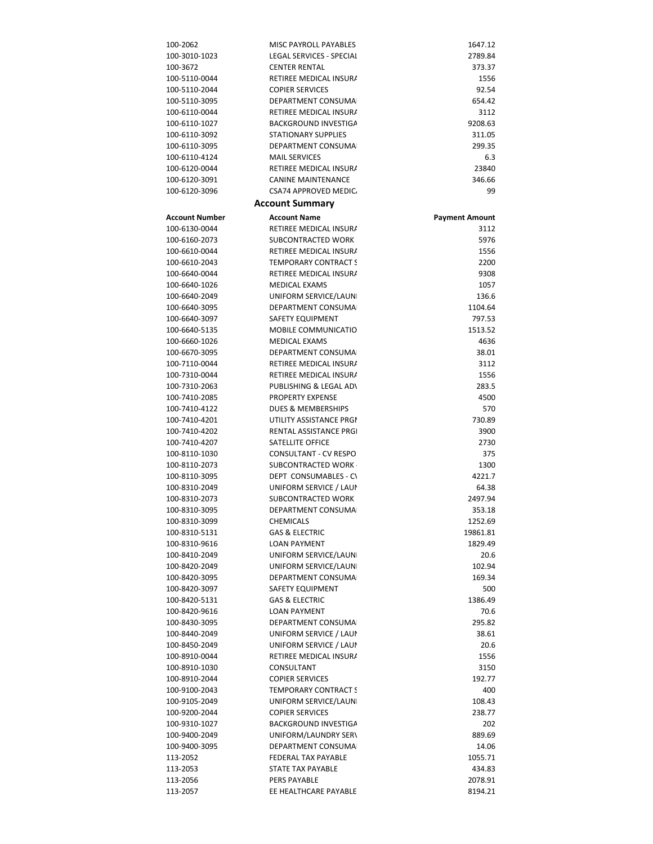| 100-2062              | MISC PAYROLL PAYABLES        | 1647.12               |
|-----------------------|------------------------------|-----------------------|
| 100-3010-1023         | LEGAL SERVICES - SPECIAI     | 2789.84               |
| 100-3672              | <b>CENTER RENTAL</b>         | 373.37                |
|                       |                              |                       |
| 100-5110-0044         | RETIREE MEDICAL INSURA       | 1556                  |
| 100-5110-2044         | <b>COPIER SERVICES</b>       | 92.54                 |
| 100-5110-3095         | DEPARTMENT CONSUMA           | 654.42                |
| 100-6110-0044         | RETIREE MEDICAL INSURA       | 3112                  |
| 100-6110-1027         | <b>BACKGROUND INVESTIGA</b>  | 9208.63               |
| 100-6110-3092         | <b>STATIONARY SUPPLIES</b>   | 311.05                |
|                       |                              |                       |
| 100-6110-3095         | DEPARTMENT CONSUMA           | 299.35                |
| 100-6110-4124         | <b>MAIL SERVICES</b>         | 6.3                   |
| 100-6120-0044         | RETIREE MEDICAL INSURA       | 23840                 |
| 100-6120-3091         | <b>CANINE MAINTENANCE</b>    | 346.66                |
| 100-6120-3096         | <b>CSA74 APPROVED MEDIC.</b> | 99                    |
|                       | <b>Account Summary</b>       |                       |
| <b>Account Number</b> | <b>Account Name</b>          |                       |
|                       |                              | <b>Payment Amount</b> |
| 100-6130-0044         | RETIREE MEDICAL INSURA       | 3112                  |
| 100-6160-2073         | SUBCONTRACTED WORK           | 5976                  |
| 100-6610-0044         | RETIREE MEDICAL INSURA       | 1556                  |
| 100-6610-2043         | <b>TEMPORARY CONTRACT S</b>  | 2200                  |
| 100-6640-0044         | RETIREE MEDICAL INSURA       | 9308                  |
| 100-6640-1026         | <b>MEDICAL EXAMS</b>         | 1057                  |
| 100-6640-2049         | UNIFORM SERVICE/LAUN         | 136.6                 |
|                       |                              |                       |
| 100-6640-3095         | DEPARTMENT CONSUMA           | 1104.64               |
| 100-6640-3097         | SAFETY EQUIPMENT             | 797.53                |
| 100-6640-5135         | <b>MOBILE COMMUNICATIO</b>   | 1513.52               |
| 100-6660-1026         | <b>MEDICAL EXAMS</b>         | 4636                  |
| 100-6670-3095         | DEPARTMENT CONSUMA           | 38.01                 |
| 100-7110-0044         | RETIREE MEDICAL INSURA       | 3112                  |
| 100-7310-0044         | RETIREE MEDICAL INSURA       | 1556                  |
|                       |                              |                       |
| 100-7310-2063         | PUBLISHING & LEGAL AD\       | 283.5                 |
| 100-7410-2085         | <b>PROPERTY EXPENSE</b>      | 4500                  |
| 100-7410-4122         | DUES & MEMBERSHIPS           | 570                   |
| 100-7410-4201         | UTILITY ASSISTANCE PRGI      | 730.89                |
| 100-7410-4202         | RENTAL ASSISTANCE PRGI       | 3900                  |
| 100-7410-4207         | SATELLITE OFFICE             | 2730                  |
| 100-8110-1030         | <b>CONSULTANT - CV RESPO</b> | 375                   |
| 100-8110-2073         | SUBCONTRACTED WORK           | 1300                  |
| 100-8110-3095         |                              |                       |
|                       | DEPT CONSUMABLES - CV        | 4221.7                |
| 100-8310-2049         | UNIFORM SERVICE / LAUI       | 64.38                 |
| 100-8310-2073         | <b>SUBCONTRACTED WORK</b>    | 2497.94               |
| 100-8310-3095         | DEPARTMENT CONSUMA           | 353.18                |
| 100-8310-3099         | <b>CHEMICALS</b>             | 1252.69               |
| 100-8310-5131         | <b>GAS &amp; ELECTRIC</b>    | 19861.81              |
| 100-8310-9616         | <b>LOAN PAYMENT</b>          | 1829.49               |
|                       |                              |                       |
| 100-8410-2049         | UNIFORM SERVICE/LAUN         | 20.6                  |
| 100-8420-2049         | UNIFORM SERVICE/LAUN         | 102.94                |
| 100-8420-3095         | DEPARTMENT CONSUMA           | 169.34                |
| 100-8420-3097         | <b>SAFETY EQUIPMENT</b>      | 500                   |
| 100-8420-5131         | <b>GAS &amp; ELECTRIC</b>    | 1386.49               |
| 100-8420-9616         | <b>LOAN PAYMENT</b>          | 70.6                  |
| 100-8430-3095         | DEPARTMENT CONSUMA           | 295.82                |
| 100-8440-2049         | UNIFORM SERVICE / LAUI       | 38.61                 |
| 100-8450-2049         |                              |                       |
|                       | UNIFORM SERVICE / LAUI       | 20.6                  |
| 100-8910-0044         | RETIREE MEDICAL INSURA       | 1556                  |
| 100-8910-1030         | CONSULTANT                   | 3150                  |
| 100-8910-2044         | <b>COPIER SERVICES</b>       | 192.77                |
| 100-9100-2043         | <b>TEMPORARY CONTRACT S</b>  | 400                   |
| 100-9105-2049         | UNIFORM SERVICE/LAUN         | 108.43                |
| 100-9200-2044         | <b>COPIER SERVICES</b>       | 238.77                |
| 100-9310-1027         | <b>BACKGROUND INVESTIGA</b>  | 202                   |
| 100-9400-2049         |                              |                       |
|                       | UNIFORM/LAUNDRY SERV         | 889.69                |
| 100-9400-3095         | DEPARTMENT CONSUMA           | 14.06                 |
| 113-2052              | FEDERAL TAX PAYABLE          | 1055.71               |
| 113-2053              | STATE TAX PAYABLE            | 434.83                |
| 113-2056              | PERS PAYABLE                 | 2078.91               |
| 113-2057              | EE HEALTHCARE PAYABLE        | 8194.21               |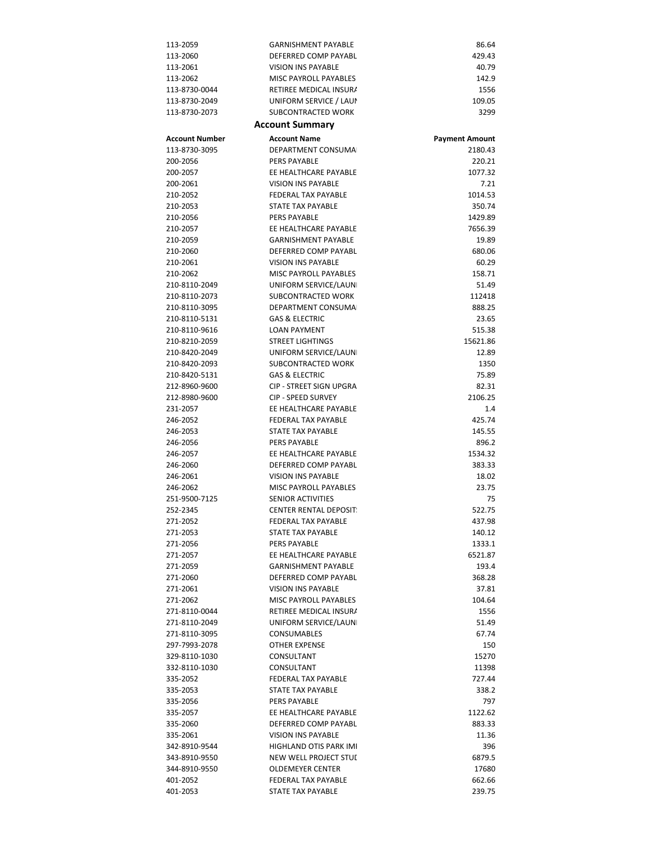| 113-2059              | <b>GARNISHMENT PAYABLE</b>    | 86.64                 |
|-----------------------|-------------------------------|-----------------------|
| 113-2060              | DEFERRED COMP PAYABL          | 429.43                |
| 113-2061              | VISION INS PAYABLE            | 40.79                 |
| 113-2062              | MISC PAYROLL PAYABLES         | 142.9                 |
| 113-8730-0044         | RETIREE MEDICAL INSURA        | 1556                  |
| 113-8730-2049         | UNIFORM SERVICE / LAUI        | 109.05                |
| 113-8730-2073         | SUBCONTRACTED WORK            |                       |
|                       |                               | 3299                  |
|                       | <b>Account Summary</b>        |                       |
| <b>Account Number</b> | <b>Account Name</b>           | <b>Payment Amount</b> |
| 113-8730-3095         | DEPARTMENT CONSUMA            | 2180.43               |
| 200-2056              | PERS PAYABLE                  | 220.21                |
| 200-2057              | EE HEALTHCARE PAYABLE         | 1077.32               |
|                       |                               | 7.21                  |
| 200-2061              | VISION INS PAYABLE            |                       |
| 210-2052              | <b>FEDERAL TAX PAYABLE</b>    | 1014.53               |
| 210-2053              | STATE TAX PAYABLE             | 350.74                |
| 210-2056              | <b>PERS PAYABLE</b>           | 1429.89               |
| 210-2057              | EE HEALTHCARE PAYABLE         | 7656.39               |
| 210-2059              | <b>GARNISHMENT PAYABLE</b>    | 19.89                 |
| 210-2060              | DEFERRED COMP PAYABL          | 680.06                |
| 210-2061              | VISION INS PAYABLE            | 60.29                 |
| 210-2062              | MISC PAYROLL PAYABLES         | 158.71                |
| 210-8110-2049         | UNIFORM SERVICE/LAUN          | 51.49                 |
|                       | SUBCONTRACTED WORK            |                       |
| 210-8110-2073         |                               | 112418                |
| 210-8110-3095         | DEPARTMENT CONSUMAL           | 888.25                |
| 210-8110-5131         | <b>GAS &amp; ELECTRIC</b>     | 23.65                 |
| 210-8110-9616         | <b>LOAN PAYMENT</b>           | 515.38                |
| 210-8210-2059         | <b>STREET LIGHTINGS</b>       | 15621.86              |
| 210-8420-2049         | UNIFORM SERVICE/LAUN          | 12.89                 |
| 210-8420-2093         | SUBCONTRACTED WORK            | 1350                  |
| 210-8420-5131         | <b>GAS &amp; ELECTRIC</b>     | 75.89                 |
| 212-8960-9600         | CIP - STREET SIGN UPGRA       | 82.31                 |
| 212-8980-9600         | <b>CIP - SPEED SURVEY</b>     | 2106.25               |
| 231-2057              | EE HEALTHCARE PAYABLE         | 1.4                   |
|                       |                               |                       |
| 246-2052              | <b>FEDERAL TAX PAYABLE</b>    | 425.74                |
| 246-2053              | STATE TAX PAYABLE             | 145.55                |
| 246-2056              | PERS PAYABLE                  | 896.2                 |
| 246-2057              | EE HEALTHCARE PAYABLE         | 1534.32               |
| 246-2060              | DEFERRED COMP PAYABL          | 383.33                |
| 246-2061              | VISION INS PAYABLE            | 18.02                 |
| 246-2062              | MISC PAYROLL PAYABLES         | 23.75                 |
| 251-9500-7125         | <b>SENIOR ACTIVITIES</b>      | 75                    |
| 252-2345              | <b>CENTER RENTAL DEPOSIT.</b> | 522.75                |
| 271-2052              | FEDERAL TAX PAYABLE           | 437.98                |
|                       | STATE TAX PAYABLE             |                       |
| 271-2053              |                               | 140.12                |
| 271-2056              | PERS PAYABLE                  | 1333.1                |
| 271-2057              | EE HEALTHCARE PAYABLE         | 6521.87               |
| 271-2059              | <b>GARNISHMENT PAYABLE</b>    | 193.4                 |
| 271-2060              | DEFERRED COMP PAYABL          | 368.28                |
| 271-2061              | <b>VISION INS PAYABLE</b>     | 37.81                 |
| 271-2062              | MISC PAYROLL PAYABLES         | 104.64                |
| 271-8110-0044         | RETIREE MEDICAL INSURA        | 1556                  |
| 271-8110-2049         | UNIFORM SERVICE/LAUN          | 51.49                 |
| 271-8110-3095         | CONSUMABLES                   | 67.74                 |
| 297-7993-2078         | OTHER EXPENSE                 | 150                   |
| 329-8110-1030         | CONSULTANT                    | 15270                 |
|                       |                               |                       |
| 332-8110-1030         | CONSULTANT                    | 11398                 |
| 335-2052              | FEDERAL TAX PAYABLE           | 727.44                |
| 335-2053              | STATE TAX PAYABLE             | 338.2                 |
| 335-2056              | PERS PAYABLE                  | 797                   |
| 335-2057              | EE HEALTHCARE PAYABLE         | 1122.62               |
| 335-2060              | DEFERRED COMP PAYABL          | 883.33                |
| 335-2061              | VISION INS PAYABLE            | 11.36                 |
| 342-8910-9544         | HIGHLAND OTIS PARK IMI        | 396                   |
| 343-8910-9550         | NEW WELL PROJECT STUI         | 6879.5                |
| 344-8910-9550         | <b>OLDEMEYER CENTER</b>       | 17680                 |
| 401-2052              | FEDERAL TAX PAYABLE           | 662.66                |
|                       |                               |                       |
| 401-2053              | STATE TAX PAYABLE             | 239.75                |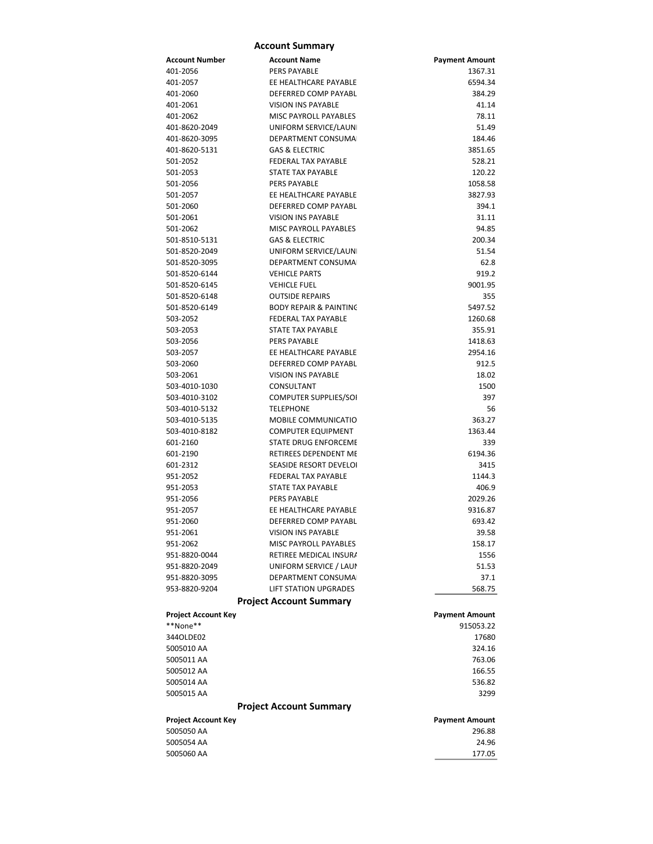|                            | <b>Account Summary</b>            |                       |
|----------------------------|-----------------------------------|-----------------------|
| Account Number             | <b>Account Name</b>               | <b>Payment Amount</b> |
| 401-2056                   | <b>PERS PAYABLE</b>               | 1367.31               |
| 401-2057                   | EE HEALTHCARE PAYABLE             | 6594.34               |
| 401-2060                   | DEFERRED COMP PAYABL              | 384.29                |
| 401-2061                   | VISION INS PAYABLE                | 41.14                 |
| 401-2062                   | MISC PAYROLL PAYABLES             | 78.11                 |
| 401-8620-2049              | UNIFORM SERVICE/LAUN              | 51.49                 |
| 401-8620-3095              | DEPARTMENT CONSUMA                | 184.46                |
| 401-8620-5131              | <b>GAS &amp; ELECTRIC</b>         | 3851.65               |
| 501-2052                   | FEDERAL TAX PAYABLE               | 528.21                |
| 501-2053                   | <b>STATE TAX PAYABLE</b>          | 120.22                |
| 501-2056                   | <b>PERS PAYABLE</b>               | 1058.58               |
| 501-2057                   | EE HEALTHCARE PAYABLE             | 3827.93               |
| 501-2060                   | DEFERRED COMP PAYABL              | 394.1                 |
| 501-2061                   | <b>VISION INS PAYABLE</b>         | 31.11                 |
| 501-2062                   | <b>MISC PAYROLL PAYABLES</b>      | 94.85                 |
| 501-8510-5131              | <b>GAS &amp; ELECTRIC</b>         | 200.34                |
| 501-8520-2049              | UNIFORM SERVICE/LAUN              | 51.54                 |
| 501-8520-3095              | DEPARTMENT CONSUMA                | 62.8                  |
|                            |                                   |                       |
| 501-8520-6144              | <b>VEHICLE PARTS</b>              | 919.2                 |
| 501-8520-6145              | <b>VEHICLE FUEL</b>               | 9001.95               |
| 501-8520-6148              | <b>OUTSIDE REPAIRS</b>            | 355                   |
| 501-8520-6149              | <b>BODY REPAIR &amp; PAINTING</b> | 5497.52               |
| 503-2052                   | FEDERAL TAX PAYABLE               | 1260.68               |
| 503-2053                   | STATE TAX PAYABLE                 | 355.91                |
| 503-2056                   | <b>PERS PAYABLE</b>               | 1418.63               |
| 503-2057                   | EE HEALTHCARE PAYABLE             | 2954.16               |
| 503-2060                   | DEFERRED COMP PAYABL              | 912.5                 |
| 503-2061                   | <b>VISION INS PAYABLE</b>         | 18.02                 |
| 503-4010-1030              | CONSULTANT                        | 1500                  |
| 503-4010-3102              | COMPUTER SUPPLIES/SOI             | 397                   |
| 503-4010-5132              | <b>TELEPHONE</b>                  | 56                    |
| 503-4010-5135              | MOBILE COMMUNICATIO               | 363.27                |
| 503-4010-8182              | <b>COMPUTER EQUIPMENT</b>         | 1363.44               |
| 601-2160                   | STATE DRUG ENFORCEME              | 339                   |
| 601-2190                   | RETIREES DEPENDENT ME             | 6194.36               |
| 601-2312                   | SEASIDE RESORT DEVELOI            | 3415                  |
| 951-2052                   | <b>FEDERAL TAX PAYABLE</b>        | 1144.3                |
| 951-2053                   | STATE TAX PAYABLE                 | 406.9                 |
| 951-2056                   | <b>PERS PAYABLE</b>               | 2029.26               |
| 951-2057                   | EE HEALTHCARE PAYABLE             | 9316.87               |
| 951-2060                   | DEFERRED COMP PAYABL              | 693.42                |
| 951-2061                   | <b>VISION INS PAYABLE</b>         | 39.58                 |
| 951-2062                   | MISC PAYROLL PAYABLES             | 158.17                |
| 951-8820-0044              | RETIREE MEDICAL INSURA            | 1556                  |
| 951-8820-2049              | UNIFORM SERVICE / LAUP            | 51.53                 |
| 951-8820-3095              | DEPARTMENT CONSUMA                | 37.1                  |
| 953-8820-9204              | <b>LIFT STATION UPGRADES</b>      | 568.75                |
|                            | <b>Project Account Summary</b>    |                       |
|                            |                                   |                       |
| <b>Project Account Key</b> |                                   | <b>Payment Amount</b> |
| **None**                   |                                   | 915053.22             |
| 344OLDE02                  |                                   | 17680                 |
| 5005010 AA                 |                                   | 324.16                |
| 5005011 AA                 |                                   | 763.06                |
| 5005012 AA                 |                                   | 166.55                |
| 5005014 AA                 |                                   | 536.82                |
| 5005015 AA                 |                                   | 3299                  |
|                            | <b>Project Account Summary</b>    |                       |
| Project Account Key        |                                   | <b>Payment Amount</b> |
| 5005050 AA                 |                                   | 296.88                |
| 5005054 AA                 |                                   | 24.96                 |
| 5005060 AA                 |                                   | 177.05                |
|                            |                                   |                       |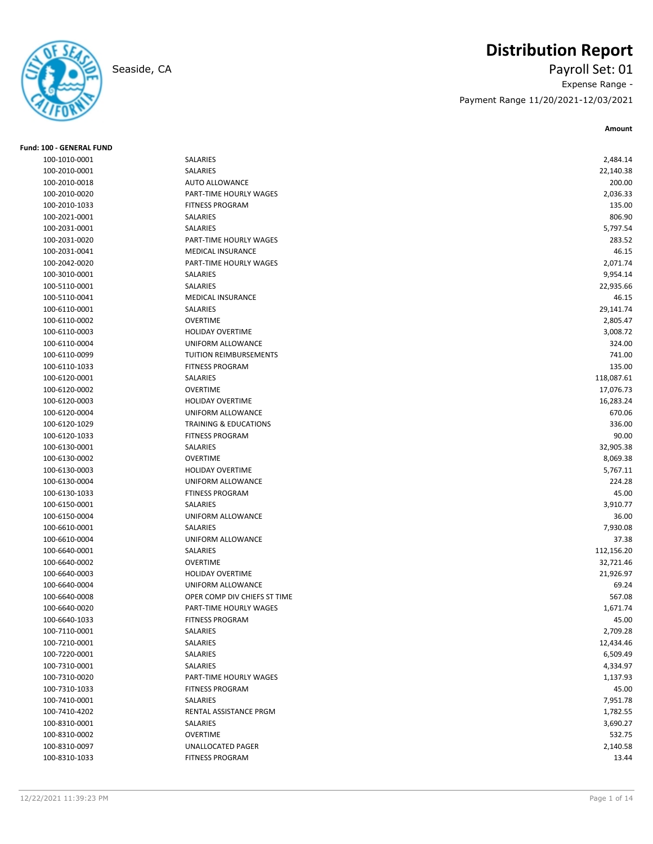

## **Distribution Report**

Seaside, CA Payroll Set: 01 Expense Range - Payment Range 11/20/2021-12/03/2021

| Fund: 100 - GENERAL FUND |                                  |            |
|--------------------------|----------------------------------|------------|
| 100-1010-0001            | <b>SALARIES</b>                  | 2,484.14   |
| 100-2010-0001            | SALARIES                         | 22,140.38  |
| 100-2010-0018            | <b>AUTO ALLOWANCE</b>            | 200.00     |
| 100-2010-0020            | PART-TIME HOURLY WAGES           | 2,036.33   |
| 100-2010-1033            | <b>FITNESS PROGRAM</b>           | 135.00     |
| 100-2021-0001            | SALARIES                         | 806.90     |
| 100-2031-0001            | SALARIES                         | 5,797.54   |
| 100-2031-0020            | PART-TIME HOURLY WAGES           | 283.52     |
| 100-2031-0041            | <b>MEDICAL INSURANCE</b>         | 46.15      |
| 100-2042-0020            | PART-TIME HOURLY WAGES           | 2,071.74   |
| 100-3010-0001            | <b>SALARIES</b>                  | 9,954.14   |
| 100-5110-0001            | SALARIES                         | 22,935.66  |
| 100-5110-0041            | <b>MEDICAL INSURANCE</b>         | 46.15      |
| 100-6110-0001            | SALARIES                         | 29,141.74  |
| 100-6110-0002            | <b>OVERTIME</b>                  | 2,805.47   |
| 100-6110-0003            | <b>HOLIDAY OVERTIME</b>          | 3,008.72   |
| 100-6110-0004            | UNIFORM ALLOWANCE                | 324.00     |
| 100-6110-0099            | TUITION REIMBURSEMENTS           | 741.00     |
| 100-6110-1033            | <b>FITNESS PROGRAM</b>           | 135.00     |
| 100-6120-0001            | SALARIES                         | 118,087.61 |
| 100-6120-0002            | <b>OVERTIME</b>                  | 17,076.73  |
| 100-6120-0003            | <b>HOLIDAY OVERTIME</b>          | 16,283.24  |
| 100-6120-0004            | UNIFORM ALLOWANCE                | 670.06     |
| 100-6120-1029            | <b>TRAINING &amp; EDUCATIONS</b> | 336.00     |
| 100-6120-1033            | <b>FITNESS PROGRAM</b>           | 90.00      |
| 100-6130-0001            | SALARIES                         | 32,905.38  |
| 100-6130-0002            | <b>OVERTIME</b>                  | 8,069.38   |
| 100-6130-0003            | <b>HOLIDAY OVERTIME</b>          | 5,767.11   |
| 100-6130-0004            | UNIFORM ALLOWANCE                | 224.28     |
| 100-6130-1033            | <b>FTINESS PROGRAM</b>           | 45.00      |
| 100-6150-0001            | <b>SALARIES</b>                  | 3,910.77   |
| 100-6150-0004            | UNIFORM ALLOWANCE                | 36.00      |
| 100-6610-0001            | SALARIES                         | 7,930.08   |
| 100-6610-0004            | UNIFORM ALLOWANCE                | 37.38      |
| 100-6640-0001            | SALARIES                         | 112,156.20 |
| 100-6640-0002            | <b>OVERTIME</b>                  | 32,721.46  |
| 100-6640-0003            | <b>HOLIDAY OVERTIME</b>          | 21,926.97  |
| 100-6640-0004            | UNIFORM ALLOWANCE                | 69.24      |
| 100-6640-0008            | OPER COMP DIV CHIEFS ST TIME     | 567.08     |
| 100-6640-0020            | PART-TIME HOURLY WAGES           | 1,671.74   |
| 100-6640-1033            | FITNESS PROGRAM                  | 45.00      |
| 100-7110-0001            | SALARIES                         | 2,709.28   |
| 100-7210-0001            | SALARIES                         | 12,434.46  |
| 100-7220-0001            | SALARIES                         | 6,509.49   |
| 100-7310-0001            | SALARIES                         | 4,334.97   |
| 100-7310-0020            | PART-TIME HOURLY WAGES           | 1,137.93   |
| 100-7310-1033            | <b>FITNESS PROGRAM</b>           | 45.00      |
| 100-7410-0001            | SALARIES                         | 7,951.78   |
| 100-7410-4202            | RENTAL ASSISTANCE PRGM           | 1,782.55   |
| 100-8310-0001            | SALARIES                         | 3,690.27   |
| 100-8310-0002            | OVERTIME                         | 532.75     |
| 100-8310-0097            | UNALLOCATED PAGER                | 2,140.58   |
| 100-8310-1033            | <b>FITNESS PROGRAM</b>           | 13.44      |
|                          |                                  |            |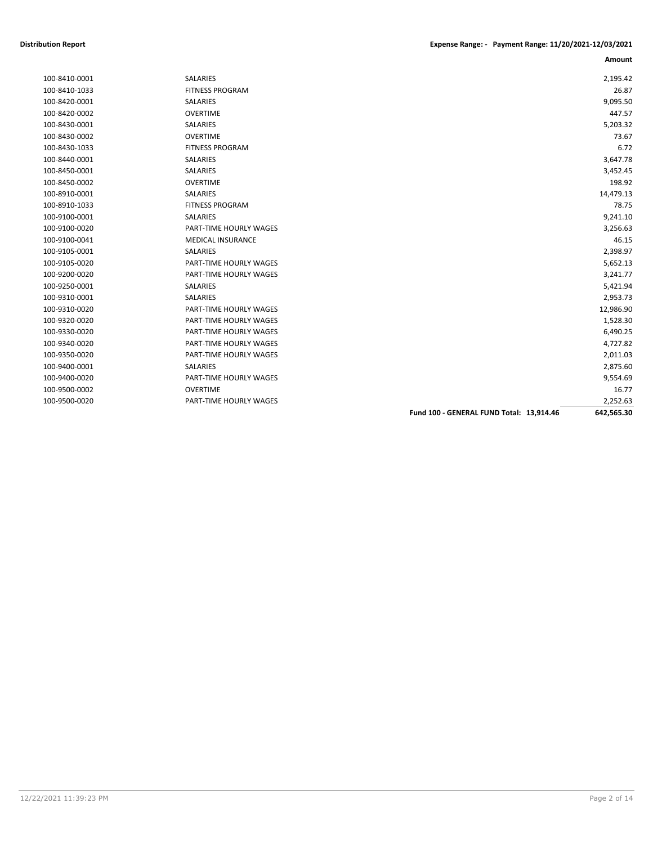| 100-8410-0001 | <b>SALARIES</b>               |                                          | 2,195.42   |
|---------------|-------------------------------|------------------------------------------|------------|
| 100-8410-1033 | <b>FITNESS PROGRAM</b>        |                                          | 26.87      |
| 100-8420-0001 | SALARIES                      |                                          | 9,095.50   |
| 100-8420-0002 | <b>OVERTIME</b>               |                                          | 447.57     |
| 100-8430-0001 | <b>SALARIES</b>               |                                          | 5,203.32   |
| 100-8430-0002 | <b>OVERTIME</b>               |                                          | 73.67      |
| 100-8430-1033 | <b>FITNESS PROGRAM</b>        |                                          | 6.72       |
| 100-8440-0001 | <b>SALARIES</b>               |                                          | 3,647.78   |
| 100-8450-0001 | SALARIES                      |                                          | 3,452.45   |
| 100-8450-0002 | <b>OVERTIME</b>               |                                          | 198.92     |
| 100-8910-0001 | <b>SALARIES</b>               |                                          | 14,479.13  |
| 100-8910-1033 | <b>FITNESS PROGRAM</b>        |                                          | 78.75      |
| 100-9100-0001 | <b>SALARIES</b>               |                                          | 9,241.10   |
| 100-9100-0020 | PART-TIME HOURLY WAGES        |                                          | 3,256.63   |
| 100-9100-0041 | <b>MEDICAL INSURANCE</b>      |                                          | 46.15      |
| 100-9105-0001 | <b>SALARIES</b>               |                                          | 2,398.97   |
| 100-9105-0020 | PART-TIME HOURLY WAGES        |                                          | 5,652.13   |
| 100-9200-0020 | PART-TIME HOURLY WAGES        |                                          | 3,241.77   |
| 100-9250-0001 | <b>SALARIES</b>               |                                          | 5,421.94   |
| 100-9310-0001 | <b>SALARIES</b>               |                                          | 2,953.73   |
| 100-9310-0020 | PART-TIME HOURLY WAGES        |                                          | 12,986.90  |
| 100-9320-0020 | <b>PART-TIME HOURLY WAGES</b> |                                          | 1,528.30   |
| 100-9330-0020 | PART-TIME HOURLY WAGES        |                                          | 6,490.25   |
| 100-9340-0020 | PART-TIME HOURLY WAGES        |                                          | 4,727.82   |
| 100-9350-0020 | PART-TIME HOURLY WAGES        |                                          | 2,011.03   |
| 100-9400-0001 | <b>SALARIES</b>               |                                          | 2,875.60   |
| 100-9400-0020 | PART-TIME HOURLY WAGES        |                                          | 9,554.69   |
| 100-9500-0002 | <b>OVERTIME</b>               |                                          | 16.77      |
| 100-9500-0020 | PART-TIME HOURLY WAGES        |                                          | 2,252.63   |
|               |                               | Fund 100 - GENERAL FUND Total: 13,914.46 | 642,565.30 |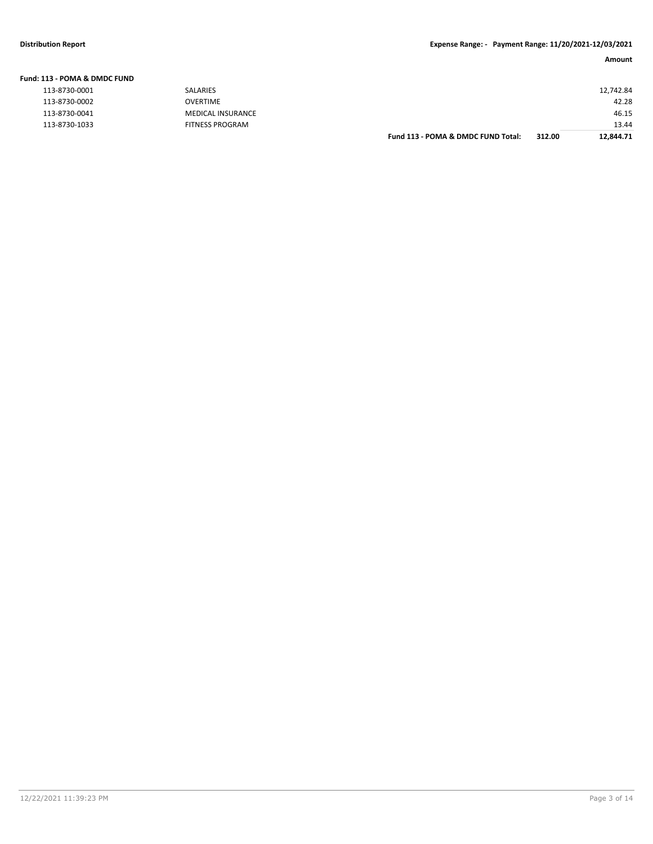| Fund: 113 - POMA & DMDC FUND |                        |                                    |        |           |
|------------------------------|------------------------|------------------------------------|--------|-----------|
| 113-8730-0001                | SALARIES               |                                    |        | 12,742.84 |
| 113-8730-0002                | OVERTIME               |                                    |        | 42.28     |
| 113-8730-0041                | MEDICAL INSURANCE      |                                    |        | 46.15     |
| 113-8730-1033                | <b>FITNESS PROGRAM</b> |                                    |        | 13.44     |
|                              |                        | Fund 113 - POMA & DMDC FUND Total: | 312.00 | 12.844.71 |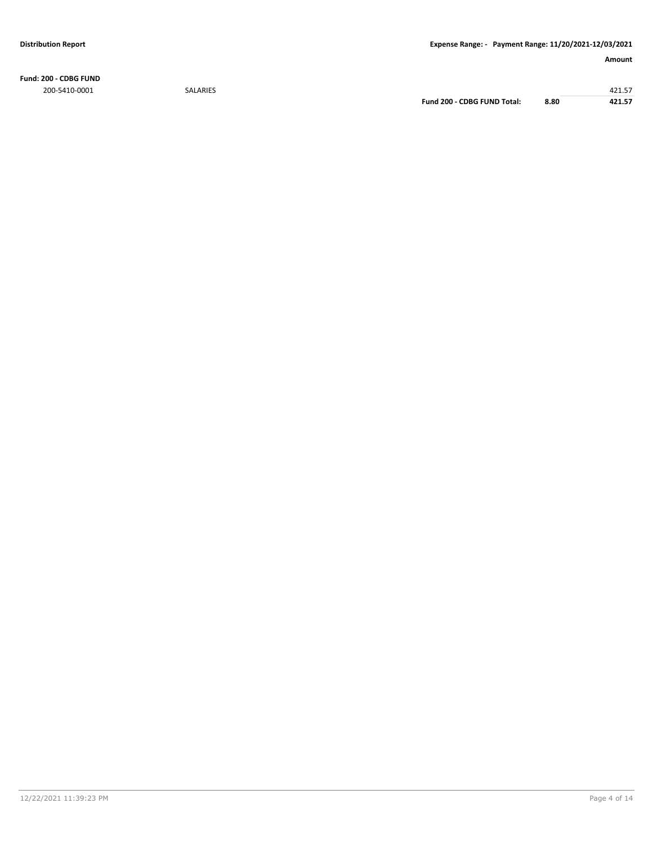**Fund: 200 - CDBG FUND** 200-5410-0001 SALARIES 421.57

**Fund 200 - CDBG FUND Total: 8.80 421.57**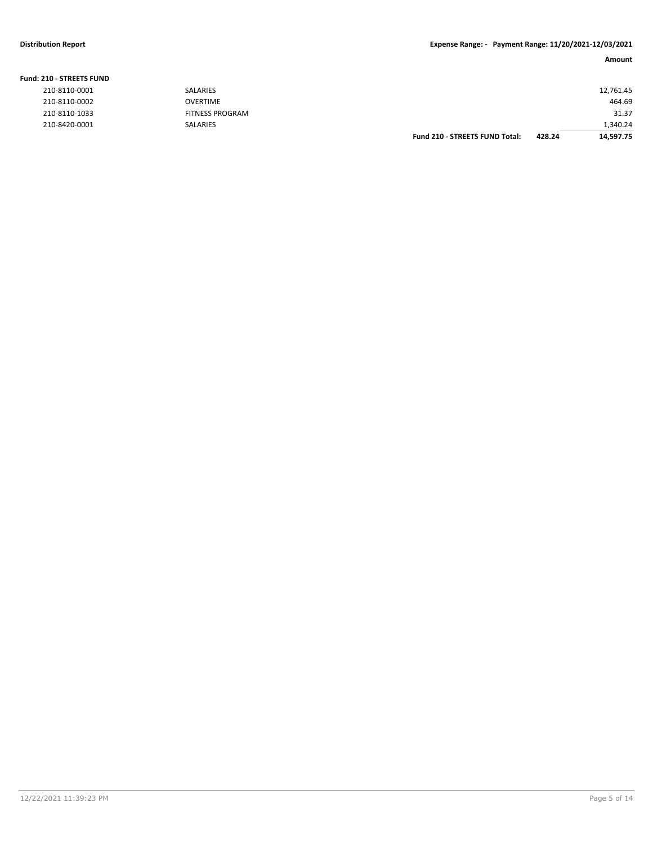#### **Distribution Report Expense Range: - Payment Range: 11/20/2021-12/03/2021**

#### **Amount**

| <b>210 - STREETS FUND</b> |                        |                                       |        |           |
|---------------------------|------------------------|---------------------------------------|--------|-----------|
| 210-8110-0001             | <b>SALARIES</b>        |                                       |        | 12,761.45 |
| 210-8110-0002             | <b>OVERTIME</b>        |                                       |        | 464.69    |
| 210-8110-1033             | <b>FITNESS PROGRAM</b> |                                       |        | 31.37     |
| 210-8420-0001             | <b>SALARIES</b>        |                                       |        | 1,340.24  |
|                           |                        | <b>Fund 210 - STREETS FUND Total:</b> | 428.24 | 14,597.75 |

#### **Fund: 210 - STREETS FUND**

| 210-8110-0001 |
|---------------|
| 210-8110-0002 |
| 210-8110-1033 |
| 210-8420-0001 |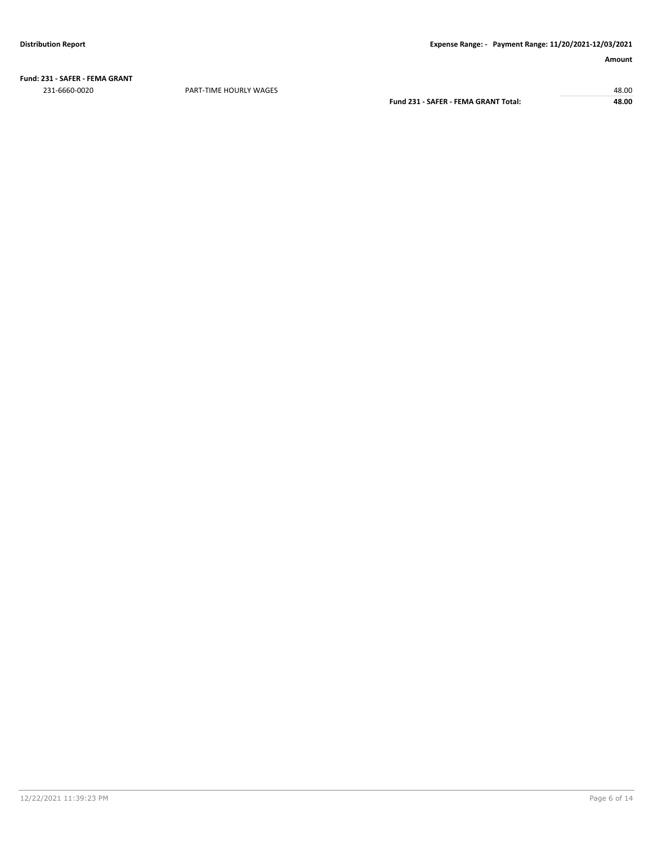**Fund: 231 - SAFER - FEMA GRANT** 231-6660-0020 PART-TIME HOURLY WAGES 48.00

**Fund 231 - SAFER - FEMA GRANT Total: 48.00**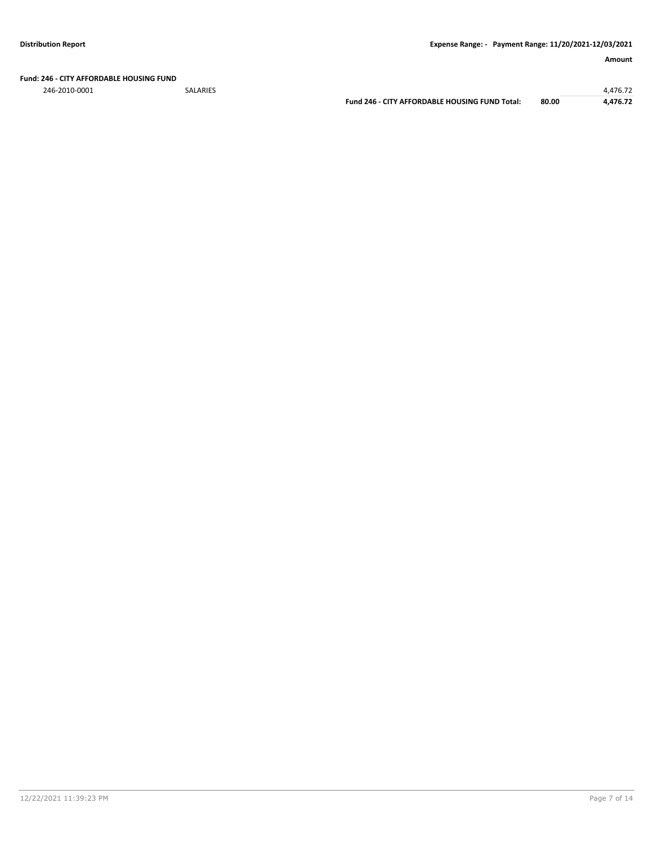#### **Fund: 246 - CITY AFFORDABLE HOUSING FUND**

246-2010-0001 SALARIES 4,476.72

**Fund 246 - CITY AFFORDABLE HOUSING FUND Total: 80.00 4,476.72**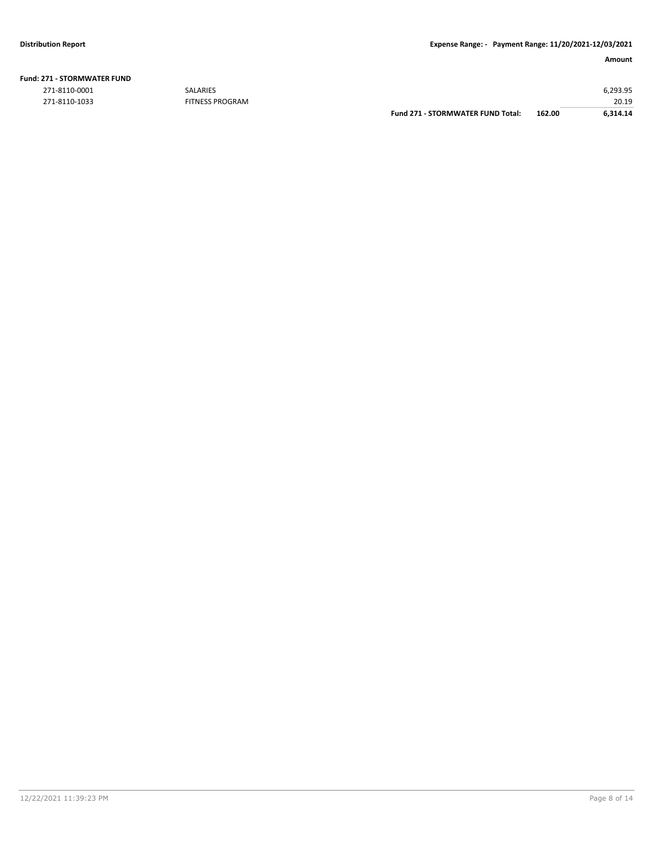| <b>Fund: 271 - STORMWATER FUND</b> |  |
|------------------------------------|--|
|                                    |  |

271-8110-1033 FITNESS PROGRAM

|               |                        | Fund 271 - STORMWATER FUND Total: | 162.00 | 6.314.14 |
|---------------|------------------------|-----------------------------------|--------|----------|
| 271-8110-1033 | <b>FITNESS PROGRAM</b> |                                   |        | 20.19    |
| 271-8110-0001 | <b>SALARIES</b>        |                                   |        | ó.293.95 |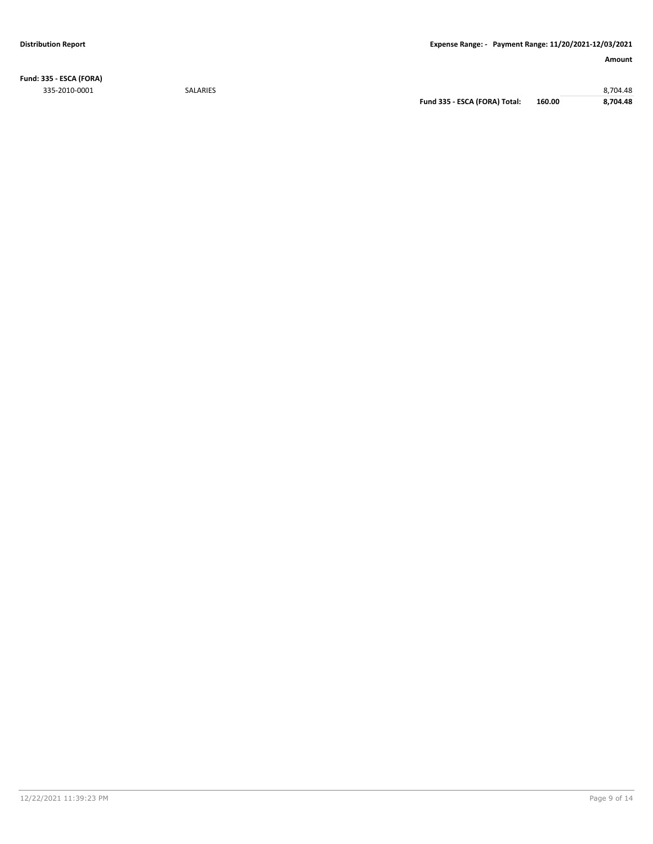**Fund: 335 - ESCA (FORA)** 335-2010-0001 SALARIES 8,704.48

**Fund 335 - ESCA (FORA) Total: 160.00 8,704.48**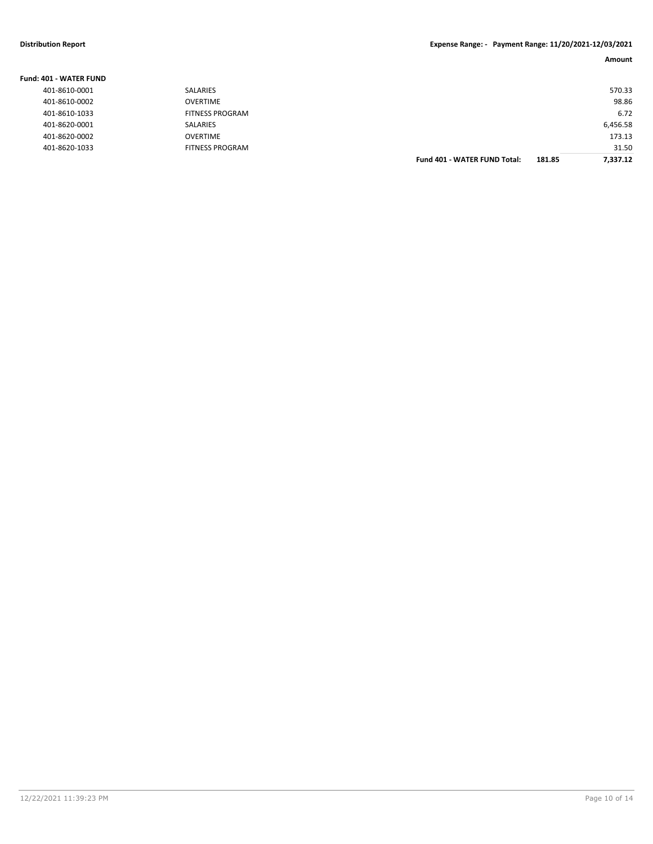| Fund: 401 - WATER FUND |                        |                                     |        |          |
|------------------------|------------------------|-------------------------------------|--------|----------|
| 401-8610-0001          | <b>SALARIES</b>        |                                     |        | 570.33   |
| 401-8610-0002          | <b>OVERTIME</b>        |                                     |        | 98.86    |
| 401-8610-1033          | <b>FITNESS PROGRAM</b> |                                     |        | 6.72     |
| 401-8620-0001          | <b>SALARIES</b>        |                                     |        | 6,456.58 |
| 401-8620-0002          | <b>OVERTIME</b>        |                                     |        | 173.13   |
| 401-8620-1033          | <b>FITNESS PROGRAM</b> |                                     |        | 31.50    |
|                        |                        | <b>Fund 401 - WATER FUND Total:</b> | 181.85 | 7.337.12 |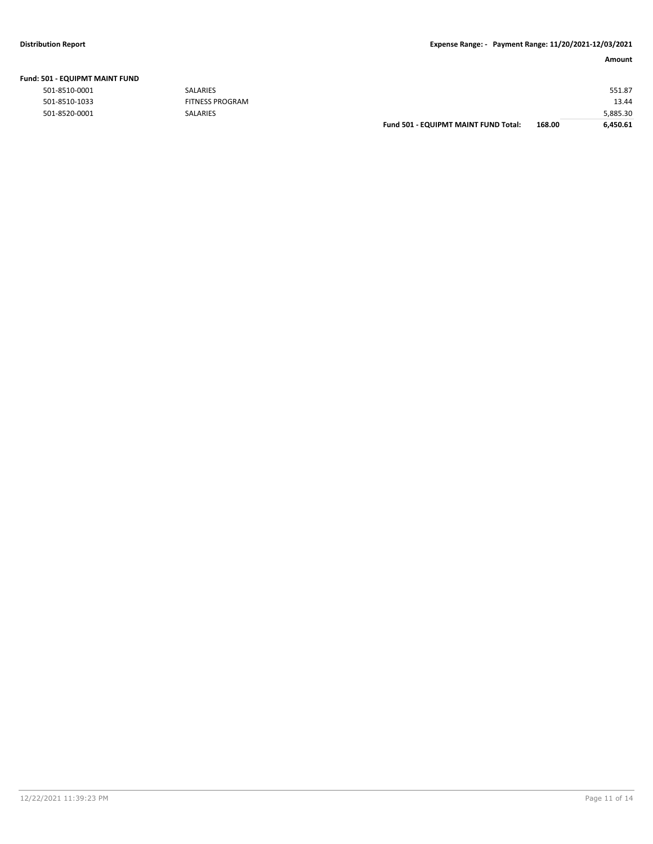| שוטו וואומוזויווש בשט - בטע |                        |                                      |        |          |
|-----------------------------|------------------------|--------------------------------------|--------|----------|
| 501-8510-0001               | SALARIES               |                                      |        | 551.87   |
| 501-8510-1033               | <b>FITNESS PROGRAM</b> |                                      |        | 13.44    |
| 501-8520-0001               | <b>SALARIES</b>        |                                      |        | 5,885.30 |
|                             |                        | Fund 501 - EQUIPMT MAINT FUND Total: | 168.00 | 6,450.61 |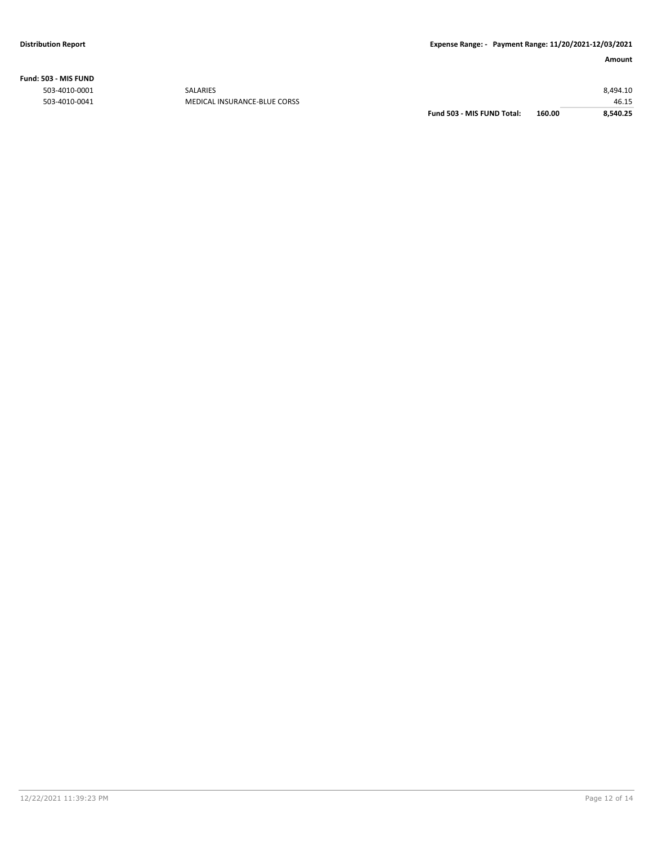**Fund: 503 - MIS FUND**

| 160.00<br>Fund 503 - MIS FUND Total:<br>8,540.25 |
|--------------------------------------------------|
| 46.15                                            |
| 8,494.10                                         |
|                                                  |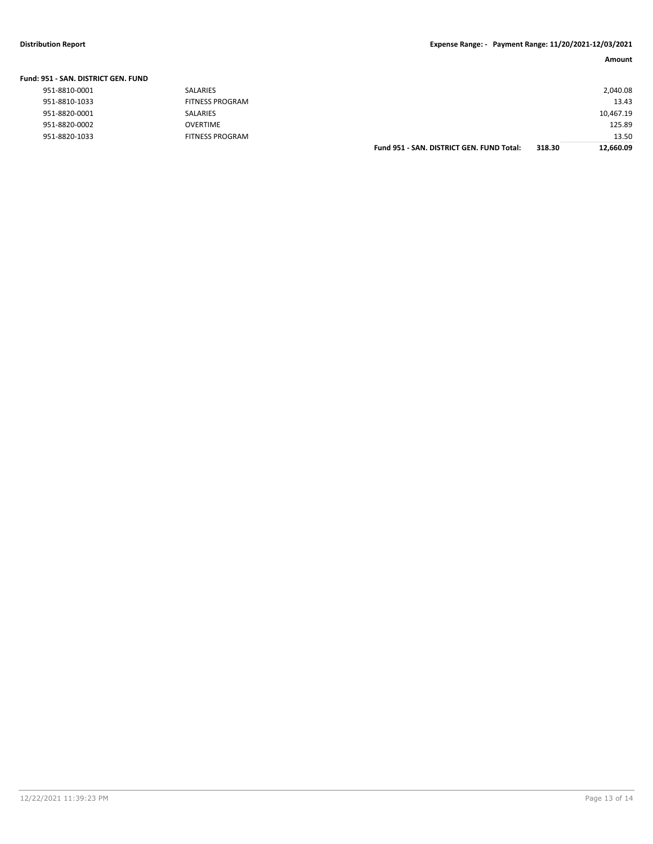#### **Distribution Report Expense Range: - Payment Range: 11/20/2021-12/03/2021**

|  | Fund: 951 - SAN. DISTRICT GEN. FUND |
|--|-------------------------------------|
|--|-------------------------------------|

|               |                        | Fund 951 - SAN, DISTRICT GEN, FUND Total: | 318.30 | 12,660.09 |
|---------------|------------------------|-------------------------------------------|--------|-----------|
| 951-8820-1033 | FITNESS PROGRAM        |                                           |        | 13.50     |
| 951-8820-0002 | <b>OVERTIME</b>        |                                           |        | 125.89    |
| 951-8820-0001 | <b>SALARIES</b>        |                                           |        | 10,467.19 |
| 951-8810-1033 | <b>FITNESS PROGRAM</b> |                                           |        | 13.43     |
| 951-8810-0001 | <b>SALARIES</b>        |                                           |        | 2,040.08  |
|               |                        |                                           |        |           |